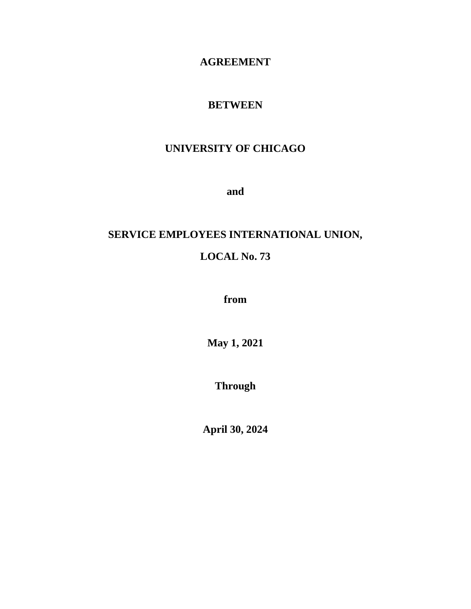#### **AGREEMENT**

#### **BETWEEN**

# **UNIVERSITY OF CHICAGO**

**and**

# **SERVICE EMPLOYEES INTERNATIONAL UNION,**

# **LOCAL No. 73**

**from** 

**May 1, 2021**

**Through** 

**April 30, 2024**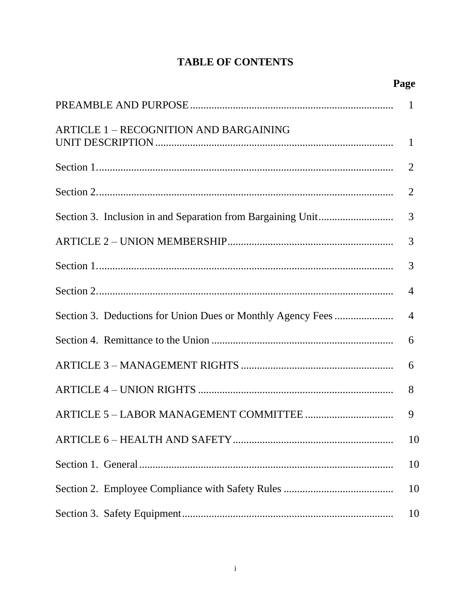# **TABLE OF CONTENTS**

| <b>ARTICLE 1 - RECOGNITION AND BARGAINING</b> |                |
|-----------------------------------------------|----------------|
|                                               | 2              |
|                                               | 2              |
|                                               | 3              |
|                                               | 3              |
|                                               | 3              |
|                                               | $\overline{4}$ |
|                                               | $\overline{4}$ |
|                                               | 6              |
|                                               | 6              |
|                                               | 8              |
|                                               | 9              |
|                                               | 10             |
|                                               | 10             |
|                                               | 10             |
|                                               | 10             |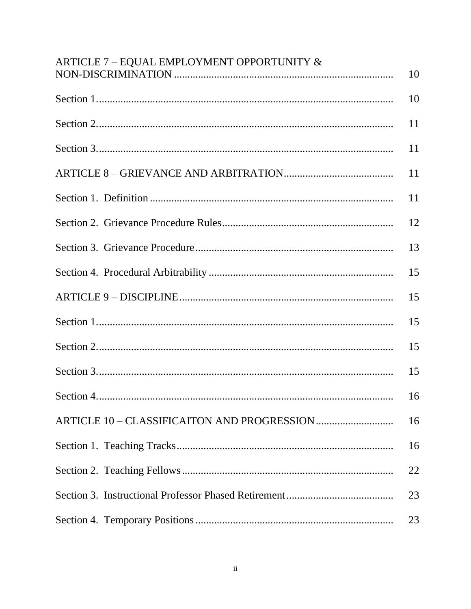| ARTICLE 7 - EQUAL EMPLOYMENT OPPORTUNITY & | 10 |
|--------------------------------------------|----|
|                                            | 10 |
|                                            | 11 |
|                                            | 11 |
|                                            | 11 |
|                                            | 11 |
|                                            | 12 |
|                                            | 13 |
|                                            | 15 |
|                                            | 15 |
|                                            | 15 |
|                                            | 15 |
|                                            | 15 |
|                                            |    |
|                                            | 16 |
|                                            | 16 |
|                                            | 22 |
|                                            | 23 |
|                                            | 23 |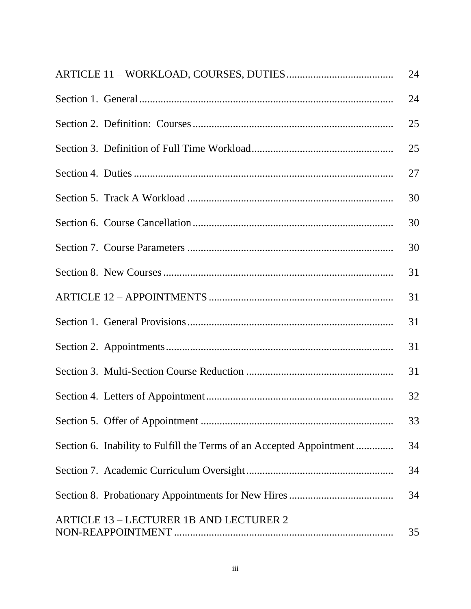|                                                                      | 24 |
|----------------------------------------------------------------------|----|
|                                                                      | 24 |
|                                                                      | 25 |
|                                                                      | 25 |
|                                                                      | 27 |
|                                                                      | 30 |
|                                                                      | 30 |
|                                                                      | 30 |
|                                                                      | 31 |
|                                                                      | 31 |
|                                                                      | 31 |
|                                                                      | 31 |
|                                                                      | 31 |
|                                                                      | 32 |
|                                                                      | 33 |
| Section 6. Inability to Fulfill the Terms of an Accepted Appointment | 34 |
|                                                                      | 34 |
|                                                                      | 34 |
| <b>ARTICLE 13 - LECTURER 1B AND LECTURER 2</b>                       | 35 |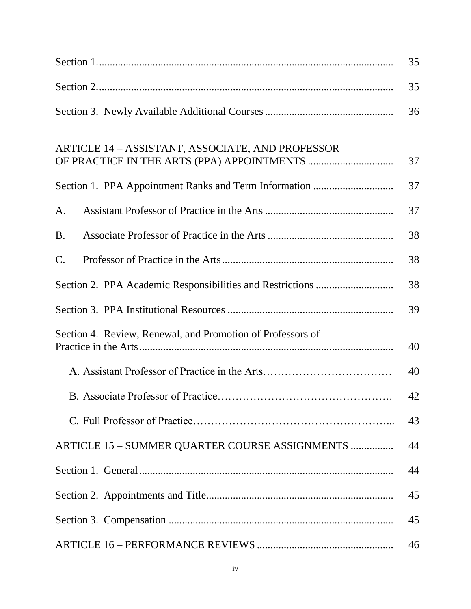|                                                            | 35 |  |  |  |
|------------------------------------------------------------|----|--|--|--|
|                                                            |    |  |  |  |
|                                                            | 36 |  |  |  |
| ARTICLE 14 - ASSISTANT, ASSOCIATE, AND PROFESSOR           | 37 |  |  |  |
|                                                            | 37 |  |  |  |
| A.                                                         | 37 |  |  |  |
| <b>B.</b>                                                  | 38 |  |  |  |
| $\mathsf{C}.$                                              | 38 |  |  |  |
|                                                            | 38 |  |  |  |
|                                                            | 39 |  |  |  |
| Section 4. Review, Renewal, and Promotion of Professors of | 40 |  |  |  |
|                                                            | 40 |  |  |  |
| B. Associate Professor of Practice                         | 42 |  |  |  |
|                                                            | 43 |  |  |  |
| ARTICLE 15 - SUMMER QUARTER COURSE ASSIGNMENTS             | 44 |  |  |  |
|                                                            | 44 |  |  |  |
|                                                            | 45 |  |  |  |
|                                                            | 45 |  |  |  |
|                                                            | 46 |  |  |  |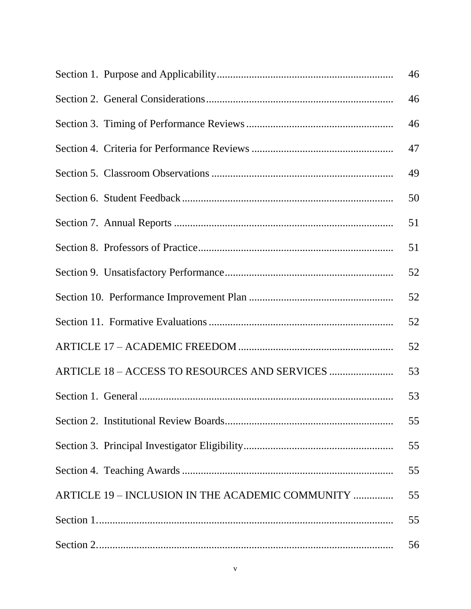|                                                  | 46 |
|--------------------------------------------------|----|
|                                                  | 46 |
|                                                  | 46 |
|                                                  | 47 |
|                                                  | 49 |
|                                                  | 50 |
|                                                  | 51 |
|                                                  | 51 |
|                                                  | 52 |
|                                                  | 52 |
|                                                  | 52 |
|                                                  | 52 |
| ARTICLE 18 - ACCESS TO RESOURCES AND SERVICES    | 53 |
|                                                  | 53 |
|                                                  | 55 |
|                                                  | 55 |
|                                                  | 55 |
| ARTICLE 19 - INCLUSION IN THE ACADEMIC COMMUNITY | 55 |
|                                                  | 55 |
|                                                  | 56 |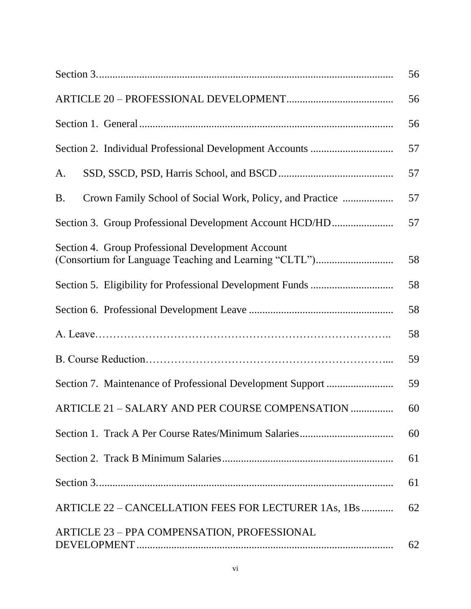|                                                                                                             | 56 |  |  |  |  |
|-------------------------------------------------------------------------------------------------------------|----|--|--|--|--|
|                                                                                                             | 56 |  |  |  |  |
| 56                                                                                                          |    |  |  |  |  |
|                                                                                                             | 57 |  |  |  |  |
| A.                                                                                                          | 57 |  |  |  |  |
| Crown Family School of Social Work, Policy, and Practice<br><b>B.</b>                                       | 57 |  |  |  |  |
| Section 3. Group Professional Development Account HCD/HD                                                    | 57 |  |  |  |  |
| Section 4. Group Professional Development Account<br>(Consortium for Language Teaching and Learning "CLTL") | 58 |  |  |  |  |
|                                                                                                             | 58 |  |  |  |  |
|                                                                                                             | 58 |  |  |  |  |
|                                                                                                             | 58 |  |  |  |  |
|                                                                                                             | 59 |  |  |  |  |
|                                                                                                             | 59 |  |  |  |  |
| ARTICLE 21 - SALARY AND PER COURSE COMPENSATION                                                             | 60 |  |  |  |  |
|                                                                                                             | 60 |  |  |  |  |
|                                                                                                             | 61 |  |  |  |  |
|                                                                                                             | 61 |  |  |  |  |
| ARTICLE 22 – CANCELLATION FEES FOR LECTURER 1As, 1Bs                                                        | 62 |  |  |  |  |
| ARTICLE 23 - PPA COMPENSATION, PROFESSIONAL                                                                 | 62 |  |  |  |  |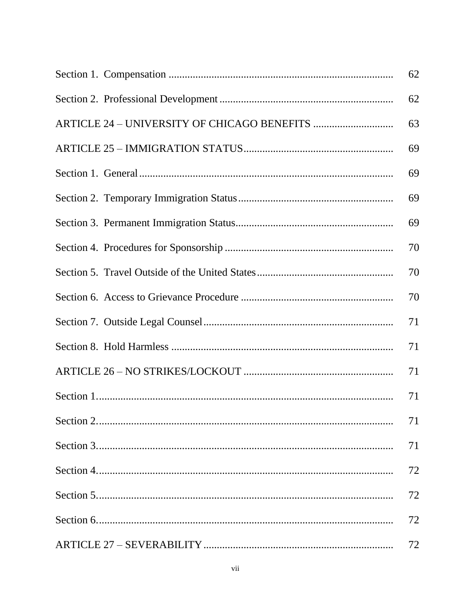| 62 |
|----|
| 62 |
| 63 |
| 69 |
| 69 |
| 69 |
| 69 |
| 70 |
| 70 |
| 70 |
| 71 |
| 71 |
| 71 |
| 71 |
| 71 |
| 71 |
| 72 |
| 72 |
| 72 |
| 72 |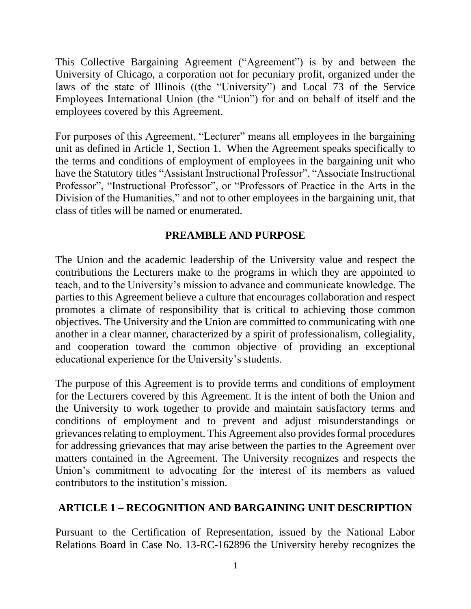This Collective Bargaining Agreement ("Agreement") is by and between the University of Chicago, a corporation not for pecuniary profit, organized under the laws of the state of Illinois ((the "University") and Local 73 of the Service Employees International Union (the "Union") for and on behalf of itself and the employees covered by this Agreement.

For purposes of this Agreement, "Lecturer" means all employees in the bargaining unit as defined in Article 1, Section 1. When the Agreement speaks specifically to the terms and conditions of employment of employees in the bargaining unit who have the Statutory titles "Assistant Instructional Professor", "Associate Instructional Professor", "Instructional Professor", or "Professors of Practice in the Arts in the Division of the Humanities," and not to other employees in the bargaining unit, that class of titles will be named or enumerated.

#### **PREAMBLE AND PURPOSE**

The Union and the academic leadership of the University value and respect the contributions the Lecturers make to the programs in which they are appointed to teach, and to the University's mission to advance and communicate knowledge. The parties to this Agreement believe a culture that encourages collaboration and respect promotes a climate of responsibility that is critical to achieving those common objectives. The University and the Union are committed to communicating with one another in a clear manner, characterized by a spirit of professionalism, collegiality, and cooperation toward the common objective of providing an exceptional educational experience for the University's students.

The purpose of this Agreement is to provide terms and conditions of employment for the Lecturers covered by this Agreement. It is the intent of both the Union and the University to work together to provide and maintain satisfactory terms and conditions of employment and to prevent and adjust misunderstandings or grievances relating to employment. This Agreement also provides formal procedures for addressing grievances that may arise between the parties to the Agreement over matters contained in the Agreement. The University recognizes and respects the Union's commitment to advocating for the interest of its members as valued contributors to the institution's mission.

# **ARTICLE 1 – RECOGNITION AND BARGAINING UNIT DESCRIPTION**

Pursuant to the Certification of Representation, issued by the National Labor Relations Board in Case No. 13-RC-162896 the University hereby recognizes the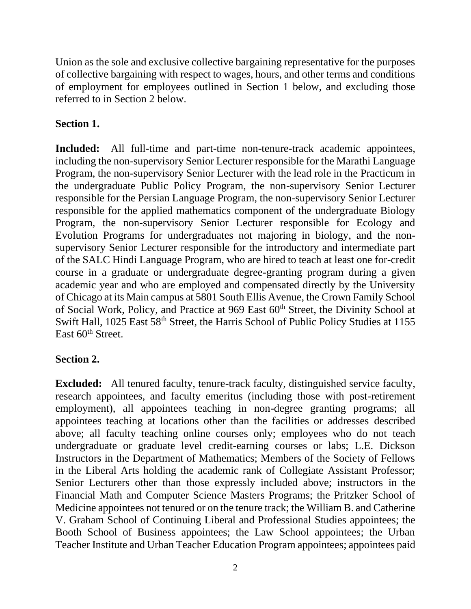Union as the sole and exclusive collective bargaining representative for the purposes of collective bargaining with respect to wages, hours, and other terms and conditions of employment for employees outlined in Section 1 below, and excluding those referred to in Section 2 below.

# **Section 1.**

**Included:** All full-time and part-time non-tenure-track academic appointees, including the non-supervisory Senior Lecturer responsible for the Marathi Language Program, the non-supervisory Senior Lecturer with the lead role in the Practicum in the undergraduate Public Policy Program, the non-supervisory Senior Lecturer responsible for the Persian Language Program, the non-supervisory Senior Lecturer responsible for the applied mathematics component of the undergraduate Biology Program, the non-supervisory Senior Lecturer responsible for Ecology and Evolution Programs for undergraduates not majoring in biology, and the nonsupervisory Senior Lecturer responsible for the introductory and intermediate part of the SALC Hindi Language Program, who are hired to teach at least one for-credit course in a graduate or undergraduate degree-granting program during a given academic year and who are employed and compensated directly by the University of Chicago at its Main campus at 5801 South Ellis Avenue, the Crown Family School of Social Work, Policy, and Practice at 969 East 60<sup>th</sup> Street, the Divinity School at Swift Hall, 1025 East 58<sup>th</sup> Street, the Harris School of Public Policy Studies at 1155 East 60<sup>th</sup> Street.

# **Section 2.**

**Excluded:** All tenured faculty, tenure-track faculty, distinguished service faculty, research appointees, and faculty emeritus (including those with post-retirement employment), all appointees teaching in non-degree granting programs; all appointees teaching at locations other than the facilities or addresses described above; all faculty teaching online courses only; employees who do not teach undergraduate or graduate level credit-earning courses or labs; L.E. Dickson Instructors in the Department of Mathematics; Members of the Society of Fellows in the Liberal Arts holding the academic rank of Collegiate Assistant Professor; Senior Lecturers other than those expressly included above; instructors in the Financial Math and Computer Science Masters Programs; the Pritzker School of Medicine appointees not tenured or on the tenure track; the William B. and Catherine V. Graham School of Continuing Liberal and Professional Studies appointees; the Booth School of Business appointees; the Law School appointees; the Urban Teacher Institute and Urban Teacher Education Program appointees; appointees paid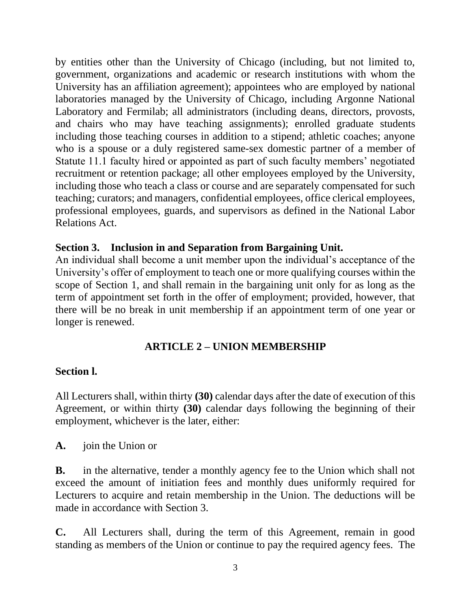by entities other than the University of Chicago (including, but not limited to, government, organizations and academic or research institutions with whom the University has an affiliation agreement); appointees who are employed by national laboratories managed by the University of Chicago, including Argonne National Laboratory and Fermilab; all administrators (including deans, directors, provosts, and chairs who may have teaching assignments); enrolled graduate students including those teaching courses in addition to a stipend; athletic coaches; anyone who is a spouse or a duly registered same-sex domestic partner of a member of Statute 11.1 faculty hired or appointed as part of such faculty members' negotiated recruitment or retention package; all other employees employed by the University, including those who teach a class or course and are separately compensated for such teaching; curators; and managers, confidential employees, office clerical employees, professional employees, guards, and supervisors as defined in the National Labor Relations Act.

#### **Section 3. Inclusion in and Separation from Bargaining Unit.**

An individual shall become a unit member upon the individual's acceptance of the University's offer of employment to teach one or more qualifying courses within the scope of Section 1, and shall remain in the bargaining unit only for as long as the term of appointment set forth in the offer of employment; provided, however, that there will be no break in unit membership if an appointment term of one year or longer is renewed.

#### **ARTICLE 2 – UNION MEMBERSHIP**

#### **Section l.**

All Lecturers shall, within thirty **(30)** calendar days after the date of execution of this Agreement, or within thirty **(30)** calendar days following the beginning of their employment, whichever is the later, either:

**A.** join the Union or

**B.** in the alternative, tender a monthly agency fee to the Union which shall not exceed the amount of initiation fees and monthly dues uniformly required for Lecturers to acquire and retain membership in the Union. The deductions will be made in accordance with Section 3.

**C.** All Lecturers shall, during the term of this Agreement, remain in good standing as members of the Union or continue to pay the required agency fees. The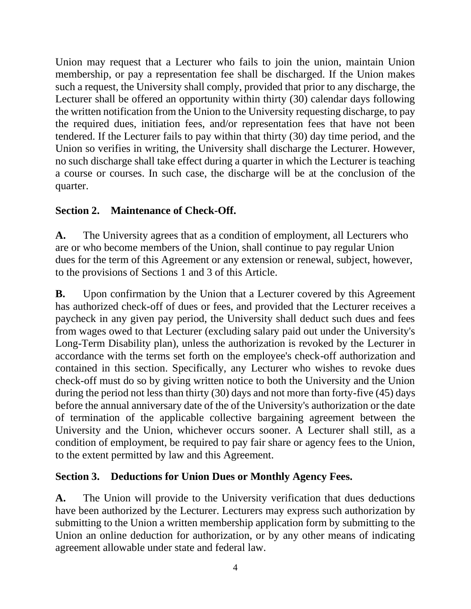Union may request that a Lecturer who fails to join the union, maintain Union membership, or pay a representation fee shall be discharged. If the Union makes such a request, the University shall comply, provided that prior to any discharge, the Lecturer shall be offered an opportunity within thirty (30) calendar days following the written notification from the Union to the University requesting discharge, to pay the required dues, initiation fees, and/or representation fees that have not been tendered. If the Lecturer fails to pay within that thirty (30) day time period, and the Union so verifies in writing, the University shall discharge the Lecturer. However, no such discharge shall take effect during a quarter in which the Lecturer is teaching a course or courses. In such case, the discharge will be at the conclusion of the quarter.

#### **Section 2. Maintenance of Check-Off.**

**A.** The University agrees that as a condition of employment, all Lecturers who are or who become members of the Union, shall continue to pay regular Union dues for the term of this Agreement or any extension or renewal, subject, however, to the provisions of Sections 1 and 3 of this Article.

**B.** Upon confirmation by the Union that a Lecturer covered by this Agreement has authorized check-off of dues or fees, and provided that the Lecturer receives a paycheck in any given pay period, the University shall deduct such dues and fees from wages owed to that Lecturer (excluding salary paid out under the University's Long-Term Disability plan), unless the authorization is revoked by the Lecturer in accordance with the terms set forth on the employee's check-off authorization and contained in this section. Specifically, any Lecturer who wishes to revoke dues check-off must do so by giving written notice to both the University and the Union during the period not less than thirty (30) days and not more than forty-five (45) days before the annual anniversary date of the of the University's authorization or the date of termination of the applicable collective bargaining agreement between the University and the Union, whichever occurs sooner. A Lecturer shall still, as a condition of employment, be required to pay fair share or agency fees to the Union, to the extent permitted by law and this Agreement.

#### **Section 3. Deductions for Union Dues or Monthly Agency Fees.**

**A.** The Union will provide to the University verification that dues deductions have been authorized by the Lecturer. Lecturers may express such authorization by submitting to the Union a written membership application form by submitting to the Union an online deduction for authorization, or by any other means of indicating agreement allowable under state and federal law.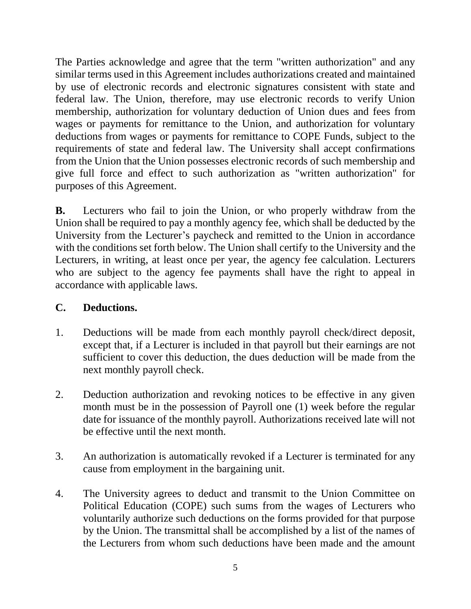The Parties acknowledge and agree that the term "written authorization" and any similar terms used in this Agreement includes authorizations created and maintained by use of electronic records and electronic signatures consistent with state and federal law. The Union, therefore, may use electronic records to verify Union membership, authorization for voluntary deduction of Union dues and fees from wages or payments for remittance to the Union, and authorization for voluntary deductions from wages or payments for remittance to COPE Funds, subject to the requirements of state and federal law. The University shall accept confirmations from the Union that the Union possesses electronic records of such membership and give full force and effect to such authorization as "written authorization" for purposes of this Agreement.

**B.** Lecturers who fail to join the Union, or who properly withdraw from the Union shall be required to pay a monthly agency fee, which shall be deducted by the University from the Lecturer's paycheck and remitted to the Union in accordance with the conditions set forth below. The Union shall certify to the University and the Lecturers, in writing, at least once per year, the agency fee calculation. Lecturers who are subject to the agency fee payments shall have the right to appeal in accordance with applicable laws.

#### **C. Deductions.**

- 1. Deductions will be made from each monthly payroll check/direct deposit, except that, if a Lecturer is included in that payroll but their earnings are not sufficient to cover this deduction, the dues deduction will be made from the next monthly payroll check.
- 2. Deduction authorization and revoking notices to be effective in any given month must be in the possession of Payroll one (1) week before the regular date for issuance of the monthly payroll. Authorizations received late will not be effective until the next month.
- 3. An authorization is automatically revoked if a Lecturer is terminated for any cause from employment in the bargaining unit.
- 4. The University agrees to deduct and transmit to the Union Committee on Political Education (COPE) such sums from the wages of Lecturers who voluntarily authorize such deductions on the forms provided for that purpose by the Union. The transmittal shall be accomplished by a list of the names of the Lecturers from whom such deductions have been made and the amount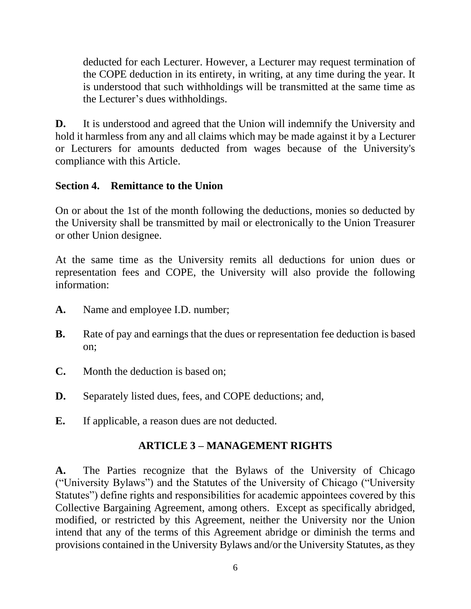deducted for each Lecturer. However, a Lecturer may request termination of the COPE deduction in its entirety, in writing, at any time during the year. It is understood that such withholdings will be transmitted at the same time as the Lecturer's dues withholdings.

**D.** It is understood and agreed that the Union will indemnify the University and hold it harmless from any and all claims which may be made against it by a Lecturer or Lecturers for amounts deducted from wages because of the University's compliance with this Article.

#### **Section 4. Remittance to the Union**

On or about the 1st of the month following the deductions, monies so deducted by the University shall be transmitted by mail or electronically to the Union Treasurer or other Union designee.

At the same time as the University remits all deductions for union dues or representation fees and COPE, the University will also provide the following information:

- **A.** Name and employee I.D. number;
- **B.** Rate of pay and earnings that the dues or representation fee deduction is based on;
- **C.** Month the deduction is based on;
- **D.** Separately listed dues, fees, and COPE deductions; and,
- **E.** If applicable, a reason dues are not deducted.

#### **ARTICLE 3 – MANAGEMENT RIGHTS**

**A.** The Parties recognize that the Bylaws of the University of Chicago ("University Bylaws") and the Statutes of the University of Chicago ("University Statutes") define rights and responsibilities for academic appointees covered by this Collective Bargaining Agreement, among others. Except as specifically abridged, modified, or restricted by this Agreement, neither the University nor the Union intend that any of the terms of this Agreement abridge or diminish the terms and provisions contained in the University Bylaws and/or the University Statutes, as they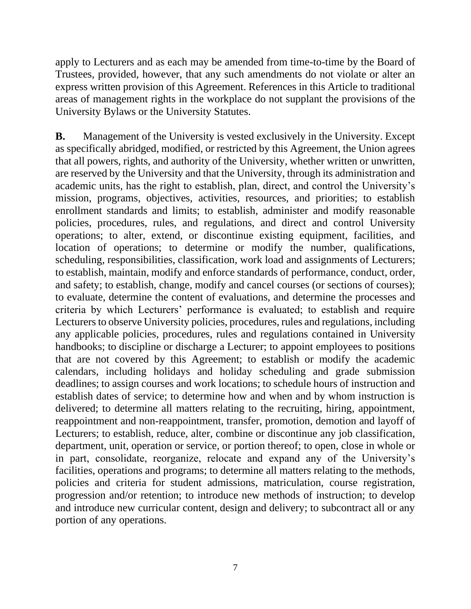apply to Lecturers and as each may be amended from time-to-time by the Board of Trustees, provided, however, that any such amendments do not violate or alter an express written provision of this Agreement. References in this Article to traditional areas of management rights in the workplace do not supplant the provisions of the University Bylaws or the University Statutes.

**B.** Management of the University is vested exclusively in the University. Except as specifically abridged, modified, or restricted by this Agreement, the Union agrees that all powers, rights, and authority of the University, whether written or unwritten, are reserved by the University and that the University, through its administration and academic units, has the right to establish, plan, direct, and control the University's mission, programs, objectives, activities, resources, and priorities; to establish enrollment standards and limits; to establish, administer and modify reasonable policies, procedures, rules, and regulations, and direct and control University operations; to alter, extend, or discontinue existing equipment, facilities, and location of operations; to determine or modify the number, qualifications, scheduling, responsibilities, classification, work load and assignments of Lecturers; to establish, maintain, modify and enforce standards of performance, conduct, order, and safety; to establish, change, modify and cancel courses (or sections of courses); to evaluate, determine the content of evaluations, and determine the processes and criteria by which Lecturers' performance is evaluated; to establish and require Lecturers to observe University policies, procedures, rules and regulations, including any applicable policies, procedures, rules and regulations contained in University handbooks; to discipline or discharge a Lecturer; to appoint employees to positions that are not covered by this Agreement; to establish or modify the academic calendars, including holidays and holiday scheduling and grade submission deadlines; to assign courses and work locations; to schedule hours of instruction and establish dates of service; to determine how and when and by whom instruction is delivered; to determine all matters relating to the recruiting, hiring, appointment, reappointment and non-reappointment, transfer, promotion, demotion and layoff of Lecturers; to establish, reduce, alter, combine or discontinue any job classification, department, unit, operation or service, or portion thereof; to open, close in whole or in part, consolidate, reorganize, relocate and expand any of the University's facilities, operations and programs; to determine all matters relating to the methods, policies and criteria for student admissions, matriculation, course registration, progression and/or retention; to introduce new methods of instruction; to develop and introduce new curricular content, design and delivery; to subcontract all or any portion of any operations.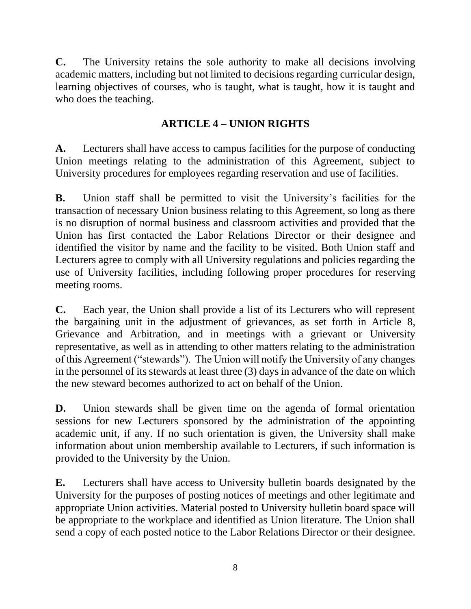**C.** The University retains the sole authority to make all decisions involving academic matters, including but not limited to decisions regarding curricular design, learning objectives of courses, who is taught, what is taught, how it is taught and who does the teaching.

# **ARTICLE 4 – UNION RIGHTS**

**A.** Lecturers shall have access to campus facilities for the purpose of conducting Union meetings relating to the administration of this Agreement, subject to University procedures for employees regarding reservation and use of facilities.

**B.** Union staff shall be permitted to visit the University's facilities for the transaction of necessary Union business relating to this Agreement, so long as there is no disruption of normal business and classroom activities and provided that the Union has first contacted the Labor Relations Director or their designee and identified the visitor by name and the facility to be visited. Both Union staff and Lecturers agree to comply with all University regulations and policies regarding the use of University facilities, including following proper procedures for reserving meeting rooms.

**C.** Each year, the Union shall provide a list of its Lecturers who will represent the bargaining unit in the adjustment of grievances, as set forth in Article 8, Grievance and Arbitration, and in meetings with a grievant or University representative, as well as in attending to other matters relating to the administration of this Agreement ("stewards"). The Union will notify the University of any changes in the personnel of its stewards at least three (3) days in advance of the date on which the new steward becomes authorized to act on behalf of the Union.

**D.** Union stewards shall be given time on the agenda of formal orientation sessions for new Lecturers sponsored by the administration of the appointing academic unit, if any. If no such orientation is given, the University shall make information about union membership available to Lecturers, if such information is provided to the University by the Union.

**E.** Lecturers shall have access to University bulletin boards designated by the University for the purposes of posting notices of meetings and other legitimate and appropriate Union activities. Material posted to University bulletin board space will be appropriate to the workplace and identified as Union literature. The Union shall send a copy of each posted notice to the Labor Relations Director or their designee.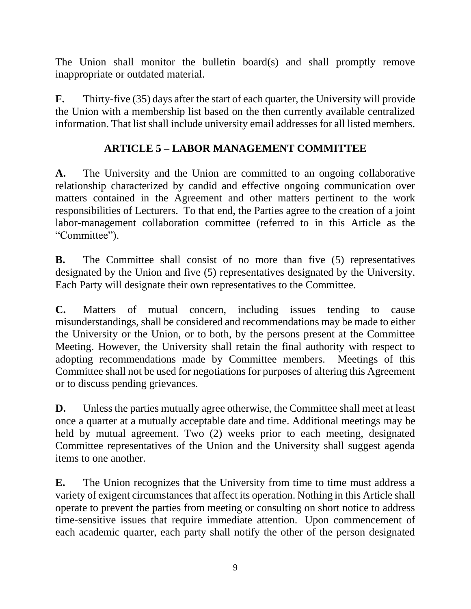The Union shall monitor the bulletin board(s) and shall promptly remove inappropriate or outdated material.

**F.** Thirty-five (35) days after the start of each quarter, the University will provide the Union with a membership list based on the then currently available centralized information. That list shall include university email addresses for all listed members.

# **ARTICLE 5 – LABOR MANAGEMENT COMMITTEE**

**A.** The University and the Union are committed to an ongoing collaborative relationship characterized by candid and effective ongoing communication over matters contained in the Agreement and other matters pertinent to the work responsibilities of Lecturers. To that end, the Parties agree to the creation of a joint labor-management collaboration committee (referred to in this Article as the "Committee").

**B.** The Committee shall consist of no more than five (5) representatives designated by the Union and five (5) representatives designated by the University. Each Party will designate their own representatives to the Committee.

**C.** Matters of mutual concern, including issues tending to cause misunderstandings, shall be considered and recommendations may be made to either the University or the Union, or to both, by the persons present at the Committee Meeting. However, the University shall retain the final authority with respect to adopting recommendations made by Committee members. Meetings of this Committee shall not be used for negotiations for purposes of altering this Agreement or to discuss pending grievances.

**D.** Unless the parties mutually agree otherwise, the Committee shall meet at least once a quarter at a mutually acceptable date and time. Additional meetings may be held by mutual agreement. Two (2) weeks prior to each meeting, designated Committee representatives of the Union and the University shall suggest agenda items to one another.

**E.** The Union recognizes that the University from time to time must address a variety of exigent circumstances that affect its operation. Nothing in this Article shall operate to prevent the parties from meeting or consulting on short notice to address time-sensitive issues that require immediate attention. Upon commencement of each academic quarter, each party shall notify the other of the person designated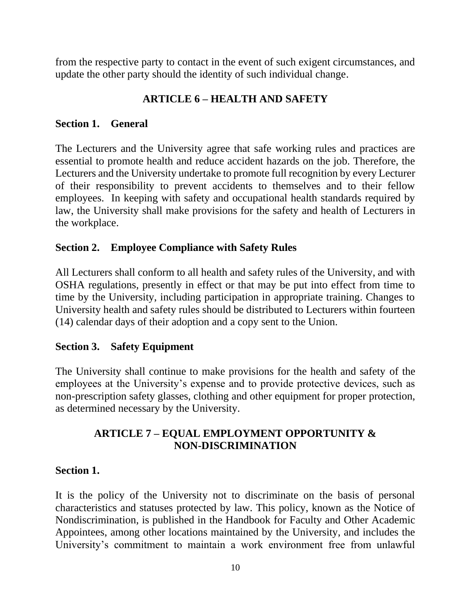from the respective party to contact in the event of such exigent circumstances, and update the other party should the identity of such individual change.

# **ARTICLE 6 – HEALTH AND SAFETY**

#### **Section 1. General**

The Lecturers and the University agree that safe working rules and practices are essential to promote health and reduce accident hazards on the job. Therefore, the Lecturers and the University undertake to promote full recognition by every Lecturer of their responsibility to prevent accidents to themselves and to their fellow employees. In keeping with safety and occupational health standards required by law, the University shall make provisions for the safety and health of Lecturers in the workplace.

#### **Section 2. Employee Compliance with Safety Rules**

All Lecturers shall conform to all health and safety rules of the University, and with OSHA regulations, presently in effect or that may be put into effect from time to time by the University, including participation in appropriate training. Changes to University health and safety rules should be distributed to Lecturers within fourteen (14) calendar days of their adoption and a copy sent to the Union.

#### **Section 3. Safety Equipment**

The University shall continue to make provisions for the health and safety of the employees at the University's expense and to provide protective devices, such as non-prescription safety glasses, clothing and other equipment for proper protection, as determined necessary by the University.

#### **ARTICLE 7 – EQUAL EMPLOYMENT OPPORTUNITY & NON-DISCRIMINATION**

#### **Section 1.**

It is the policy of the University not to discriminate on the basis of personal characteristics and statuses protected by law. This policy, known as the Notice of Nondiscrimination, is published in the Handbook for Faculty and Other Academic Appointees, among other locations maintained by the University, and includes the University's commitment to maintain a work environment free from unlawful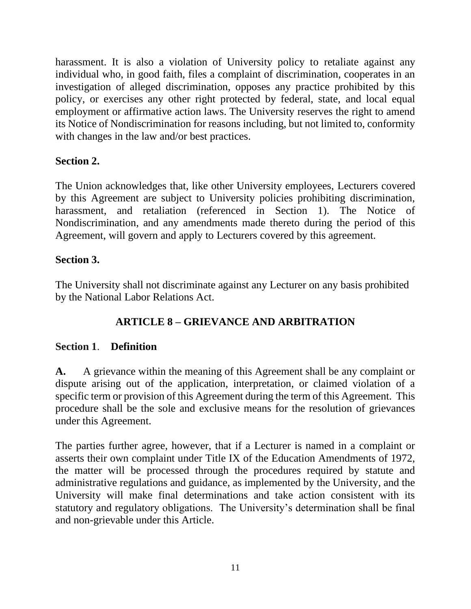harassment. It is also a violation of University policy to retaliate against any individual who, in good faith, files a complaint of discrimination, cooperates in an investigation of alleged discrimination, opposes any practice prohibited by this policy, or exercises any other right protected by federal, state, and local equal employment or affirmative action laws. The University reserves the right to amend its Notice of Nondiscrimination for reasons including, but not limited to, conformity with changes in the law and/or best practices.

#### **Section 2.**

The Union acknowledges that, like other University employees, Lecturers covered by this Agreement are subject to University policies prohibiting discrimination, harassment, and retaliation (referenced in Section 1). The Notice of Nondiscrimination, and any amendments made thereto during the period of this Agreement, will govern and apply to Lecturers covered by this agreement.

#### **Section 3.**

The University shall not discriminate against any Lecturer on any basis prohibited by the National Labor Relations Act.

# **ARTICLE 8 – GRIEVANCE AND ARBITRATION**

#### **Section 1**. **Definition**

**A.** A grievance within the meaning of this Agreement shall be any complaint or dispute arising out of the application, interpretation, or claimed violation of a specific term or provision of this Agreement during the term of this Agreement. This procedure shall be the sole and exclusive means for the resolution of grievances under this Agreement.

The parties further agree, however, that if a Lecturer is named in a complaint or asserts their own complaint under Title IX of the Education Amendments of 1972, the matter will be processed through the procedures required by statute and administrative regulations and guidance, as implemented by the University, and the University will make final determinations and take action consistent with its statutory and regulatory obligations. The University's determination shall be final and non-grievable under this Article.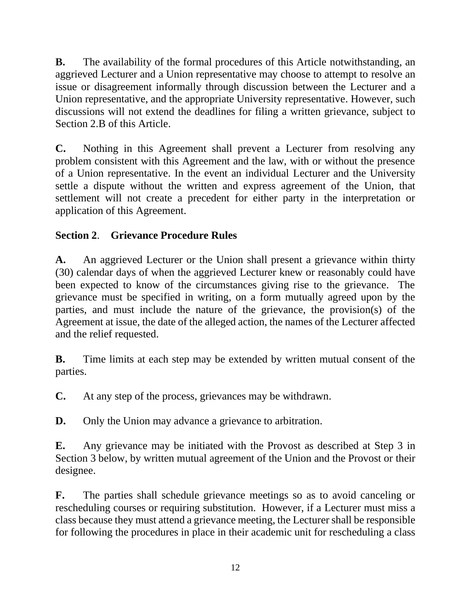**B.** The availability of the formal procedures of this Article notwithstanding, an aggrieved Lecturer and a Union representative may choose to attempt to resolve an issue or disagreement informally through discussion between the Lecturer and a Union representative, and the appropriate University representative. However, such discussions will not extend the deadlines for filing a written grievance, subject to Section 2.B of this Article.

**C.** Nothing in this Agreement shall prevent a Lecturer from resolving any problem consistent with this Agreement and the law, with or without the presence of a Union representative. In the event an individual Lecturer and the University settle a dispute without the written and express agreement of the Union, that settlement will not create a precedent for either party in the interpretation or application of this Agreement.

# **Section 2**. **Grievance Procedure Rules**

**A.** An aggrieved Lecturer or the Union shall present a grievance within thirty (30) calendar days of when the aggrieved Lecturer knew or reasonably could have been expected to know of the circumstances giving rise to the grievance. The grievance must be specified in writing, on a form mutually agreed upon by the parties, and must include the nature of the grievance, the provision(s) of the Agreement at issue, the date of the alleged action, the names of the Lecturer affected and the relief requested.

**B.** Time limits at each step may be extended by written mutual consent of the parties.

**C.** At any step of the process, grievances may be withdrawn.

**D.** Only the Union may advance a grievance to arbitration.

**E.** Any grievance may be initiated with the Provost as described at Step 3 in Section 3 below, by written mutual agreement of the Union and the Provost or their designee.

**F.** The parties shall schedule grievance meetings so as to avoid canceling or rescheduling courses or requiring substitution. However, if a Lecturer must miss a class because they must attend a grievance meeting, the Lecturershall be responsible for following the procedures in place in their academic unit for rescheduling a class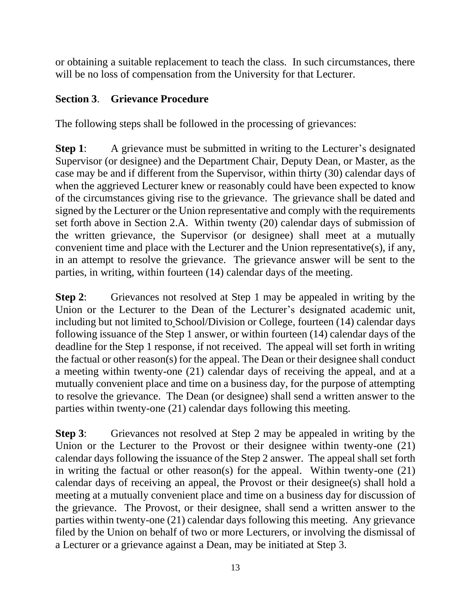or obtaining a suitable replacement to teach the class. In such circumstances, there will be no loss of compensation from the University for that Lecturer.

# **Section 3**. **Grievance Procedure**

The following steps shall be followed in the processing of grievances:

**Step 1:** A grievance must be submitted in writing to the Lecturer's designated Supervisor (or designee) and the Department Chair, Deputy Dean, or Master, as the case may be and if different from the Supervisor, within thirty (30) calendar days of when the aggrieved Lecturer knew or reasonably could have been expected to know of the circumstances giving rise to the grievance. The grievance shall be dated and signed by the Lecturer or the Union representative and comply with the requirements set forth above in Section 2.A. Within twenty (20) calendar days of submission of the written grievance, the Supervisor (or designee) shall meet at a mutually convenient time and place with the Lecturer and the Union representative(s), if any, in an attempt to resolve the grievance. The grievance answer will be sent to the parties, in writing, within fourteen (14) calendar days of the meeting.

**Step 2:** Grievances not resolved at Step 1 may be appealed in writing by the Union or the Lecturer to the Dean of the Lecturer's designated academic unit, including but not limited to School/Division or College, fourteen (14) calendar days following issuance of the Step 1 answer, or within fourteen (14) calendar days of the deadline for the Step 1 response, if not received. The appeal will set forth in writing the factual or other reason(s) for the appeal. The Dean or their designee shall conduct a meeting within twenty-one (21) calendar days of receiving the appeal, and at a mutually convenient place and time on a business day, for the purpose of attempting to resolve the grievance. The Dean (or designee) shall send a written answer to the parties within twenty-one (21) calendar days following this meeting.

**Step 3:** Grievances not resolved at Step 2 may be appealed in writing by the Union or the Lecturer to the Provost or their designee within twenty-one (21) calendar days following the issuance of the Step 2 answer. The appeal shall set forth in writing the factual or other reason(s) for the appeal. Within twenty-one (21) calendar days of receiving an appeal, the Provost or their designee(s) shall hold a meeting at a mutually convenient place and time on a business day for discussion of the grievance. The Provost, or their designee, shall send a written answer to the parties within twenty-one (21) calendar days following this meeting. Any grievance filed by the Union on behalf of two or more Lecturers, or involving the dismissal of a Lecturer or a grievance against a Dean, may be initiated at Step 3.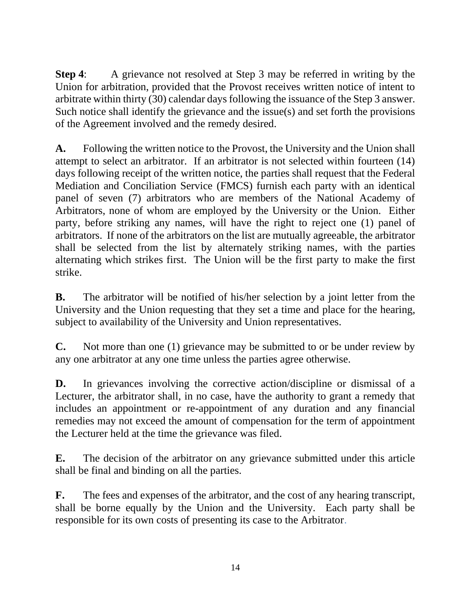**Step 4:** A grievance not resolved at Step 3 may be referred in writing by the Union for arbitration, provided that the Provost receives written notice of intent to arbitrate within thirty (30) calendar days following the issuance of the Step 3 answer. Such notice shall identify the grievance and the issue(s) and set forth the provisions of the Agreement involved and the remedy desired.

**A.** Following the written notice to the Provost, the University and the Union shall attempt to select an arbitrator. If an arbitrator is not selected within fourteen (14) days following receipt of the written notice, the parties shall request that the Federal Mediation and Conciliation Service (FMCS) furnish each party with an identical panel of seven (7) arbitrators who are members of the National Academy of Arbitrators, none of whom are employed by the University or the Union. Either party, before striking any names, will have the right to reject one (1) panel of arbitrators. If none of the arbitrators on the list are mutually agreeable, the arbitrator shall be selected from the list by alternately striking names, with the parties alternating which strikes first. The Union will be the first party to make the first strike.

**B.** The arbitrator will be notified of his/her selection by a joint letter from the University and the Union requesting that they set a time and place for the hearing, subject to availability of the University and Union representatives.

**C.** Not more than one (1) grievance may be submitted to or be under review by any one arbitrator at any one time unless the parties agree otherwise.

**D.** In grievances involving the corrective action/discipline or dismissal of a Lecturer, the arbitrator shall, in no case, have the authority to grant a remedy that includes an appointment or re-appointment of any duration and any financial remedies may not exceed the amount of compensation for the term of appointment the Lecturer held at the time the grievance was filed.

**E.** The decision of the arbitrator on any grievance submitted under this article shall be final and binding on all the parties.

**F.** The fees and expenses of the arbitrator, and the cost of any hearing transcript, shall be borne equally by the Union and the University. Each party shall be responsible for its own costs of presenting its case to the Arbitrator.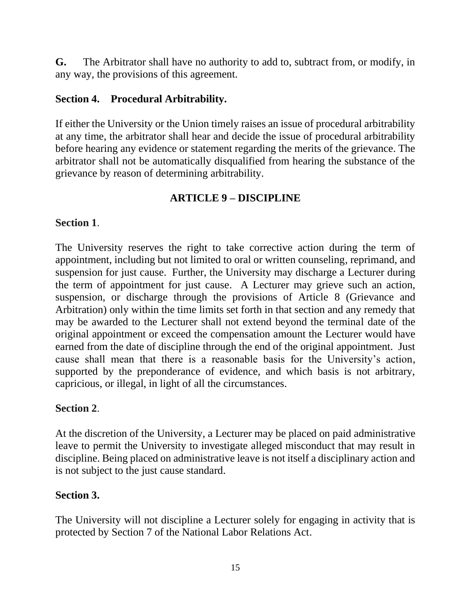**G.** The Arbitrator shall have no authority to add to, subtract from, or modify, in any way, the provisions of this agreement.

#### **Section 4. Procedural Arbitrability.**

If either the University or the Union timely raises an issue of procedural arbitrability at any time, the arbitrator shall hear and decide the issue of procedural arbitrability before hearing any evidence or statement regarding the merits of the grievance. The arbitrator shall not be automatically disqualified from hearing the substance of the grievance by reason of determining arbitrability.

#### **ARTICLE 9 – DISCIPLINE**

#### **Section 1**.

The University reserves the right to take corrective action during the term of appointment, including but not limited to oral or written counseling, reprimand, and suspension for just cause. Further, the University may discharge a Lecturer during the term of appointment for just cause. A Lecturer may grieve such an action, suspension, or discharge through the provisions of Article 8 (Grievance and Arbitration) only within the time limits set forth in that section and any remedy that may be awarded to the Lecturer shall not extend beyond the terminal date of the original appointment or exceed the compensation amount the Lecturer would have earned from the date of discipline through the end of the original appointment. Just cause shall mean that there is a reasonable basis for the University's action, supported by the preponderance of evidence, and which basis is not arbitrary, capricious, or illegal, in light of all the circumstances.

#### **Section 2**.

At the discretion of the University, a Lecturer may be placed on paid administrative leave to permit the University to investigate alleged misconduct that may result in discipline. Being placed on administrative leave is not itself a disciplinary action and is not subject to the just cause standard.

#### **Section 3.**

The University will not discipline a Lecturer solely for engaging in activity that is protected by Section 7 of the National Labor Relations Act.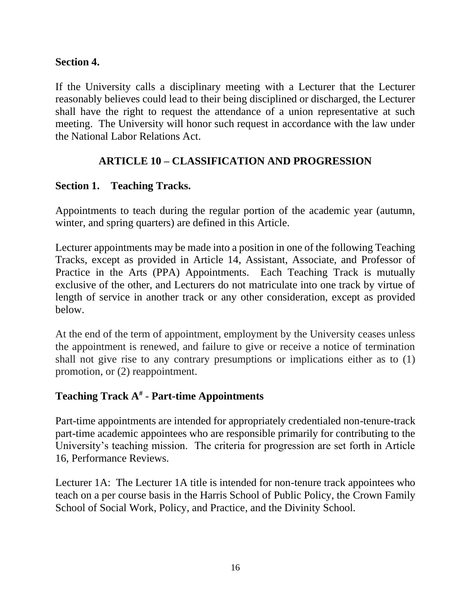#### **Section 4.**

If the University calls a disciplinary meeting with a Lecturer that the Lecturer reasonably believes could lead to their being disciplined or discharged, the Lecturer shall have the right to request the attendance of a union representative at such meeting. The University will honor such request in accordance with the law under the National Labor Relations Act.

#### **ARTICLE 10 – CLASSIFICATION AND PROGRESSION**

#### **Section 1. Teaching Tracks.**

Appointments to teach during the regular portion of the academic year (autumn, winter, and spring quarters) are defined in this Article.

Lecturer appointments may be made into a position in one of the following Teaching Tracks, except as provided in Article 14, Assistant, Associate, and Professor of Practice in the Arts (PPA) Appointments. Each Teaching Track is mutually exclusive of the other, and Lecturers do not matriculate into one track by virtue of length of service in another track or any other consideration, except as provided below.

At the end of the term of appointment, employment by the University ceases unless the appointment is renewed, and failure to give or receive a notice of termination shall not give rise to any contrary presumptions or implications either as to (1) promotion, or (2) reappointment.

#### **Teaching Track A#** - **Part-time Appointments**

Part-time appointments are intended for appropriately credentialed non-tenure-track part-time academic appointees who are responsible primarily for contributing to the University's teaching mission. The criteria for progression are set forth in Article 16, Performance Reviews.

Lecturer 1A: The Lecturer 1A title is intended for non-tenure track appointees who teach on a per course basis in the Harris School of Public Policy, the Crown Family School of Social Work, Policy, and Practice, and the Divinity School.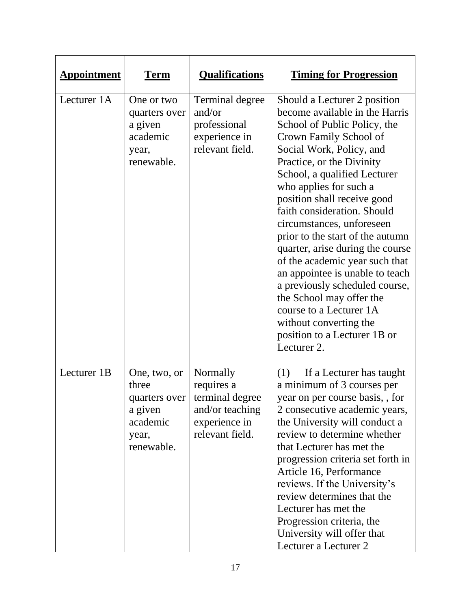| <b>Appointment</b> | <b>Term</b>                                                               | <b>Qualifications</b>                                                                                            | <b>Timing for Progression</b>                                                                                                                                                                                                                                                                                                                                                                                                                                                                                                                                                                                                                         |
|--------------------|---------------------------------------------------------------------------|------------------------------------------------------------------------------------------------------------------|-------------------------------------------------------------------------------------------------------------------------------------------------------------------------------------------------------------------------------------------------------------------------------------------------------------------------------------------------------------------------------------------------------------------------------------------------------------------------------------------------------------------------------------------------------------------------------------------------------------------------------------------------------|
| Lecturer 1A        | One or two<br>quarters over<br>a given<br>academic<br>year,<br>renewable. | <b>Terminal degree</b><br>and/or<br>professional<br>experience in<br>relevant field.                             | Should a Lecturer 2 position<br>become available in the Harris<br>School of Public Policy, the<br>Crown Family School of<br>Social Work, Policy, and<br>Practice, or the Divinity<br>School, a qualified Lecturer<br>who applies for such a<br>position shall receive good<br>faith consideration. Should<br>circumstances, unforeseen<br>prior to the start of the autumn<br>quarter, arise during the course<br>of the academic year such that<br>an appointee is unable to teach<br>a previously scheduled course,<br>the School may offer the<br>course to a Lecturer 1A<br>without converting the<br>position to a Lecturer 1B or<br>Lecturer 2. |
| Lecturer 1B        | One, two, or<br>three<br>a given<br>academic<br>year,<br>renewable.       | Normally<br>requires a<br>quarters over   terminal degree<br>and/or teaching<br>experience in<br>relevant field. | (1)<br>If a Lecturer has taught<br>a minimum of 3 courses per<br>year on per course basis, , for<br>2 consecutive academic years,<br>the University will conduct a<br>review to determine whether<br>that Lecturer has met the<br>progression criteria set forth in<br>Article 16, Performance<br>reviews. If the University's<br>review determines that the<br>Lecturer has met the<br>Progression criteria, the<br>University will offer that<br>Lecturer a Lecturer 2                                                                                                                                                                              |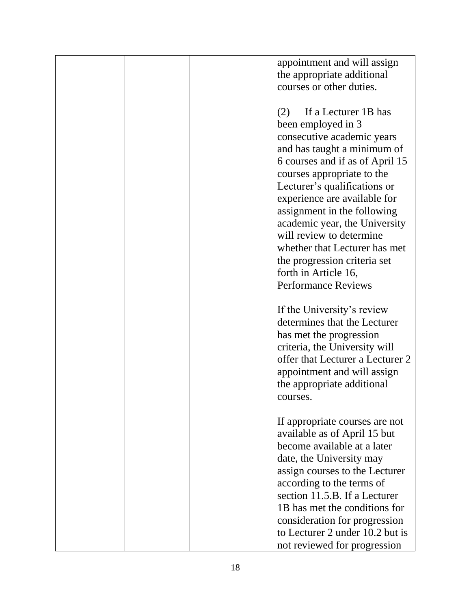|  | appointment and will assign      |
|--|----------------------------------|
|  | the appropriate additional       |
|  | courses or other duties.         |
|  |                                  |
|  |                                  |
|  | If a Lecturer 1B has<br>(2)      |
|  | been employed in 3               |
|  | consecutive academic years       |
|  | and has taught a minimum of      |
|  | 6 courses and if as of April 15  |
|  | courses appropriate to the       |
|  | Lecturer's qualifications or     |
|  |                                  |
|  | experience are available for     |
|  | assignment in the following      |
|  | academic year, the University    |
|  | will review to determine         |
|  | whether that Lecturer has met    |
|  | the progression criteria set     |
|  | forth in Article 16,             |
|  | <b>Performance Reviews</b>       |
|  |                                  |
|  |                                  |
|  | If the University's review       |
|  | determines that the Lecturer     |
|  | has met the progression          |
|  | criteria, the University will    |
|  | offer that Lecturer a Lecturer 2 |
|  | appointment and will assign      |
|  | the appropriate additional       |
|  | courses.                         |
|  |                                  |
|  | If appropriate courses are not   |
|  |                                  |
|  | available as of April 15 but     |
|  | become available at a later      |
|  | date, the University may         |
|  | assign courses to the Lecturer   |
|  | according to the terms of        |
|  | section 11.5.B. If a Lecturer    |
|  | 1B has met the conditions for    |
|  | consideration for progression    |
|  | to Lecturer 2 under 10.2 but is  |
|  |                                  |
|  | not reviewed for progression     |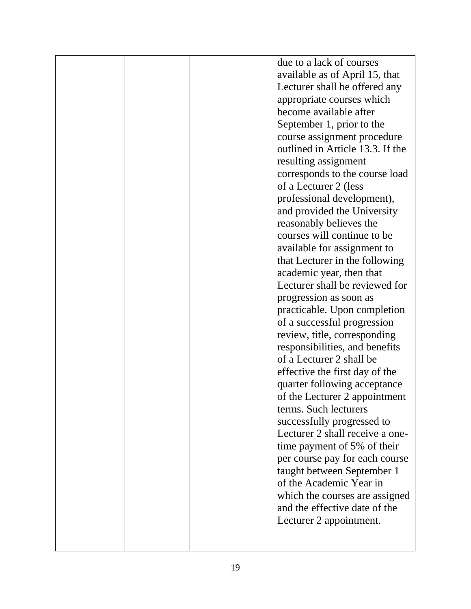|  | due to a lack of courses         |
|--|----------------------------------|
|  | available as of April 15, that   |
|  |                                  |
|  | Lecturer shall be offered any    |
|  | appropriate courses which        |
|  | become available after           |
|  | September 1, prior to the        |
|  |                                  |
|  | course assignment procedure      |
|  | outlined in Article 13.3. If the |
|  | resulting assignment             |
|  | corresponds to the course load   |
|  | of a Lecturer 2 (less            |
|  | professional development),       |
|  |                                  |
|  | and provided the University      |
|  | reasonably believes the          |
|  | courses will continue to be      |
|  | available for assignment to      |
|  | that Lecturer in the following   |
|  | academic year, then that         |
|  | Lecturer shall be reviewed for   |
|  |                                  |
|  | progression as soon as           |
|  | practicable. Upon completion     |
|  | of a successful progression      |
|  | review, title, corresponding     |
|  | responsibilities, and benefits   |
|  | of a Lecturer 2 shall be         |
|  | effective the first day of the   |
|  |                                  |
|  | quarter following acceptance     |
|  | of the Lecturer 2 appointment    |
|  | terms. Such lecturers            |
|  | successfully progressed to       |
|  | Lecturer 2 shall receive a one-  |
|  | time payment of 5% of their      |
|  |                                  |
|  | per course pay for each course   |
|  | taught between September 1       |
|  | of the Academic Year in          |
|  | which the courses are assigned   |
|  | and the effective date of the    |
|  | Lecturer 2 appointment.          |
|  |                                  |
|  |                                  |
|  |                                  |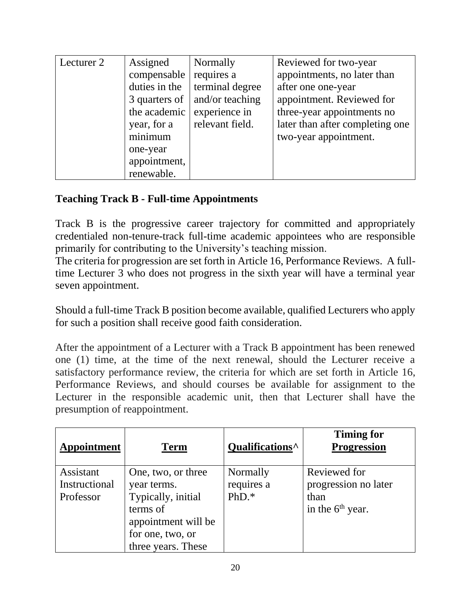| Lecturer 2 | Assigned      | Normally        | Reviewed for two-year           |
|------------|---------------|-----------------|---------------------------------|
|            | compensable   | requires a      | appointments, no later than     |
|            | duties in the | terminal degree | after one one-year              |
|            | 3 quarters of | and/or teaching | appointment. Reviewed for       |
|            | the academic  | experience in   | three-year appointments no      |
|            | year, for a   | relevant field. | later than after completing one |
|            | minimum       |                 | two-year appointment.           |
|            | one-year      |                 |                                 |
|            | appointment,  |                 |                                 |
|            | renewable.    |                 |                                 |

#### **Teaching Track B - Full-time Appointments**

Track B is the progressive career trajectory for committed and appropriately credentialed non-tenure-track full-time academic appointees who are responsible primarily for contributing to the University's teaching mission.

The criteria for progression are set forth in Article 16, Performance Reviews. A fulltime Lecturer 3 who does not progress in the sixth year will have a terminal year seven appointment.

Should a full-time Track B position become available, qualified Lecturers who apply for such a position shall receive good faith consideration.

After the appointment of a Lecturer with a Track B appointment has been renewed one (1) time, at the time of the next renewal, should the Lecturer receive a satisfactory performance review, the criteria for which are set forth in Article 16, Performance Reviews, and should courses be available for assignment to the Lecturer in the responsible academic unit, then that Lecturer shall have the presumption of reappointment.

| <b>Appointment</b>                      | <b>Term</b>                                                                                                                          | Qualifications <sup>^</sup>       | <b>Timing for</b><br><b>Progression</b>                            |
|-----------------------------------------|--------------------------------------------------------------------------------------------------------------------------------------|-----------------------------------|--------------------------------------------------------------------|
| Assistant<br>Instructional<br>Professor | One, two, or three<br>year terms.<br>Typically, initial<br>terms of<br>appointment will be<br>for one, two, or<br>three years. These | Normally<br>requires a<br>$PhD.*$ | Reviewed for<br>progression no later<br>than<br>in the $6th$ year. |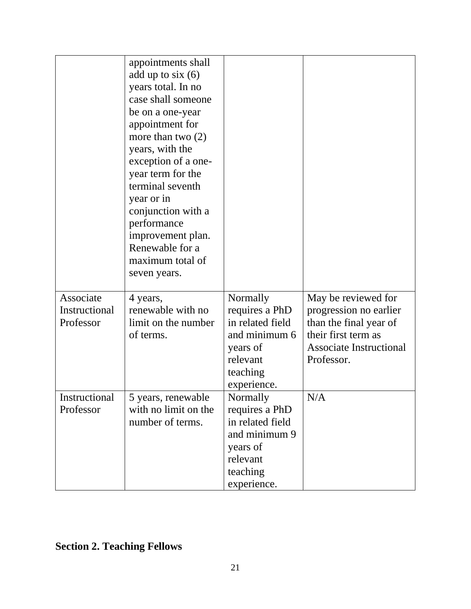|                                         | appointments shall<br>add up to $six(6)$<br>years total. In no<br>case shall someone<br>be on a one-year<br>appointment for<br>more than two $(2)$<br>years, with the<br>exception of a one-<br>year term for the<br>terminal seventh<br>year or in<br>conjunction with a<br>performance<br>improvement plan.<br>Renewable for a<br>maximum total of<br>seven years. |                                                                                                                    |                                                                                                                                                |
|-----------------------------------------|----------------------------------------------------------------------------------------------------------------------------------------------------------------------------------------------------------------------------------------------------------------------------------------------------------------------------------------------------------------------|--------------------------------------------------------------------------------------------------------------------|------------------------------------------------------------------------------------------------------------------------------------------------|
| Associate<br>Instructional<br>Professor | 4 years,<br>renewable with no<br>limit on the number<br>of terms.                                                                                                                                                                                                                                                                                                    | Normally<br>requires a PhD<br>in related field<br>and minimum 6<br>years of<br>relevant                            | May be reviewed for<br>progression no earlier<br>than the final year of<br>their first term as<br><b>Associate Instructional</b><br>Professor. |
|                                         |                                                                                                                                                                                                                                                                                                                                                                      | teaching<br>experience.                                                                                            |                                                                                                                                                |
| Instructional<br>Professor              | 5 years, renewable<br>with no limit on the<br>number of terms.                                                                                                                                                                                                                                                                                                       | Normally<br>requires a PhD<br>in related field<br>and minimum 9<br>years of<br>relevant<br>teaching<br>experience. | N/A                                                                                                                                            |

# **Section 2. Teaching Fellows**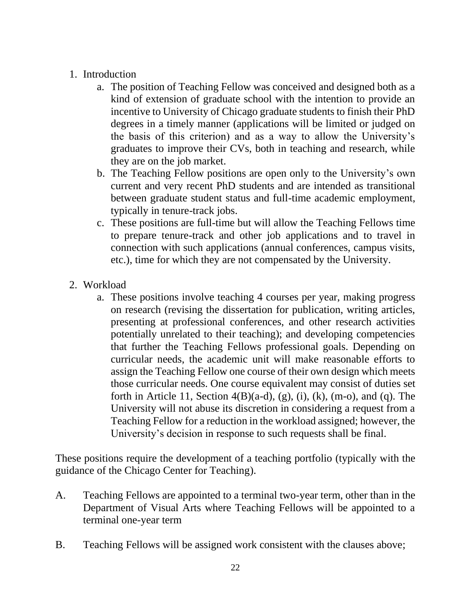#### 1. Introduction

- a. The position of Teaching Fellow was conceived and designed both as a kind of extension of graduate school with the intention to provide an incentive to University of Chicago graduate students to finish their PhD degrees in a timely manner (applications will be limited or judged on the basis of this criterion) and as a way to allow the University's graduates to improve their CVs, both in teaching and research, while they are on the job market.
- b. The Teaching Fellow positions are open only to the University's own current and very recent PhD students and are intended as transitional between graduate student status and full-time academic employment, typically in tenure-track jobs.
- c. These positions are full-time but will allow the Teaching Fellows time to prepare tenure-track and other job applications and to travel in connection with such applications (annual conferences, campus visits, etc.), time for which they are not compensated by the University.
- 2. Workload
	- a. These positions involve teaching 4 courses per year, making progress on research (revising the dissertation for publication, writing articles, presenting at professional conferences, and other research activities potentially unrelated to their teaching); and developing competencies that further the Teaching Fellows professional goals. Depending on curricular needs, the academic unit will make reasonable efforts to assign the Teaching Fellow one course of their own design which meets those curricular needs. One course equivalent may consist of duties set forth in Article 11, Section 4(B)(a-d), (g), (i), (k), (m-o), and (q). The University will not abuse its discretion in considering a request from a Teaching Fellow for a reduction in the workload assigned; however, the University's decision in response to such requests shall be final.

These positions require the development of a teaching portfolio (typically with the guidance of the Chicago Center for Teaching).

- A. Teaching Fellows are appointed to a terminal two-year term, other than in the Department of Visual Arts where Teaching Fellows will be appointed to a terminal one-year term
- B. Teaching Fellows will be assigned work consistent with the clauses above;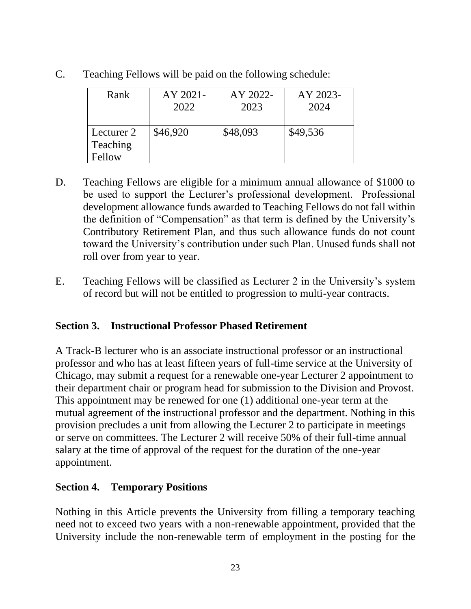| Rank                             | AY 2021- | AY 2022- | AY 2023- |
|----------------------------------|----------|----------|----------|
|                                  | 2022     | 2023     | 2024     |
| Lecturer 2<br>Teaching<br>Fellow | \$46,920 | \$48,093 | \$49,536 |

C. Teaching Fellows will be paid on the following schedule:

- D. Teaching Fellows are eligible for a minimum annual allowance of \$1000 to be used to support the Lecturer's professional development. Professional development allowance funds awarded to Teaching Fellows do not fall within the definition of "Compensation" as that term is defined by the University's Contributory Retirement Plan, and thus such allowance funds do not count toward the University's contribution under such Plan. Unused funds shall not roll over from year to year.
- E. Teaching Fellows will be classified as Lecturer 2 in the University's system of record but will not be entitled to progression to multi-year contracts.

#### **Section 3. Instructional Professor Phased Retirement**

A Track-B lecturer who is an associate instructional professor or an instructional professor and who has at least fifteen years of full-time service at the University of Chicago, may submit a request for a renewable one-year Lecturer 2 appointment to their department chair or program head for submission to the Division and Provost. This appointment may be renewed for one (1) additional one-year term at the mutual agreement of the instructional professor and the department. Nothing in this provision precludes a unit from allowing the Lecturer 2 to participate in meetings or serve on committees. The Lecturer 2 will receive 50% of their full-time annual salary at the time of approval of the request for the duration of the one-year appointment.

#### **Section 4. Temporary Positions**

Nothing in this Article prevents the University from filling a temporary teaching need not to exceed two years with a non-renewable appointment, provided that the University include the non-renewable term of employment in the posting for the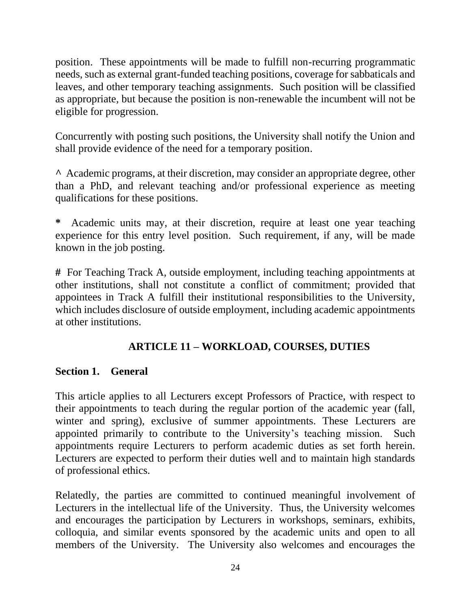position. These appointments will be made to fulfill non-recurring programmatic needs, such as external grant-funded teaching positions, coverage for sabbaticals and leaves, and other temporary teaching assignments. Such position will be classified as appropriate, but because the position is non-renewable the incumbent will not be eligible for progression.

Concurrently with posting such positions, the University shall notify the Union and shall provide evidence of the need for a temporary position.

**^** Academic programs, at their discretion, may consider an appropriate degree, other than a PhD, and relevant teaching and/or professional experience as meeting qualifications for these positions.

**\*** Academic units may, at their discretion, require at least one year teaching experience for this entry level position. Such requirement, if any, will be made known in the job posting.

**#** For Teaching Track A, outside employment, including teaching appointments at other institutions, shall not constitute a conflict of commitment; provided that appointees in Track A fulfill their institutional responsibilities to the University, which includes disclosure of outside employment, including academic appointments at other institutions.

#### **ARTICLE 11 – WORKLOAD, COURSES, DUTIES**

#### **Section 1. General**

This article applies to all Lecturers except Professors of Practice, with respect to their appointments to teach during the regular portion of the academic year (fall, winter and spring), exclusive of summer appointments. These Lecturers are appointed primarily to contribute to the University's teaching mission. Such appointments require Lecturers to perform academic duties as set forth herein. Lecturers are expected to perform their duties well and to maintain high standards of professional ethics.

Relatedly, the parties are committed to continued meaningful involvement of Lecturers in the intellectual life of the University. Thus, the University welcomes and encourages the participation by Lecturers in workshops, seminars, exhibits, colloquia, and similar events sponsored by the academic units and open to all members of the University. The University also welcomes and encourages the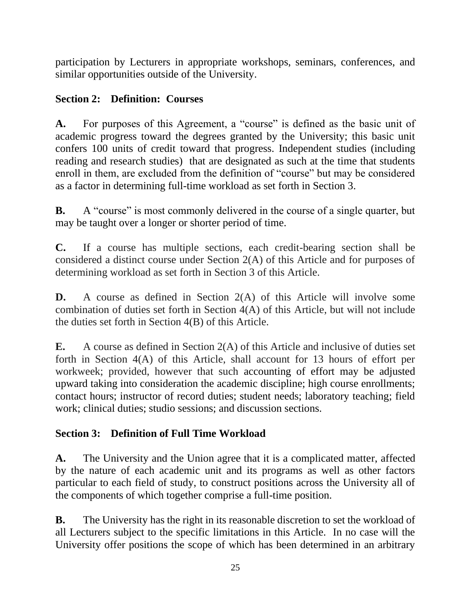participation by Lecturers in appropriate workshops, seminars, conferences, and similar opportunities outside of the University.

# **Section 2: Definition: Courses**

**A.** For purposes of this Agreement, a "course" is defined as the basic unit of academic progress toward the degrees granted by the University; this basic unit confers 100 units of credit toward that progress. Independent studies (including reading and research studies) that are designated as such at the time that students enroll in them, are excluded from the definition of "course" but may be considered as a factor in determining full-time workload as set forth in Section 3.

**B.** A "course" is most commonly delivered in the course of a single quarter, but may be taught over a longer or shorter period of time.

**C.** If a course has multiple sections, each credit-bearing section shall be considered a distinct course under Section 2(A) of this Article and for purposes of determining workload as set forth in Section 3 of this Article.

**D.** A course as defined in Section 2(A) of this Article will involve some combination of duties set forth in Section 4(A) of this Article, but will not include the duties set forth in Section 4(B) of this Article.

**E.** A course as defined in Section 2(A) of this Article and inclusive of duties set forth in Section 4(A) of this Article, shall account for 13 hours of effort per workweek; provided, however that such accounting of effort may be adjusted upward taking into consideration the academic discipline; high course enrollments; contact hours; instructor of record duties; student needs; laboratory teaching; field work; clinical duties; studio sessions; and discussion sections.

# **Section 3: Definition of Full Time Workload**

**A.** The University and the Union agree that it is a complicated matter, affected by the nature of each academic unit and its programs as well as other factors particular to each field of study, to construct positions across the University all of the components of which together comprise a full-time position.

**B.** The University has the right in its reasonable discretion to set the workload of all Lecturers subject to the specific limitations in this Article. In no case will the University offer positions the scope of which has been determined in an arbitrary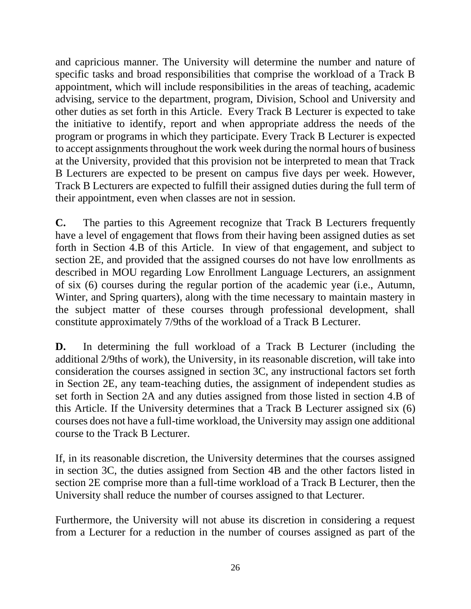and capricious manner. The University will determine the number and nature of specific tasks and broad responsibilities that comprise the workload of a Track B appointment, which will include responsibilities in the areas of teaching, academic advising, service to the department, program, Division, School and University and other duties as set forth in this Article. Every Track B Lecturer is expected to take the initiative to identify, report and when appropriate address the needs of the program or programs in which they participate. Every Track B Lecturer is expected to accept assignments throughout the work week during the normal hours of business at the University, provided that this provision not be interpreted to mean that Track B Lecturers are expected to be present on campus five days per week. However, Track B Lecturers are expected to fulfill their assigned duties during the full term of their appointment, even when classes are not in session.

**C.** The parties to this Agreement recognize that Track B Lecturers frequently have a level of engagement that flows from their having been assigned duties as set forth in Section 4.B of this Article. In view of that engagement, and subject to section 2E, and provided that the assigned courses do not have low enrollments as described in MOU regarding Low Enrollment Language Lecturers, an assignment of six (6) courses during the regular portion of the academic year (i.e., Autumn, Winter, and Spring quarters), along with the time necessary to maintain mastery in the subject matter of these courses through professional development, shall constitute approximately 7/9ths of the workload of a Track B Lecturer.

**D.** In determining the full workload of a Track B Lecturer (including the additional 2/9ths of work), the University, in its reasonable discretion, will take into consideration the courses assigned in section 3C, any instructional factors set forth in Section 2E, any team-teaching duties, the assignment of independent studies as set forth in Section 2A and any duties assigned from those listed in section 4.B of this Article. If the University determines that a Track B Lecturer assigned six (6) courses does not have a full-time workload, the University may assign one additional course to the Track B Lecturer.

If, in its reasonable discretion, the University determines that the courses assigned in section 3C, the duties assigned from Section 4B and the other factors listed in section 2E comprise more than a full-time workload of a Track B Lecturer, then the University shall reduce the number of courses assigned to that Lecturer.

Furthermore, the University will not abuse its discretion in considering a request from a Lecturer for a reduction in the number of courses assigned as part of the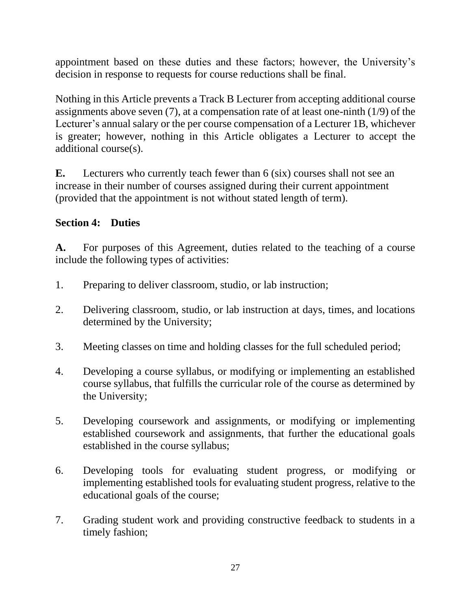appointment based on these duties and these factors; however, the University's decision in response to requests for course reductions shall be final.

Nothing in this Article prevents a Track B Lecturer from accepting additional course assignments above seven (7), at a compensation rate of at least one-ninth (1/9) of the Lecturer's annual salary or the per course compensation of a Lecturer 1B, whichever is greater; however, nothing in this Article obligates a Lecturer to accept the additional course(s).

**E.** Lecturers who currently teach fewer than 6 (six) courses shall not see an increase in their number of courses assigned during their current appointment (provided that the appointment is not without stated length of term).

# **Section 4: Duties**

**A.** For purposes of this Agreement, duties related to the teaching of a course include the following types of activities:

- 1. Preparing to deliver classroom, studio, or lab instruction;
- 2. Delivering classroom, studio, or lab instruction at days, times, and locations determined by the University;
- 3. Meeting classes on time and holding classes for the full scheduled period;
- 4. Developing a course syllabus, or modifying or implementing an established course syllabus, that fulfills the curricular role of the course as determined by the University;
- 5. Developing coursework and assignments, or modifying or implementing established coursework and assignments, that further the educational goals established in the course syllabus;
- 6. Developing tools for evaluating student progress, or modifying or implementing established tools for evaluating student progress, relative to the educational goals of the course;
- 7. Grading student work and providing constructive feedback to students in a timely fashion;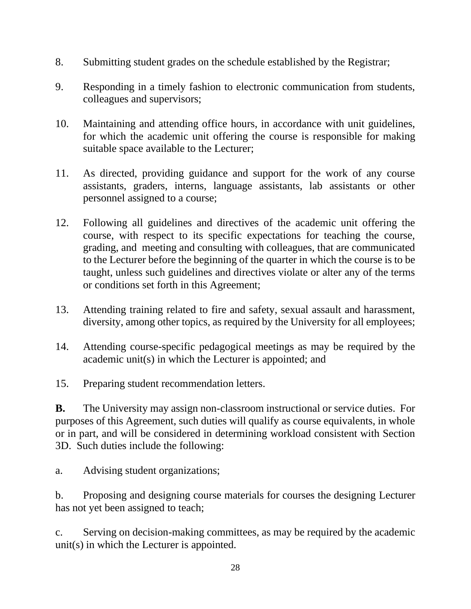- 8. Submitting student grades on the schedule established by the Registrar;
- 9. Responding in a timely fashion to electronic communication from students, colleagues and supervisors;
- 10. Maintaining and attending office hours, in accordance with unit guidelines, for which the academic unit offering the course is responsible for making suitable space available to the Lecturer;
- 11. As directed, providing guidance and support for the work of any course assistants, graders, interns, language assistants, lab assistants or other personnel assigned to a course;
- 12. Following all guidelines and directives of the academic unit offering the course, with respect to its specific expectations for teaching the course, grading, and meeting and consulting with colleagues, that are communicated to the Lecturer before the beginning of the quarter in which the course is to be taught, unless such guidelines and directives violate or alter any of the terms or conditions set forth in this Agreement;
- 13. Attending training related to fire and safety, sexual assault and harassment, diversity, among other topics, as required by the University for all employees;
- 14. Attending course-specific pedagogical meetings as may be required by the academic unit(s) in which the Lecturer is appointed; and
- 15. Preparing student recommendation letters.

**B.** The University may assign non-classroom instructional or service duties. For purposes of this Agreement, such duties will qualify as course equivalents, in whole or in part, and will be considered in determining workload consistent with Section 3D. Such duties include the following:

a. Advising student organizations;

b. Proposing and designing course materials for courses the designing Lecturer has not yet been assigned to teach;

c. Serving on decision-making committees, as may be required by the academic unit(s) in which the Lecturer is appointed.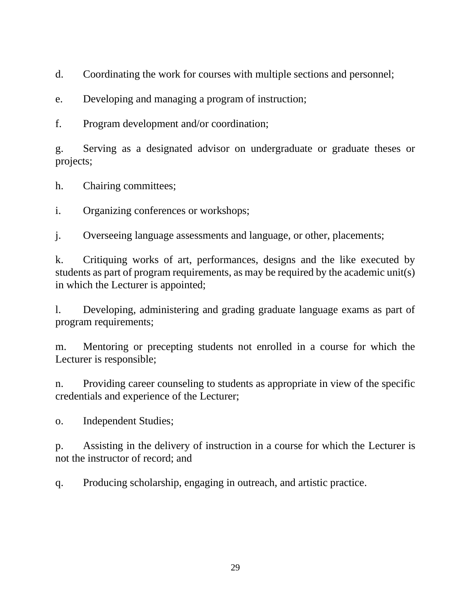d. Coordinating the work for courses with multiple sections and personnel;

e. Developing and managing a program of instruction;

f. Program development and/or coordination;

g. Serving as a designated advisor on undergraduate or graduate theses or projects;

h. Chairing committees;

i. Organizing conferences or workshops;

j. Overseeing language assessments and language, or other, placements;

k. Critiquing works of art, performances, designs and the like executed by students as part of program requirements, as may be required by the academic unit(s) in which the Lecturer is appointed;

l. Developing, administering and grading graduate language exams as part of program requirements;

m. Mentoring or precepting students not enrolled in a course for which the Lecturer is responsible;

n. Providing career counseling to students as appropriate in view of the specific credentials and experience of the Lecturer;

o. Independent Studies;

p. Assisting in the delivery of instruction in a course for which the Lecturer is not the instructor of record; and

q. Producing scholarship, engaging in outreach, and artistic practice.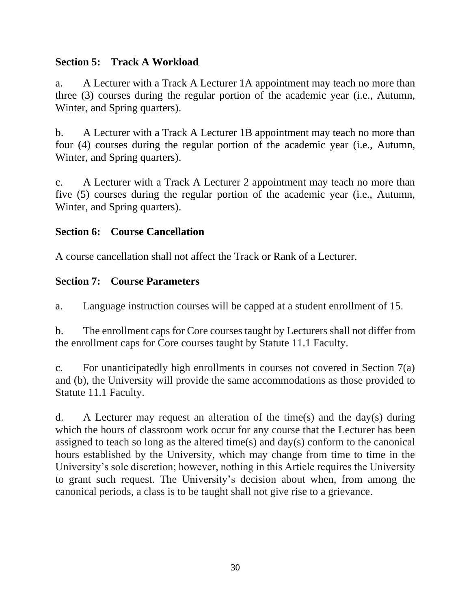#### **Section 5: Track A Workload**

a. A Lecturer with a Track A Lecturer 1A appointment may teach no more than three (3) courses during the regular portion of the academic year (i.e., Autumn, Winter, and Spring quarters).

b. A Lecturer with a Track A Lecturer 1B appointment may teach no more than four (4) courses during the regular portion of the academic year (i.e., Autumn, Winter, and Spring quarters).

c. A Lecturer with a Track A Lecturer 2 appointment may teach no more than five (5) courses during the regular portion of the academic year (i.e., Autumn, Winter, and Spring quarters).

### **Section 6: Course Cancellation**

A course cancellation shall not affect the Track or Rank of a Lecturer.

### **Section 7: Course Parameters**

a. Language instruction courses will be capped at a student enrollment of 15.

b. The enrollment caps for Core courses taught by Lecturers shall not differ from the enrollment caps for Core courses taught by Statute 11.1 Faculty.

c. For unanticipatedly high enrollments in courses not covered in Section 7(a) and (b), the University will provide the same accommodations as those provided to Statute 11.1 Faculty.

d. A Lecturer may request an alteration of the time(s) and the day(s) during which the hours of classroom work occur for any course that the Lecturer has been assigned to teach so long as the altered time(s) and day(s) conform to the canonical hours established by the University, which may change from time to time in the University's sole discretion; however, nothing in this Article requires the University to grant such request. The University's decision about when, from among the canonical periods, a class is to be taught shall not give rise to a grievance.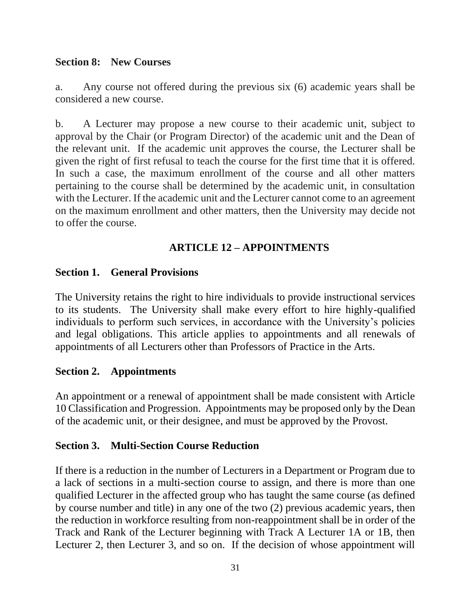#### **Section 8: New Courses**

a. Any course not offered during the previous six (6) academic years shall be considered a new course.

b. A Lecturer may propose a new course to their academic unit, subject to approval by the Chair (or Program Director) of the academic unit and the Dean of the relevant unit. If the academic unit approves the course, the Lecturer shall be given the right of first refusal to teach the course for the first time that it is offered. In such a case, the maximum enrollment of the course and all other matters pertaining to the course shall be determined by the academic unit, in consultation with the Lecturer. If the academic unit and the Lecturer cannot come to an agreement on the maximum enrollment and other matters, then the University may decide not to offer the course.

### **ARTICLE 12 – APPOINTMENTS**

### **Section 1. General Provisions**

The University retains the right to hire individuals to provide instructional services to its students. The University shall make every effort to hire highly-qualified individuals to perform such services, in accordance with the University's policies and legal obligations. This article applies to appointments and all renewals of appointments of all Lecturers other than Professors of Practice in the Arts.

### **Section 2. Appointments**

An appointment or a renewal of appointment shall be made consistent with Article 10 Classification and Progression. Appointments may be proposed only by the Dean of the academic unit, or their designee, and must be approved by the Provost.

### **Section 3. Multi-Section Course Reduction**

If there is a reduction in the number of Lecturers in a Department or Program due to a lack of sections in a multi-section course to assign, and there is more than one qualified Lecturer in the affected group who has taught the same course (as defined by course number and title) in any one of the two (2) previous academic years, then the reduction in workforce resulting from non-reappointment shall be in order of the Track and Rank of the Lecturer beginning with Track A Lecturer 1A or 1B, then Lecturer 2, then Lecturer 3, and so on. If the decision of whose appointment will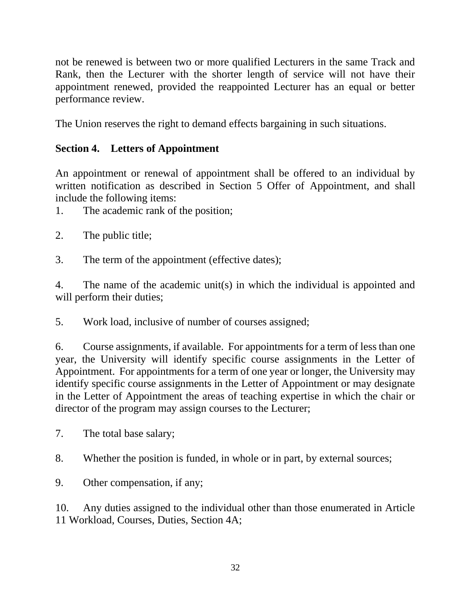not be renewed is between two or more qualified Lecturers in the same Track and Rank, then the Lecturer with the shorter length of service will not have their appointment renewed, provided the reappointed Lecturer has an equal or better performance review.

The Union reserves the right to demand effects bargaining in such situations.

### **Section 4. Letters of Appointment**

An appointment or renewal of appointment shall be offered to an individual by written notification as described in Section 5 Offer of Appointment, and shall include the following items:

1. The academic rank of the position;

- 2. The public title;
- 3. The term of the appointment (effective dates);

4. The name of the academic unit(s) in which the individual is appointed and will perform their duties;

5. Work load, inclusive of number of courses assigned;

6. Course assignments, if available. For appointments for a term of less than one year, the University will identify specific course assignments in the Letter of Appointment. For appointments for a term of one year or longer, the University may identify specific course assignments in the Letter of Appointment or may designate in the Letter of Appointment the areas of teaching expertise in which the chair or director of the program may assign courses to the Lecturer;

7. The total base salary;

- 8. Whether the position is funded, in whole or in part, by external sources;
- 9. Other compensation, if any;

10. Any duties assigned to the individual other than those enumerated in Article 11 Workload, Courses, Duties, Section 4A;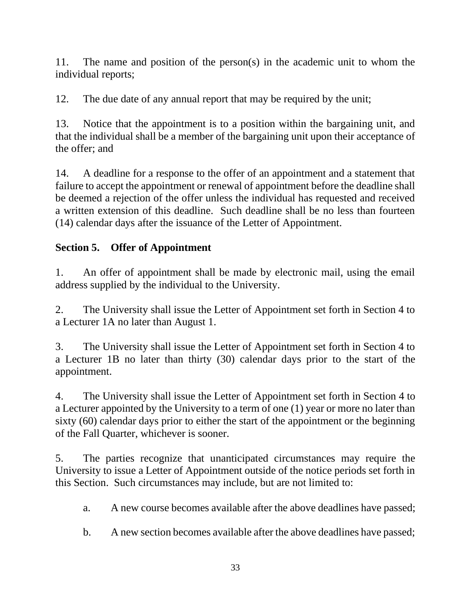11. The name and position of the person(s) in the academic unit to whom the individual reports;

12. The due date of any annual report that may be required by the unit;

13. Notice that the appointment is to a position within the bargaining unit, and that the individual shall be a member of the bargaining unit upon their acceptance of the offer; and

14. A deadline for a response to the offer of an appointment and a statement that failure to accept the appointment or renewal of appointment before the deadline shall be deemed a rejection of the offer unless the individual has requested and received a written extension of this deadline. Such deadline shall be no less than fourteen (14) calendar days after the issuance of the Letter of Appointment.

# **Section 5. Offer of Appointment**

1. An offer of appointment shall be made by electronic mail, using the email address supplied by the individual to the University.

2. The University shall issue the Letter of Appointment set forth in Section 4 to a Lecturer 1A no later than August 1.

3. The University shall issue the Letter of Appointment set forth in Section 4 to a Lecturer 1B no later than thirty (30) calendar days prior to the start of the appointment.

4. The University shall issue the Letter of Appointment set forth in Section 4 to a Lecturer appointed by the University to a term of one (1) year or more no later than sixty (60) calendar days prior to either the start of the appointment or the beginning of the Fall Quarter, whichever is sooner.

5. The parties recognize that unanticipated circumstances may require the University to issue a Letter of Appointment outside of the notice periods set forth in this Section. Such circumstances may include, but are not limited to:

- a. A new course becomes available after the above deadlines have passed;
- b. A new section becomes available after the above deadlines have passed;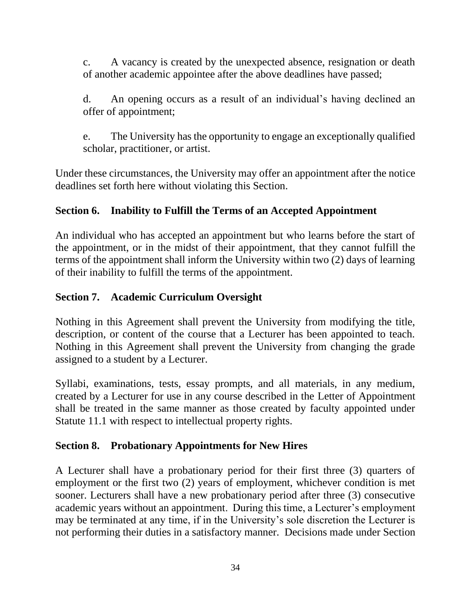c. A vacancy is created by the unexpected absence, resignation or death of another academic appointee after the above deadlines have passed;

d. An opening occurs as a result of an individual's having declined an offer of appointment;

e. The University has the opportunity to engage an exceptionally qualified scholar, practitioner, or artist.

Under these circumstances, the University may offer an appointment after the notice deadlines set forth here without violating this Section.

### **Section 6. Inability to Fulfill the Terms of an Accepted Appointment**

An individual who has accepted an appointment but who learns before the start of the appointment, or in the midst of their appointment, that they cannot fulfill the terms of the appointment shall inform the University within two (2) days of learning of their inability to fulfill the terms of the appointment.

#### **Section 7. Academic Curriculum Oversight**

Nothing in this Agreement shall prevent the University from modifying the title, description, or content of the course that a Lecturer has been appointed to teach. Nothing in this Agreement shall prevent the University from changing the grade assigned to a student by a Lecturer.

Syllabi, examinations, tests, essay prompts, and all materials, in any medium, created by a Lecturer for use in any course described in the Letter of Appointment shall be treated in the same manner as those created by faculty appointed under Statute 11.1 with respect to intellectual property rights.

### **Section 8. Probationary Appointments for New Hires**

A Lecturer shall have a probationary period for their first three (3) quarters of employment or the first two (2) years of employment, whichever condition is met sooner. Lecturers shall have a new probationary period after three (3) consecutive academic years without an appointment. During this time, a Lecturer's employment may be terminated at any time, if in the University's sole discretion the Lecturer is not performing their duties in a satisfactory manner. Decisions made under Section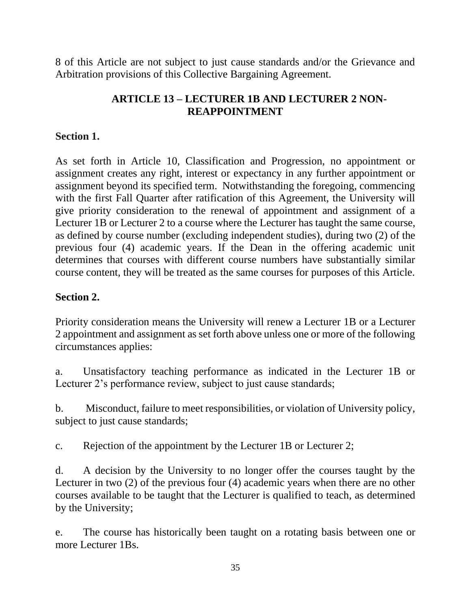8 of this Article are not subject to just cause standards and/or the Grievance and Arbitration provisions of this Collective Bargaining Agreement.

### **ARTICLE 13 – LECTURER 1B AND LECTURER 2 NON-REAPPOINTMENT**

#### **Section 1.**

As set forth in Article 10, Classification and Progression, no appointment or assignment creates any right, interest or expectancy in any further appointment or assignment beyond its specified term. Notwithstanding the foregoing, commencing with the first Fall Quarter after ratification of this Agreement, the University will give priority consideration to the renewal of appointment and assignment of a Lecturer 1B or Lecturer 2 to a course where the Lecturer has taught the same course, as defined by course number (excluding independent studies), during two (2) of the previous four (4) academic years. If the Dean in the offering academic unit determines that courses with different course numbers have substantially similar course content, they will be treated as the same courses for purposes of this Article.

#### **Section 2.**

Priority consideration means the University will renew a Lecturer 1B or a Lecturer 2 appointment and assignment as set forth above unless one or more of the following circumstances applies:

a. Unsatisfactory teaching performance as indicated in the Lecturer 1B or Lecturer 2's performance review, subject to just cause standards;

b. Misconduct, failure to meet responsibilities, or violation of University policy, subject to just cause standards;

c. Rejection of the appointment by the Lecturer 1B or Lecturer 2;

d. A decision by the University to no longer offer the courses taught by the Lecturer in two (2) of the previous four (4) academic years when there are no other courses available to be taught that the Lecturer is qualified to teach, as determined by the University;

e. The course has historically been taught on a rotating basis between one or more Lecturer 1Bs.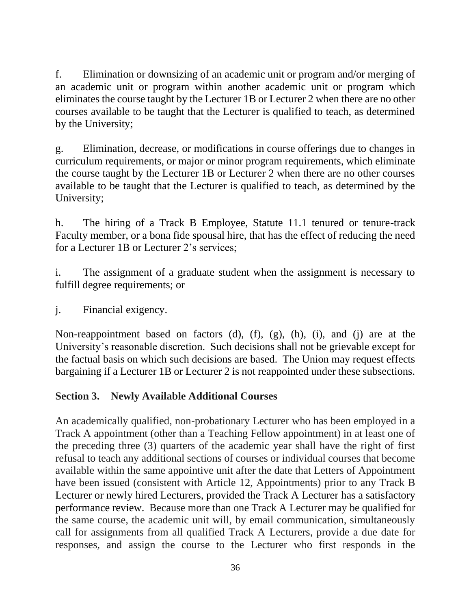f. Elimination or downsizing of an academic unit or program and/or merging of an academic unit or program within another academic unit or program which eliminates the course taught by the Lecturer 1B or Lecturer 2 when there are no other courses available to be taught that the Lecturer is qualified to teach, as determined by the University;

g. Elimination, decrease, or modifications in course offerings due to changes in curriculum requirements, or major or minor program requirements, which eliminate the course taught by the Lecturer 1B or Lecturer 2 when there are no other courses available to be taught that the Lecturer is qualified to teach, as determined by the University;

h. The hiring of a Track B Employee, Statute 11.1 tenured or tenure-track Faculty member, or a bona fide spousal hire, that has the effect of reducing the need for a Lecturer 1B or Lecturer 2's services;

i. The assignment of a graduate student when the assignment is necessary to fulfill degree requirements; or

j. Financial exigency.

Non-reappointment based on factors (d), (f), (g), (h), (i), and (j) are at the University's reasonable discretion. Such decisions shall not be grievable except for the factual basis on which such decisions are based. The Union may request effects bargaining if a Lecturer 1B or Lecturer 2 is not reappointed under these subsections.

## **Section 3. Newly Available Additional Courses**

An academically qualified, non-probationary Lecturer who has been employed in a Track A appointment (other than a Teaching Fellow appointment) in at least one of the preceding three (3) quarters of the academic year shall have the right of first refusal to teach any additional sections of courses or individual courses that become available within the same appointive unit after the date that Letters of Appointment have been issued (consistent with Article 12, Appointments) prior to any Track B Lecturer or newly hired Lecturers, provided the Track A Lecturer has a satisfactory performance review. Because more than one Track A Lecturer may be qualified for the same course, the academic unit will, by email communication, simultaneously call for assignments from all qualified Track A Lecturers, provide a due date for responses, and assign the course to the Lecturer who first responds in the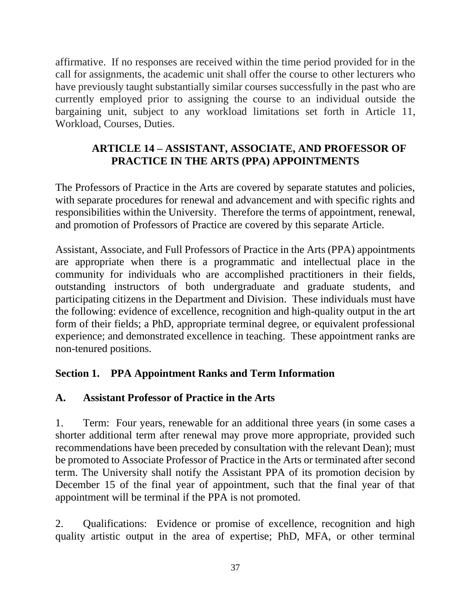affirmative. If no responses are received within the time period provided for in the call for assignments, the academic unit shall offer the course to other lecturers who have previously taught substantially similar courses successfully in the past who are currently employed prior to assigning the course to an individual outside the bargaining unit, subject to any workload limitations set forth in Article 11, Workload, Courses, Duties.

### **ARTICLE 14 – ASSISTANT, ASSOCIATE, AND PROFESSOR OF PRACTICE IN THE ARTS (PPA) APPOINTMENTS**

The Professors of Practice in the Arts are covered by separate statutes and policies, with separate procedures for renewal and advancement and with specific rights and responsibilities within the University. Therefore the terms of appointment, renewal, and promotion of Professors of Practice are covered by this separate Article.

Assistant, Associate, and Full Professors of Practice in the Arts (PPA) appointments are appropriate when there is a programmatic and intellectual place in the community for individuals who are accomplished practitioners in their fields, outstanding instructors of both undergraduate and graduate students, and participating citizens in the Department and Division. These individuals must have the following: evidence of excellence, recognition and high-quality output in the art form of their fields; a PhD, appropriate terminal degree, or equivalent professional experience; and demonstrated excellence in teaching. These appointment ranks are non-tenured positions.

## **Section 1. PPA Appointment Ranks and Term Information**

## **A. Assistant Professor of Practice in the Arts**

1. Term: Four years, renewable for an additional three years (in some cases a shorter additional term after renewal may prove more appropriate, provided such recommendations have been preceded by consultation with the relevant Dean); must be promoted to Associate Professor of Practice in the Arts or terminated after second term. The University shall notify the Assistant PPA of its promotion decision by December 15 of the final year of appointment, such that the final year of that appointment will be terminal if the PPA is not promoted.

2. Qualifications: Evidence or promise of excellence, recognition and high quality artistic output in the area of expertise; PhD, MFA, or other terminal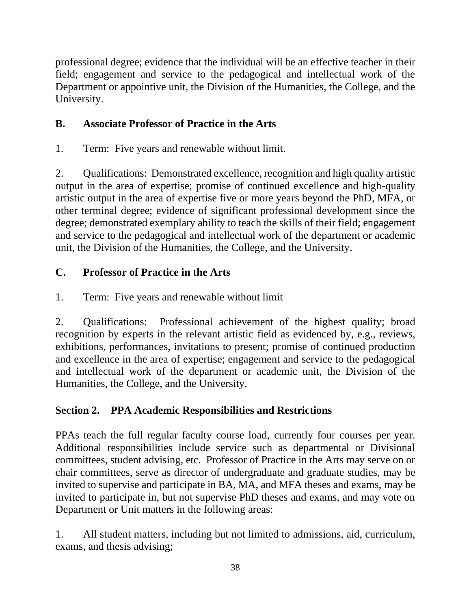professional degree; evidence that the individual will be an effective teacher in their field; engagement and service to the pedagogical and intellectual work of the Department or appointive unit, the Division of the Humanities, the College, and the University.

# **B. Associate Professor of Practice in the Arts**

1. Term: Five years and renewable without limit.

2. Qualifications: Demonstrated excellence, recognition and high quality artistic output in the area of expertise; promise of continued excellence and high-quality artistic output in the area of expertise five or more years beyond the PhD, MFA, or other terminal degree; evidence of significant professional development since the degree; demonstrated exemplary ability to teach the skills of their field; engagement and service to the pedagogical and intellectual work of the department or academic unit, the Division of the Humanities, the College, and the University.

# **C. Professor of Practice in the Arts**

1. Term: Five years and renewable without limit

2. Qualifications: Professional achievement of the highest quality; broad recognition by experts in the relevant artistic field as evidenced by, e.g., reviews, exhibitions, performances, invitations to present; promise of continued production and excellence in the area of expertise; engagement and service to the pedagogical and intellectual work of the department or academic unit, the Division of the Humanities, the College, and the University.

# **Section 2. PPA Academic Responsibilities and Restrictions**

PPAs teach the full regular faculty course load, currently four courses per year. Additional responsibilities include service such as departmental or Divisional committees, student advising, etc. Professor of Practice in the Arts may serve on or chair committees, serve as director of undergraduate and graduate studies, may be invited to supervise and participate in BA, MA, and MFA theses and exams, may be invited to participate in, but not supervise PhD theses and exams, and may vote on Department or Unit matters in the following areas:

1. All student matters, including but not limited to admissions, aid, curriculum, exams, and thesis advising;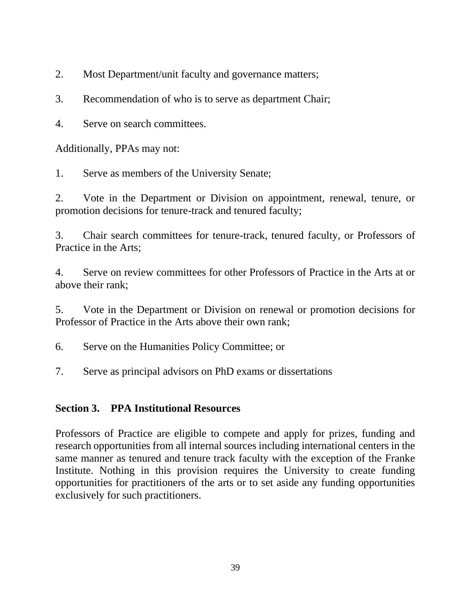2. Most Department/unit faculty and governance matters;

3. Recommendation of who is to serve as department Chair;

4. Serve on search committees.

Additionally, PPAs may not:

1. Serve as members of the University Senate;

2. Vote in the Department or Division on appointment, renewal, tenure, or promotion decisions for tenure-track and tenured faculty;

3. Chair search committees for tenure-track, tenured faculty, or Professors of Practice in the Arts;

4. Serve on review committees for other Professors of Practice in the Arts at or above their rank;

5. Vote in the Department or Division on renewal or promotion decisions for Professor of Practice in the Arts above their own rank;

6. Serve on the Humanities Policy Committee; or

7. Serve as principal advisors on PhD exams or dissertations

### **Section 3. PPA Institutional Resources**

Professors of Practice are eligible to compete and apply for prizes, funding and research opportunities from all internal sources including international centers in the same manner as tenured and tenure track faculty with the exception of the Franke Institute. Nothing in this provision requires the University to create funding opportunities for practitioners of the arts or to set aside any funding opportunities exclusively for such practitioners.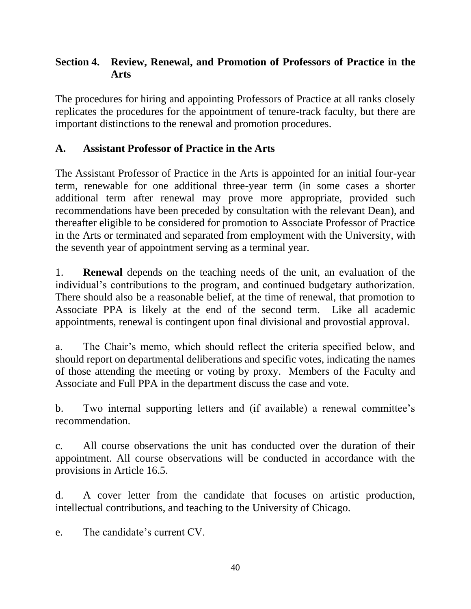### **Section 4. Review, Renewal, and Promotion of Professors of Practice in the Arts**

The procedures for hiring and appointing Professors of Practice at all ranks closely replicates the procedures for the appointment of tenure-track faculty, but there are important distinctions to the renewal and promotion procedures.

### **A. Assistant Professor of Practice in the Arts**

The Assistant Professor of Practice in the Arts is appointed for an initial four-year term, renewable for one additional three-year term (in some cases a shorter additional term after renewal may prove more appropriate, provided such recommendations have been preceded by consultation with the relevant Dean), and thereafter eligible to be considered for promotion to Associate Professor of Practice in the Arts or terminated and separated from employment with the University, with the seventh year of appointment serving as a terminal year.

1. **Renewal** depends on the teaching needs of the unit, an evaluation of the individual's contributions to the program, and continued budgetary authorization. There should also be a reasonable belief, at the time of renewal, that promotion to Associate PPA is likely at the end of the second term. Like all academic appointments, renewal is contingent upon final divisional and provostial approval.

a. The Chair's memo, which should reflect the criteria specified below, and should report on departmental deliberations and specific votes, indicating the names of those attending the meeting or voting by proxy. Members of the Faculty and Associate and Full PPA in the department discuss the case and vote.

b. Two internal supporting letters and (if available) a renewal committee's recommendation.

c. All course observations the unit has conducted over the duration of their appointment. All course observations will be conducted in accordance with the provisions in Article 16.5.

d. A cover letter from the candidate that focuses on artistic production, intellectual contributions, and teaching to the University of Chicago.

e. The candidate's current CV.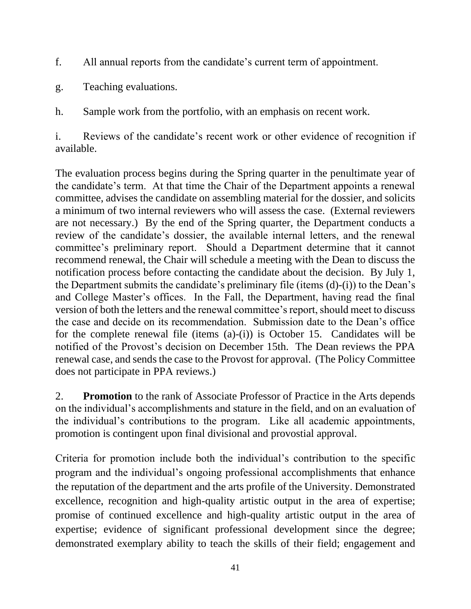- f. All annual reports from the candidate's current term of appointment.
- g. Teaching evaluations.
- h. Sample work from the portfolio, with an emphasis on recent work.

i. Reviews of the candidate's recent work or other evidence of recognition if available.

The evaluation process begins during the Spring quarter in the penultimate year of the candidate's term. At that time the Chair of the Department appoints a renewal committee, advises the candidate on assembling material for the dossier, and solicits a minimum of two internal reviewers who will assess the case. (External reviewers are not necessary.) By the end of the Spring quarter, the Department conducts a review of the candidate's dossier, the available internal letters, and the renewal committee's preliminary report. Should a Department determine that it cannot recommend renewal, the Chair will schedule a meeting with the Dean to discuss the notification process before contacting the candidate about the decision. By July 1, the Department submits the candidate's preliminary file (items (d)-(i)) to the Dean's and College Master's offices. In the Fall, the Department, having read the final version of both the letters and the renewal committee's report, should meet to discuss the case and decide on its recommendation. Submission date to the Dean's office for the complete renewal file (items (a)-(i)) is October 15. Candidates will be notified of the Provost's decision on December 15th. The Dean reviews the PPA renewal case, and sends the case to the Provost for approval. (The Policy Committee does not participate in PPA reviews.)

2. **Promotion** to the rank of Associate Professor of Practice in the Arts depends on the individual's accomplishments and stature in the field, and on an evaluation of the individual's contributions to the program. Like all academic appointments, promotion is contingent upon final divisional and provostial approval.

Criteria for promotion include both the individual's contribution to the specific program and the individual's ongoing professional accomplishments that enhance the reputation of the department and the arts profile of the University. Demonstrated excellence, recognition and high-quality artistic output in the area of expertise; promise of continued excellence and high-quality artistic output in the area of expertise; evidence of significant professional development since the degree; demonstrated exemplary ability to teach the skills of their field; engagement and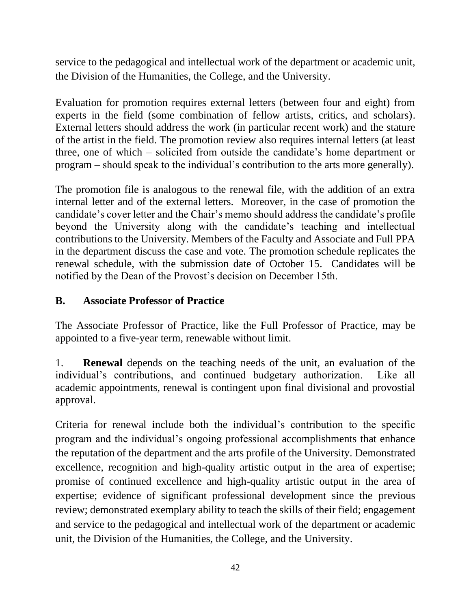service to the pedagogical and intellectual work of the department or academic unit, the Division of the Humanities, the College, and the University.

Evaluation for promotion requires external letters (between four and eight) from experts in the field (some combination of fellow artists, critics, and scholars). External letters should address the work (in particular recent work) and the stature of the artist in the field. The promotion review also requires internal letters (at least three, one of which – solicited from outside the candidate's home department or program – should speak to the individual's contribution to the arts more generally).

The promotion file is analogous to the renewal file, with the addition of an extra internal letter and of the external letters. Moreover, in the case of promotion the candidate's cover letter and the Chair's memo should address the candidate's profile beyond the University along with the candidate's teaching and intellectual contributions to the University. Members of the Faculty and Associate and Full PPA in the department discuss the case and vote. The promotion schedule replicates the renewal schedule, with the submission date of October 15. Candidates will be notified by the Dean of the Provost's decision on December 15th.

## **B. Associate Professor of Practice**

The Associate Professor of Practice, like the Full Professor of Practice, may be appointed to a five-year term, renewable without limit.

1. **Renewal** depends on the teaching needs of the unit, an evaluation of the individual's contributions, and continued budgetary authorization. Like all academic appointments, renewal is contingent upon final divisional and provostial approval.

Criteria for renewal include both the individual's contribution to the specific program and the individual's ongoing professional accomplishments that enhance the reputation of the department and the arts profile of the University. Demonstrated excellence, recognition and high-quality artistic output in the area of expertise; promise of continued excellence and high-quality artistic output in the area of expertise; evidence of significant professional development since the previous review; demonstrated exemplary ability to teach the skills of their field; engagement and service to the pedagogical and intellectual work of the department or academic unit, the Division of the Humanities, the College, and the University.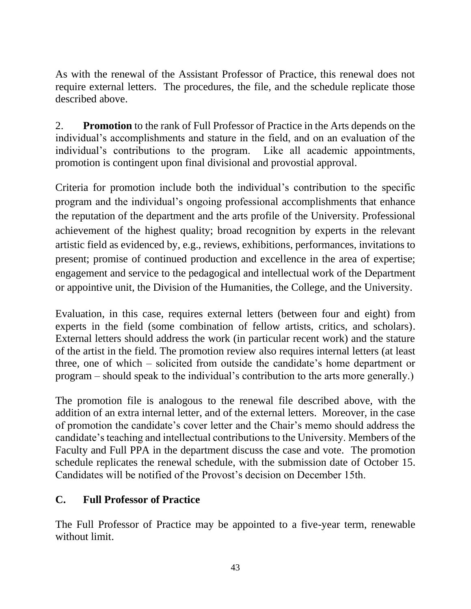As with the renewal of the Assistant Professor of Practice, this renewal does not require external letters. The procedures, the file, and the schedule replicate those described above.

2. **Promotion** to the rank of Full Professor of Practice in the Arts depends on the individual's accomplishments and stature in the field, and on an evaluation of the individual's contributions to the program. Like all academic appointments, promotion is contingent upon final divisional and provostial approval.

Criteria for promotion include both the individual's contribution to the specific program and the individual's ongoing professional accomplishments that enhance the reputation of the department and the arts profile of the University. Professional achievement of the highest quality; broad recognition by experts in the relevant artistic field as evidenced by, e.g., reviews, exhibitions, performances, invitations to present; promise of continued production and excellence in the area of expertise; engagement and service to the pedagogical and intellectual work of the Department or appointive unit, the Division of the Humanities, the College, and the University.

Evaluation, in this case, requires external letters (between four and eight) from experts in the field (some combination of fellow artists, critics, and scholars). External letters should address the work (in particular recent work) and the stature of the artist in the field. The promotion review also requires internal letters (at least three, one of which – solicited from outside the candidate's home department or program – should speak to the individual's contribution to the arts more generally.)

The promotion file is analogous to the renewal file described above, with the addition of an extra internal letter, and of the external letters. Moreover, in the case of promotion the candidate's cover letter and the Chair's memo should address the candidate's teaching and intellectual contributions to the University. Members of the Faculty and Full PPA in the department discuss the case and vote. The promotion schedule replicates the renewal schedule, with the submission date of October 15. Candidates will be notified of the Provost's decision on December 15th.

### **C. Full Professor of Practice**

The Full Professor of Practice may be appointed to a five-year term, renewable without limit.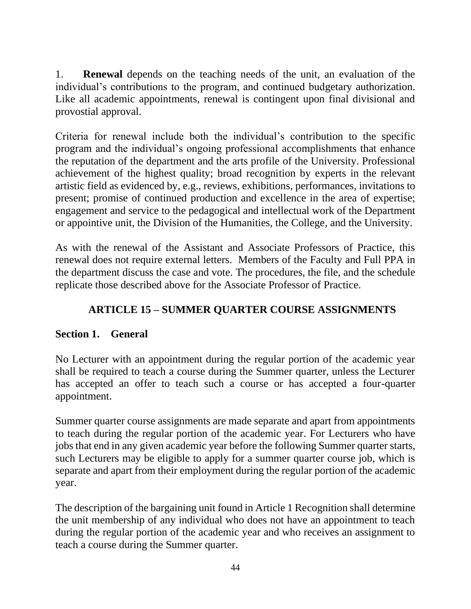1. **Renewal** depends on the teaching needs of the unit, an evaluation of the individual's contributions to the program, and continued budgetary authorization. Like all academic appointments, renewal is contingent upon final divisional and provostial approval.

Criteria for renewal include both the individual's contribution to the specific program and the individual's ongoing professional accomplishments that enhance the reputation of the department and the arts profile of the University. Professional achievement of the highest quality; broad recognition by experts in the relevant artistic field as evidenced by, e.g., reviews, exhibitions, performances, invitations to present; promise of continued production and excellence in the area of expertise; engagement and service to the pedagogical and intellectual work of the Department or appointive unit, the Division of the Humanities, the College, and the University.

As with the renewal of the Assistant and Associate Professors of Practice, this renewal does not require external letters. Members of the Faculty and Full PPA in the department discuss the case and vote. The procedures, the file, and the schedule replicate those described above for the Associate Professor of Practice.

## **ARTICLE 15 – SUMMER QUARTER COURSE ASSIGNMENTS**

### **Section 1. General**

No Lecturer with an appointment during the regular portion of the academic year shall be required to teach a course during the Summer quarter, unless the Lecturer has accepted an offer to teach such a course or has accepted a four-quarter appointment.

Summer quarter course assignments are made separate and apart from appointments to teach during the regular portion of the academic year. For Lecturers who have jobs that end in any given academic year before the following Summer quarter starts, such Lecturers may be eligible to apply for a summer quarter course job, which is separate and apart from their employment during the regular portion of the academic year.

The description of the bargaining unit found in Article 1 Recognition shall determine the unit membership of any individual who does not have an appointment to teach during the regular portion of the academic year and who receives an assignment to teach a course during the Summer quarter.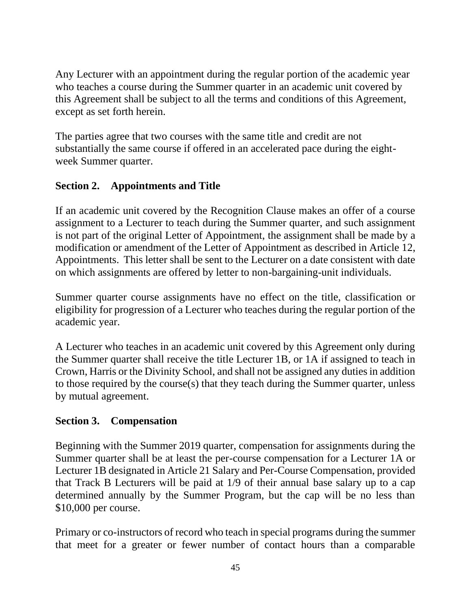Any Lecturer with an appointment during the regular portion of the academic year who teaches a course during the Summer quarter in an academic unit covered by this Agreement shall be subject to all the terms and conditions of this Agreement, except as set forth herein.

The parties agree that two courses with the same title and credit are not substantially the same course if offered in an accelerated pace during the eightweek Summer quarter.

## **Section 2. Appointments and Title**

If an academic unit covered by the Recognition Clause makes an offer of a course assignment to a Lecturer to teach during the Summer quarter, and such assignment is not part of the original Letter of Appointment, the assignment shall be made by a modification or amendment of the Letter of Appointment as described in Article 12, Appointments. This letter shall be sent to the Lecturer on a date consistent with date on which assignments are offered by letter to non-bargaining-unit individuals.

Summer quarter course assignments have no effect on the title, classification or eligibility for progression of a Lecturer who teaches during the regular portion of the academic year.

A Lecturer who teaches in an academic unit covered by this Agreement only during the Summer quarter shall receive the title Lecturer 1B, or 1A if assigned to teach in Crown, Harris or the Divinity School, and shall not be assigned any duties in addition to those required by the course(s) that they teach during the Summer quarter, unless by mutual agreement.

### **Section 3. Compensation**

Beginning with the Summer 2019 quarter, compensation for assignments during the Summer quarter shall be at least the per-course compensation for a Lecturer 1A or Lecturer 1B designated in Article 21 Salary and Per-Course Compensation, provided that Track B Lecturers will be paid at 1/9 of their annual base salary up to a cap determined annually by the Summer Program, but the cap will be no less than \$10,000 per course.

Primary or co-instructors of record who teach in special programs during the summer that meet for a greater or fewer number of contact hours than a comparable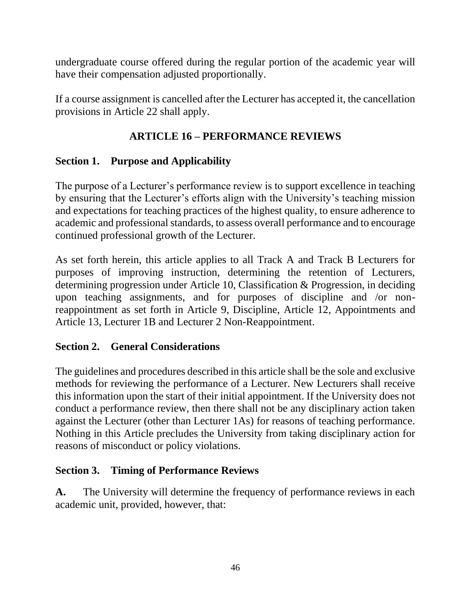undergraduate course offered during the regular portion of the academic year will have their compensation adjusted proportionally.

If a course assignment is cancelled after the Lecturer has accepted it, the cancellation provisions in Article 22 shall apply.

## **ARTICLE 16 – PERFORMANCE REVIEWS**

# **Section 1. Purpose and Applicability**

The purpose of a Lecturer's performance review is to support excellence in teaching by ensuring that the Lecturer's efforts align with the University's teaching mission and expectations for teaching practices of the highest quality, to ensure adherence to academic and professional standards, to assess overall performance and to encourage continued professional growth of the Lecturer.

As set forth herein, this article applies to all Track A and Track B Lecturers for purposes of improving instruction, determining the retention of Lecturers, determining progression under Article 10, Classification & Progression, in deciding upon teaching assignments, and for purposes of discipline and /or nonreappointment as set forth in Article 9, Discipline, Article 12, Appointments and Article 13, Lecturer 1B and Lecturer 2 Non-Reappointment.

## **Section 2. General Considerations**

The guidelines and procedures described in this article shall be the sole and exclusive methods for reviewing the performance of a Lecturer. New Lecturers shall receive this information upon the start of their initial appointment. If the University does not conduct a performance review, then there shall not be any disciplinary action taken against the Lecturer (other than Lecturer 1As) for reasons of teaching performance. Nothing in this Article precludes the University from taking disciplinary action for reasons of misconduct or policy violations.

## **Section 3. Timing of Performance Reviews**

**A.** The University will determine the frequency of performance reviews in each academic unit, provided, however, that: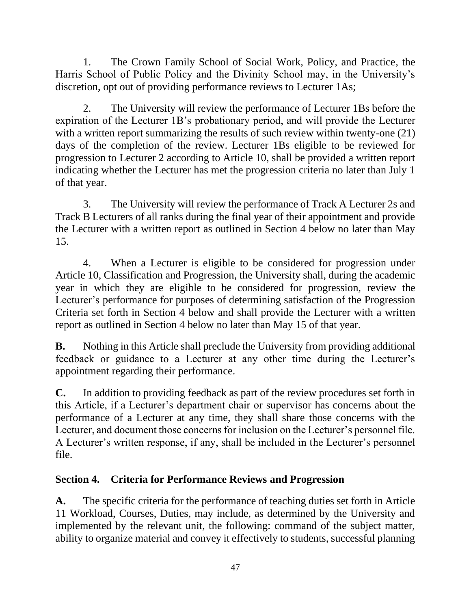1. The Crown Family School of Social Work, Policy, and Practice, the Harris School of Public Policy and the Divinity School may, in the University's discretion, opt out of providing performance reviews to Lecturer 1As;

2. The University will review the performance of Lecturer 1Bs before the expiration of the Lecturer 1B's probationary period, and will provide the Lecturer with a written report summarizing the results of such review within twenty-one  $(21)$ days of the completion of the review. Lecturer 1Bs eligible to be reviewed for progression to Lecturer 2 according to Article 10, shall be provided a written report indicating whether the Lecturer has met the progression criteria no later than July 1 of that year.

3. The University will review the performance of Track A Lecturer 2s and Track B Lecturers of all ranks during the final year of their appointment and provide the Lecturer with a written report as outlined in Section 4 below no later than May 15.

4. When a Lecturer is eligible to be considered for progression under Article 10, Classification and Progression, the University shall, during the academic year in which they are eligible to be considered for progression, review the Lecturer's performance for purposes of determining satisfaction of the Progression Criteria set forth in Section 4 below and shall provide the Lecturer with a written report as outlined in Section 4 below no later than May 15 of that year.

**B.** Nothing in this Article shall preclude the University from providing additional feedback or guidance to a Lecturer at any other time during the Lecturer's appointment regarding their performance.

**C.** In addition to providing feedback as part of the review procedures set forth in this Article, if a Lecturer's department chair or supervisor has concerns about the performance of a Lecturer at any time, they shall share those concerns with the Lecturer, and document those concerns for inclusion on the Lecturer's personnel file. A Lecturer's written response, if any, shall be included in the Lecturer's personnel file.

## **Section 4. Criteria for Performance Reviews and Progression**

**A.** The specific criteria for the performance of teaching duties set forth in Article 11 Workload, Courses, Duties, may include, as determined by the University and implemented by the relevant unit, the following: command of the subject matter, ability to organize material and convey it effectively to students, successful planning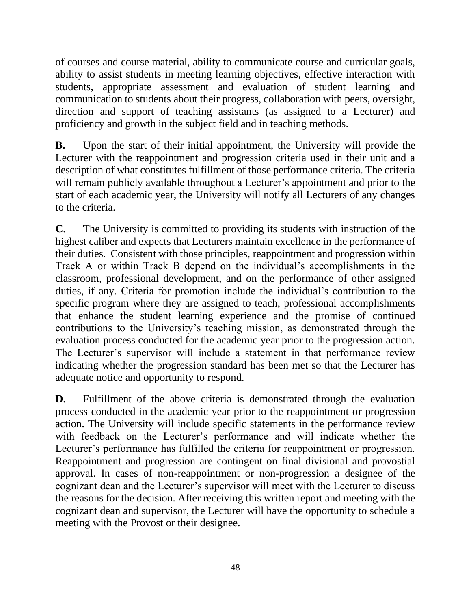of courses and course material, ability to communicate course and curricular goals, ability to assist students in meeting learning objectives, effective interaction with students, appropriate assessment and evaluation of student learning and communication to students about their progress, collaboration with peers, oversight, direction and support of teaching assistants (as assigned to a Lecturer) and proficiency and growth in the subject field and in teaching methods.

**B.** Upon the start of their initial appointment, the University will provide the Lecturer with the reappointment and progression criteria used in their unit and a description of what constitutes fulfillment of those performance criteria. The criteria will remain publicly available throughout a Lecturer's appointment and prior to the start of each academic year, the University will notify all Lecturers of any changes to the criteria.

**C.** The University is committed to providing its students with instruction of the highest caliber and expects that Lecturers maintain excellence in the performance of their duties. Consistent with those principles, reappointment and progression within Track A or within Track B depend on the individual's accomplishments in the classroom, professional development, and on the performance of other assigned duties, if any. Criteria for promotion include the individual's contribution to the specific program where they are assigned to teach, professional accomplishments that enhance the student learning experience and the promise of continued contributions to the University's teaching mission, as demonstrated through the evaluation process conducted for the academic year prior to the progression action. The Lecturer's supervisor will include a statement in that performance review indicating whether the progression standard has been met so that the Lecturer has adequate notice and opportunity to respond.

**D.** Fulfillment of the above criteria is demonstrated through the evaluation process conducted in the academic year prior to the reappointment or progression action. The University will include specific statements in the performance review with feedback on the Lecturer's performance and will indicate whether the Lecturer's performance has fulfilled the criteria for reappointment or progression. Reappointment and progression are contingent on final divisional and provostial approval. In cases of non-reappointment or non-progression a designee of the cognizant dean and the Lecturer's supervisor will meet with the Lecturer to discuss the reasons for the decision. After receiving this written report and meeting with the cognizant dean and supervisor, the Lecturer will have the opportunity to schedule a meeting with the Provost or their designee.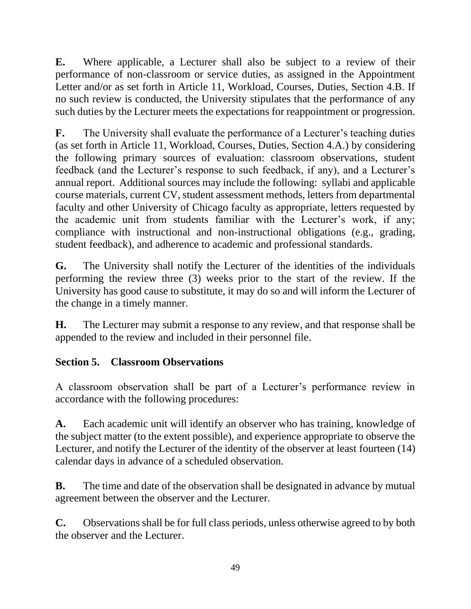**E.** Where applicable, a Lecturer shall also be subject to a review of their performance of non-classroom or service duties, as assigned in the Appointment Letter and/or as set forth in Article 11, Workload, Courses, Duties, Section 4.B. If no such review is conducted, the University stipulates that the performance of any such duties by the Lecturer meets the expectations for reappointment or progression.

**F.** The University shall evaluate the performance of a Lecturer's teaching duties (as set forth in Article 11, Workload, Courses, Duties, Section 4.A.) by considering the following primary sources of evaluation: classroom observations, student feedback (and the Lecturer's response to such feedback, if any), and a Lecturer's annual report. Additional sources may include the following: syllabi and applicable course materials, current CV, student assessment methods, letters from departmental faculty and other University of Chicago faculty as appropriate, letters requested by the academic unit from students familiar with the Lecturer's work, if any; compliance with instructional and non-instructional obligations (e.g., grading, student feedback), and adherence to academic and professional standards.

**G.** The University shall notify the Lecturer of the identities of the individuals performing the review three (3) weeks prior to the start of the review. If the University has good cause to substitute, it may do so and will inform the Lecturer of the change in a timely manner.

**H.** The Lecturer may submit a response to any review, and that response shall be appended to the review and included in their personnel file.

## **Section 5. Classroom Observations**

A classroom observation shall be part of a Lecturer's performance review in accordance with the following procedures:

**A.** Each academic unit will identify an observer who has training, knowledge of the subject matter (to the extent possible), and experience appropriate to observe the Lecturer, and notify the Lecturer of the identity of the observer at least fourteen (14) calendar days in advance of a scheduled observation.

**B.** The time and date of the observation shall be designated in advance by mutual agreement between the observer and the Lecturer.

**C.** Observations shall be for full class periods, unless otherwise agreed to by both the observer and the Lecturer.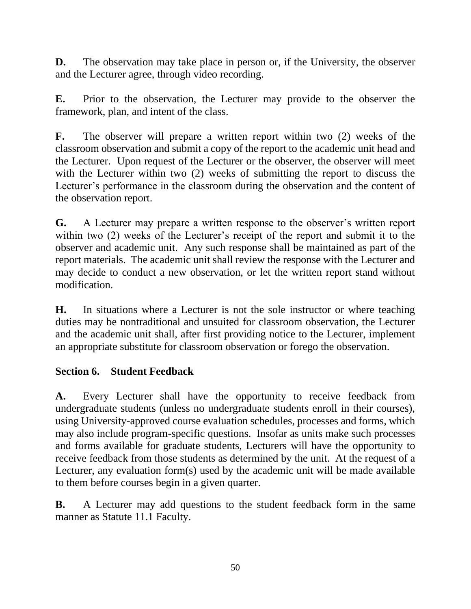**D.** The observation may take place in person or, if the University, the observer and the Lecturer agree, through video recording.

**E.** Prior to the observation, the Lecturer may provide to the observer the framework, plan, and intent of the class.

**F.** The observer will prepare a written report within two (2) weeks of the classroom observation and submit a copy of the report to the academic unit head and the Lecturer. Upon request of the Lecturer or the observer, the observer will meet with the Lecturer within two (2) weeks of submitting the report to discuss the Lecturer's performance in the classroom during the observation and the content of the observation report.

**G.** A Lecturer may prepare a written response to the observer's written report within two (2) weeks of the Lecturer's receipt of the report and submit it to the observer and academic unit. Any such response shall be maintained as part of the report materials. The academic unit shall review the response with the Lecturer and may decide to conduct a new observation, or let the written report stand without modification.

**H.** In situations where a Lecturer is not the sole instructor or where teaching duties may be nontraditional and unsuited for classroom observation, the Lecturer and the academic unit shall, after first providing notice to the Lecturer, implement an appropriate substitute for classroom observation or forego the observation.

## **Section 6. Student Feedback**

**A.** Every Lecturer shall have the opportunity to receive feedback from undergraduate students (unless no undergraduate students enroll in their courses), using University-approved course evaluation schedules, processes and forms, which may also include program-specific questions. Insofar as units make such processes and forms available for graduate students, Lecturers will have the opportunity to receive feedback from those students as determined by the unit. At the request of a Lecturer, any evaluation form(s) used by the academic unit will be made available to them before courses begin in a given quarter.

**B.** A Lecturer may add questions to the student feedback form in the same manner as Statute 11.1 Faculty.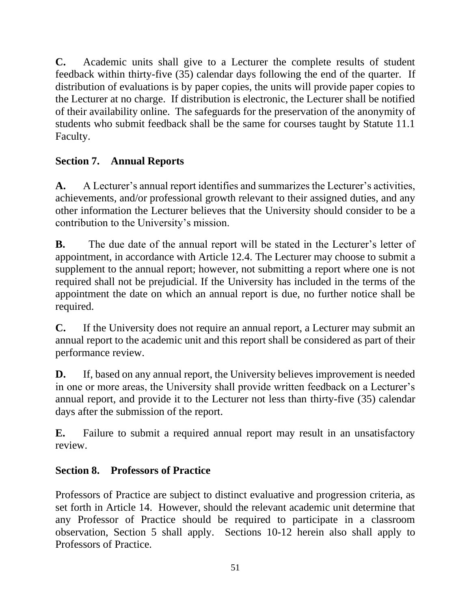**C.** Academic units shall give to a Lecturer the complete results of student feedback within thirty-five (35) calendar days following the end of the quarter. If distribution of evaluations is by paper copies, the units will provide paper copies to the Lecturer at no charge. If distribution is electronic, the Lecturer shall be notified of their availability online. The safeguards for the preservation of the anonymity of students who submit feedback shall be the same for courses taught by Statute 11.1 Faculty.

## **Section 7. Annual Reports**

**A.** A Lecturer's annual report identifies and summarizes the Lecturer's activities, achievements, and/or professional growth relevant to their assigned duties, and any other information the Lecturer believes that the University should consider to be a contribution to the University's mission.

**B.** The due date of the annual report will be stated in the Lecturer's letter of appointment, in accordance with Article 12.4. The Lecturer may choose to submit a supplement to the annual report; however, not submitting a report where one is not required shall not be prejudicial. If the University has included in the terms of the appointment the date on which an annual report is due, no further notice shall be required.

**C.** If the University does not require an annual report, a Lecturer may submit an annual report to the academic unit and this report shall be considered as part of their performance review.

**D.** If, based on any annual report, the University believes improvement is needed in one or more areas, the University shall provide written feedback on a Lecturer's annual report, and provide it to the Lecturer not less than thirty-five (35) calendar days after the submission of the report.

**E.** Failure to submit a required annual report may result in an unsatisfactory review.

## **Section 8. Professors of Practice**

Professors of Practice are subject to distinct evaluative and progression criteria, as set forth in Article 14. However, should the relevant academic unit determine that any Professor of Practice should be required to participate in a classroom observation, Section 5 shall apply. Sections 10-12 herein also shall apply to Professors of Practice.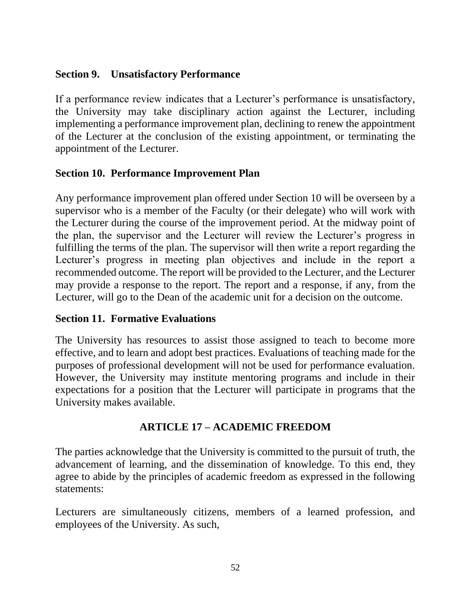#### **Section 9. Unsatisfactory Performance**

If a performance review indicates that a Lecturer's performance is unsatisfactory, the University may take disciplinary action against the Lecturer, including implementing a performance improvement plan, declining to renew the appointment of the Lecturer at the conclusion of the existing appointment, or terminating the appointment of the Lecturer.

#### **Section 10. Performance Improvement Plan**

Any performance improvement plan offered under Section 10 will be overseen by a supervisor who is a member of the Faculty (or their delegate) who will work with the Lecturer during the course of the improvement period. At the midway point of the plan, the supervisor and the Lecturer will review the Lecturer's progress in fulfilling the terms of the plan. The supervisor will then write a report regarding the Lecturer's progress in meeting plan objectives and include in the report a recommended outcome. The report will be provided to the Lecturer, and the Lecturer may provide a response to the report. The report and a response, if any, from the Lecturer, will go to the Dean of the academic unit for a decision on the outcome.

#### **Section 11. Formative Evaluations**

The University has resources to assist those assigned to teach to become more effective, and to learn and adopt best practices. Evaluations of teaching made for the purposes of professional development will not be used for performance evaluation. However, the University may institute mentoring programs and include in their expectations for a position that the Lecturer will participate in programs that the University makes available.

### **ARTICLE 17 – ACADEMIC FREEDOM**

The parties acknowledge that the University is committed to the pursuit of truth, the advancement of learning, and the dissemination of knowledge. To this end, they agree to abide by the principles of academic freedom as expressed in the following statements:

Lecturers are simultaneously citizens, members of a learned profession, and employees of the University. As such,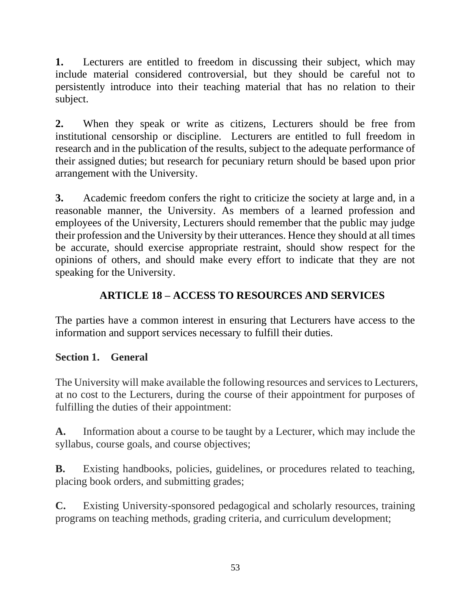**1.** Lecturers are entitled to freedom in discussing their subject, which may include material considered controversial, but they should be careful not to persistently introduce into their teaching material that has no relation to their subject.

**2.** When they speak or write as citizens, Lecturers should be free from institutional censorship or discipline. Lecturers are entitled to full freedom in research and in the publication of the results, subject to the adequate performance of their assigned duties; but research for pecuniary return should be based upon prior arrangement with the University.

**3.** Academic freedom confers the right to criticize the society at large and, in a reasonable manner, the University. As members of a learned profession and employees of the University, Lecturers should remember that the public may judge their profession and the University by their utterances. Hence they should at all times be accurate, should exercise appropriate restraint, should show respect for the opinions of others, and should make every effort to indicate that they are not speaking for the University.

# **ARTICLE 18 – ACCESS TO RESOURCES AND SERVICES**

The parties have a common interest in ensuring that Lecturers have access to the information and support services necessary to fulfill their duties.

## **Section 1. General**

The University will make available the following resources and services to Lecturers, at no cost to the Lecturers, during the course of their appointment for purposes of fulfilling the duties of their appointment:

**A.** Information about a course to be taught by a Lecturer, which may include the syllabus, course goals, and course objectives;

**B.** Existing handbooks, policies, guidelines, or procedures related to teaching, placing book orders, and submitting grades;

**C.** Existing University-sponsored pedagogical and scholarly resources, training programs on teaching methods, grading criteria, and curriculum development;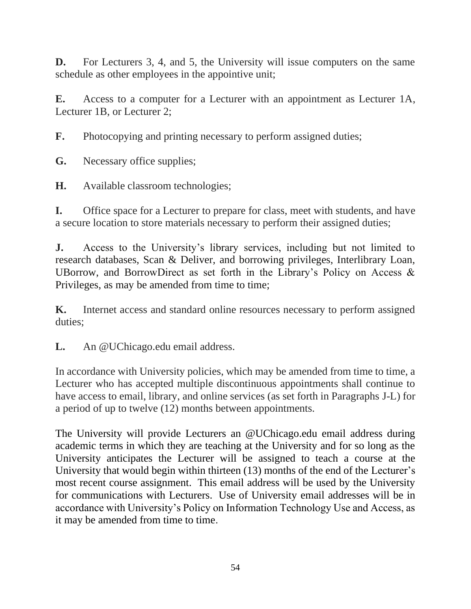**D.** For Lecturers 3, 4, and 5, the University will issue computers on the same schedule as other employees in the appointive unit;

**E.** Access to a computer for a Lecturer with an appointment as Lecturer 1A, Lecturer 1B, or Lecturer 2;

**F.** Photocopying and printing necessary to perform assigned duties;

**G.** Necessary office supplies;

**H.** Available classroom technologies;

**I.** Office space for a Lecturer to prepare for class, meet with students, and have a secure location to store materials necessary to perform their assigned duties;

**J.** Access to the University's library services, including but not limited to research databases, Scan & Deliver, and borrowing privileges, Interlibrary Loan, UBorrow, and BorrowDirect as set forth in the Library's Policy on Access & Privileges, as may be amended from time to time;

**K.** Internet access and standard online resources necessary to perform assigned duties;

**L.** An @UChicago.edu email address.

In accordance with University policies, which may be amended from time to time, a Lecturer who has accepted multiple discontinuous appointments shall continue to have access to email, library, and online services (as set forth in Paragraphs J-L) for a period of up to twelve (12) months between appointments.

The University will provide Lecturers an @UChicago.edu email address during academic terms in which they are teaching at the University and for so long as the University anticipates the Lecturer will be assigned to teach a course at the University that would begin within thirteen (13) months of the end of the Lecturer's most recent course assignment. This email address will be used by the University for communications with Lecturers. Use of University email addresses will be in accordance with University's Policy on Information Technology Use and Access, as it may be amended from time to time.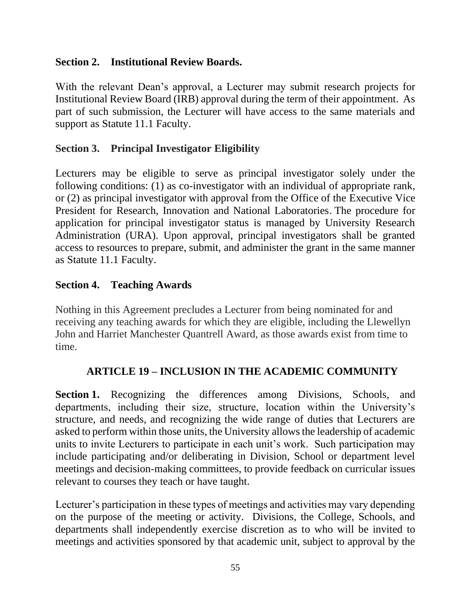#### **Section 2. Institutional Review Boards.**

With the relevant Dean's approval, a Lecturer may submit research projects for Institutional Review Board (IRB) approval during the term of their appointment. As part of such submission, the Lecturer will have access to the same materials and support as Statute 11.1 Faculty.

### **Section 3. Principal Investigator Eligibility**

Lecturers may be eligible to serve as principal investigator solely under the following conditions: (1) as co-investigator with an individual of appropriate rank, or (2) as principal investigator with approval from the Office of the Executive Vice President for Research, Innovation and National Laboratories. The procedure for application for principal investigator status is managed by University Research Administration (URA). Upon approval, principal investigators shall be granted access to resources to prepare, submit, and administer the grant in the same manner as Statute 11.1 Faculty.

### **Section 4. Teaching Awards**

Nothing in this Agreement precludes a Lecturer from being nominated for and receiving any teaching awards for which they are eligible, including the Llewellyn John and Harriet Manchester Quantrell Award, as those awards exist from time to time.

### **ARTICLE 19 – INCLUSION IN THE ACADEMIC COMMUNITY**

**Section 1.** Recognizing the differences among Divisions, Schools, and departments, including their size, structure, location within the University's structure, and needs, and recognizing the wide range of duties that Lecturers are asked to perform within those units, the University allows the leadership of academic units to invite Lecturers to participate in each unit's work. Such participation may include participating and/or deliberating in Division, School or department level meetings and decision-making committees, to provide feedback on curricular issues relevant to courses they teach or have taught.

Lecturer's participation in these types of meetings and activities may vary depending on the purpose of the meeting or activity. Divisions, the College, Schools, and departments shall independently exercise discretion as to who will be invited to meetings and activities sponsored by that academic unit, subject to approval by the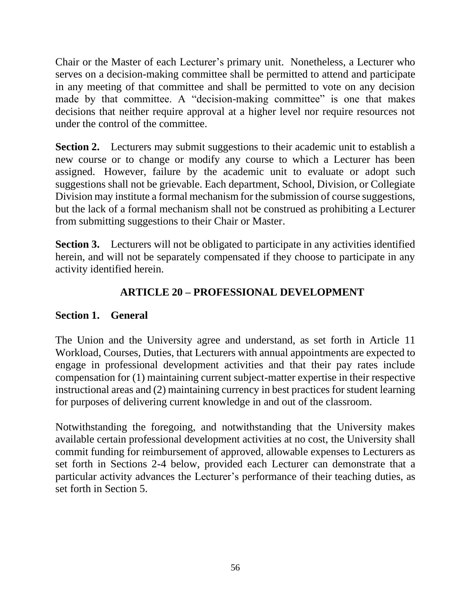Chair or the Master of each Lecturer's primary unit. Nonetheless, a Lecturer who serves on a decision-making committee shall be permitted to attend and participate in any meeting of that committee and shall be permitted to vote on any decision made by that committee. A "decision-making committee" is one that makes decisions that neither require approval at a higher level nor require resources not under the control of the committee.

**Section 2.** Lecturers may submit suggestions to their academic unit to establish a new course or to change or modify any course to which a Lecturer has been assigned. However, failure by the academic unit to evaluate or adopt such suggestions shall not be grievable. Each department, School, Division, or Collegiate Division may institute a formal mechanism for the submission of course suggestions, but the lack of a formal mechanism shall not be construed as prohibiting a Lecturer from submitting suggestions to their Chair or Master.

**Section 3.** Lecturers will not be obligated to participate in any activities identified herein, and will not be separately compensated if they choose to participate in any activity identified herein.

# **ARTICLE 20 – PROFESSIONAL DEVELOPMENT**

## **Section 1. General**

The Union and the University agree and understand, as set forth in Article 11 Workload, Courses, Duties, that Lecturers with annual appointments are expected to engage in professional development activities and that their pay rates include compensation for (1) maintaining current subject-matter expertise in their respective instructional areas and (2) maintaining currency in best practices for student learning for purposes of delivering current knowledge in and out of the classroom.

Notwithstanding the foregoing, and notwithstanding that the University makes available certain professional development activities at no cost, the University shall commit funding for reimbursement of approved, allowable expenses to Lecturers as set forth in Sections 2-4 below, provided each Lecturer can demonstrate that a particular activity advances the Lecturer's performance of their teaching duties, as set forth in Section 5.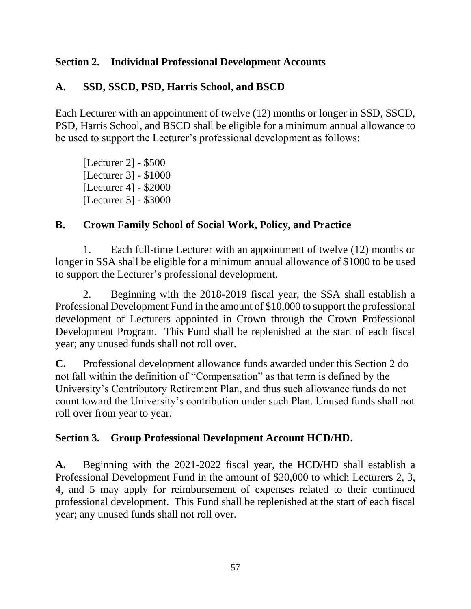#### **Section 2. Individual Professional Development Accounts**

#### **A. SSD, SSCD, PSD, Harris School, and BSCD**

Each Lecturer with an appointment of twelve (12) months or longer in SSD, SSCD, PSD, Harris School, and BSCD shall be eligible for a minimum annual allowance to be used to support the Lecturer's professional development as follows:

[Lecturer 2] - \$500 [Lecturer 3] - \$1000 [Lecturer 4] - \$2000 [Lecturer 5] - \$3000

#### **B. Crown Family School of Social Work, Policy, and Practice**

1. Each full-time Lecturer with an appointment of twelve (12) months or longer in SSA shall be eligible for a minimum annual allowance of \$1000 to be used to support the Lecturer's professional development.

2. Beginning with the 2018-2019 fiscal year, the SSA shall establish a Professional Development Fund in the amount of \$10,000 to support the professional development of Lecturers appointed in Crown through the Crown Professional Development Program. This Fund shall be replenished at the start of each fiscal year; any unused funds shall not roll over.

**C.** Professional development allowance funds awarded under this Section 2 do not fall within the definition of "Compensation" as that term is defined by the University's Contributory Retirement Plan, and thus such allowance funds do not count toward the University's contribution under such Plan. Unused funds shall not roll over from year to year.

#### **Section 3. Group Professional Development Account HCD/HD.**

**A.** Beginning with the 2021-2022 fiscal year, the HCD/HD shall establish a Professional Development Fund in the amount of \$20,000 to which Lecturers 2, 3, 4, and 5 may apply for reimbursement of expenses related to their continued professional development. This Fund shall be replenished at the start of each fiscal year; any unused funds shall not roll over.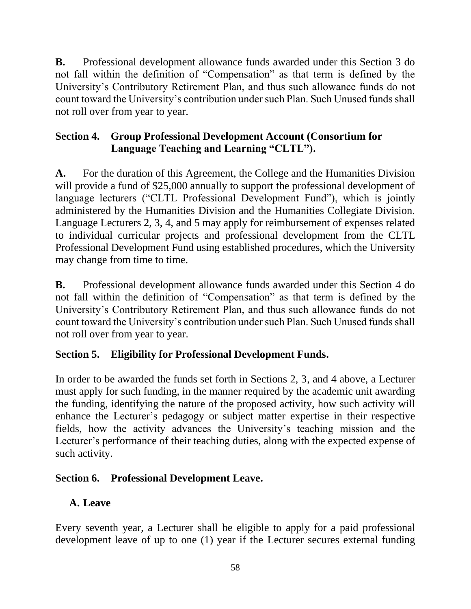**B.** Professional development allowance funds awarded under this Section 3 do not fall within the definition of "Compensation" as that term is defined by the University's Contributory Retirement Plan, and thus such allowance funds do not count toward the University's contribution under such Plan. Such Unused funds shall not roll over from year to year.

## **Section 4. Group Professional Development Account (Consortium for Language Teaching and Learning "CLTL").**

**A.** For the duration of this Agreement, the College and the Humanities Division will provide a fund of \$25,000 annually to support the professional development of language lecturers ("CLTL Professional Development Fund"), which is jointly administered by the Humanities Division and the Humanities Collegiate Division. Language Lecturers 2, 3, 4, and 5 may apply for reimbursement of expenses related to individual curricular projects and professional development from the CLTL Professional Development Fund using established procedures, which the University may change from time to time.

**B.** Professional development allowance funds awarded under this Section 4 do not fall within the definition of "Compensation" as that term is defined by the University's Contributory Retirement Plan, and thus such allowance funds do not count toward the University's contribution under such Plan. Such Unused funds shall not roll over from year to year.

## **Section 5. Eligibility for Professional Development Funds.**

In order to be awarded the funds set forth in Sections 2, 3, and 4 above, a Lecturer must apply for such funding, in the manner required by the academic unit awarding the funding, identifying the nature of the proposed activity, how such activity will enhance the Lecturer's pedagogy or subject matter expertise in their respective fields, how the activity advances the University's teaching mission and the Lecturer's performance of their teaching duties, along with the expected expense of such activity.

## **Section 6. Professional Development Leave.**

## **A. Leave**

Every seventh year, a Lecturer shall be eligible to apply for a paid professional development leave of up to one (1) year if the Lecturer secures external funding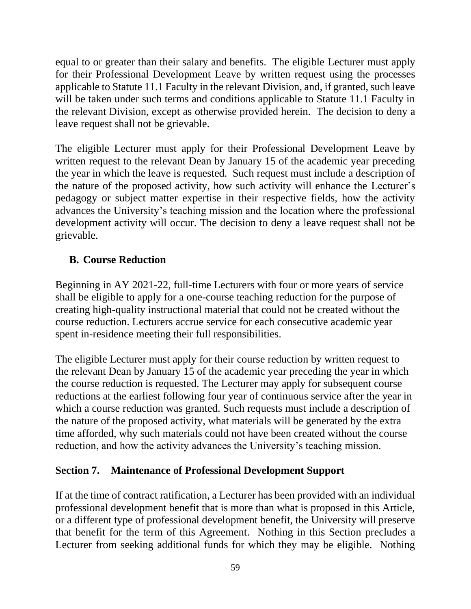equal to or greater than their salary and benefits. The eligible Lecturer must apply for their Professional Development Leave by written request using the processes applicable to Statute 11.1 Faculty in the relevant Division, and, if granted, such leave will be taken under such terms and conditions applicable to Statute 11.1 Faculty in the relevant Division, except as otherwise provided herein. The decision to deny a leave request shall not be grievable.

The eligible Lecturer must apply for their Professional Development Leave by written request to the relevant Dean by January 15 of the academic year preceding the year in which the leave is requested. Such request must include a description of the nature of the proposed activity, how such activity will enhance the Lecturer's pedagogy or subject matter expertise in their respective fields, how the activity advances the University's teaching mission and the location where the professional development activity will occur. The decision to deny a leave request shall not be grievable.

### **B. Course Reduction**

Beginning in AY 2021-22, full-time Lecturers with four or more years of service shall be eligible to apply for a one-course teaching reduction for the purpose of creating high-quality instructional material that could not be created without the course reduction. Lecturers accrue service for each consecutive academic year spent in-residence meeting their full responsibilities.

The eligible Lecturer must apply for their course reduction by written request to the relevant Dean by January 15 of the academic year preceding the year in which the course reduction is requested. The Lecturer may apply for subsequent course reductions at the earliest following four year of continuous service after the year in which a course reduction was granted. Such requests must include a description of the nature of the proposed activity, what materials will be generated by the extra time afforded, why such materials could not have been created without the course reduction, and how the activity advances the University's teaching mission.

### **Section 7. Maintenance of Professional Development Support**

If at the time of contract ratification, a Lecturer has been provided with an individual professional development benefit that is more than what is proposed in this Article, or a different type of professional development benefit, the University will preserve that benefit for the term of this Agreement. Nothing in this Section precludes a Lecturer from seeking additional funds for which they may be eligible. Nothing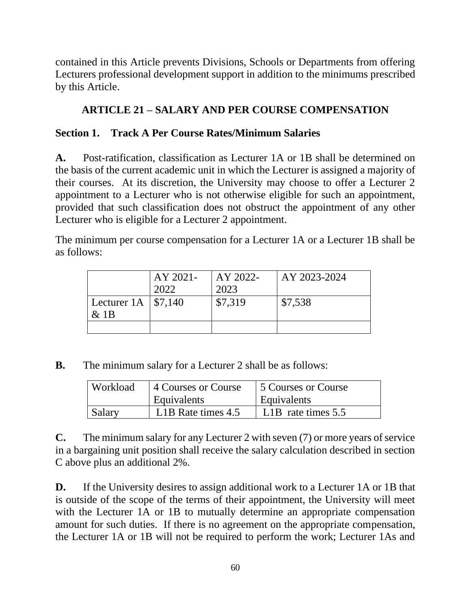contained in this Article prevents Divisions, Schools or Departments from offering Lecturers professional development support in addition to the minimums prescribed by this Article.

### **ARTICLE 21 – SALARY AND PER COURSE COMPENSATION**

#### **Section 1. Track A Per Course Rates/Minimum Salaries**

**A.** Post-ratification, classification as Lecturer 1A or 1B shall be determined on the basis of the current academic unit in which the Lecturer is assigned a majority of their courses. At its discretion, the University may choose to offer a Lecturer 2 appointment to a Lecturer who is not otherwise eligible for such an appointment, provided that such classification does not obstruct the appointment of any other Lecturer who is eligible for a Lecturer 2 appointment.

The minimum per course compensation for a Lecturer 1A or a Lecturer 1B shall be as follows:

|                        | AY 2021- | AY 2022- | AY 2023-2024 |
|------------------------|----------|----------|--------------|
|                        | 2022     | 2023     |              |
| Lecturer 1A   $$7,140$ |          | \$7,319  | \$7,538      |
| $&$ 1B                 |          |          |              |
|                        |          |          |              |

**B.** The minimum salary for a Lecturer 2 shall be as follows:

| Workload | 4 Courses or Course | 1.5 Courses or Course             |  |
|----------|---------------------|-----------------------------------|--|
|          | Equivalents         | Equivalents                       |  |
| Salary   | L1B Rate times 4.5  | L <sub>1</sub> B rate times $5.5$ |  |

**C.** The minimum salary for any Lecturer 2 with seven (7) or more years of service in a bargaining unit position shall receive the salary calculation described in section C above plus an additional 2%.

**D.** If the University desires to assign additional work to a Lecturer 1A or 1B that is outside of the scope of the terms of their appointment, the University will meet with the Lecturer 1A or 1B to mutually determine an appropriate compensation amount for such duties. If there is no agreement on the appropriate compensation, the Lecturer 1A or 1B will not be required to perform the work; Lecturer 1As and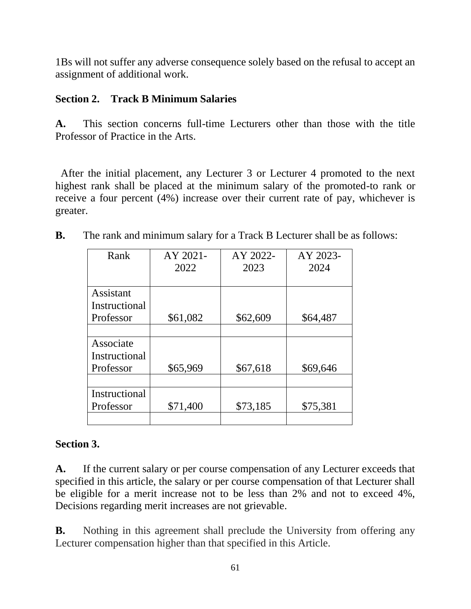1Bs will not suffer any adverse consequence solely based on the refusal to accept an assignment of additional work.

#### **Section 2. Track B Minimum Salaries**

**A.** This section concerns full-time Lecturers other than those with the title Professor of Practice in the Arts.

 After the initial placement, any Lecturer 3 or Lecturer 4 promoted to the next highest rank shall be placed at the minimum salary of the promoted-to rank or receive a four percent (4%) increase over their current rate of pay, whichever is greater.

| Rank          | AY 2021- | AY 2022- | AY 2023- |
|---------------|----------|----------|----------|
|               | 2022     | 2023     | 2024     |
|               |          |          |          |
| Assistant     |          |          |          |
| Instructional |          |          |          |
| Professor     | \$61,082 | \$62,609 | \$64,487 |
|               |          |          |          |
| Associate     |          |          |          |
| Instructional |          |          |          |
| Professor     | \$65,969 | \$67,618 | \$69,646 |
|               |          |          |          |
| Instructional |          |          |          |
| Professor     | \$71,400 | \$73,185 | \$75,381 |
|               |          |          |          |

**B.** The rank and minimum salary for a Track B Lecturer shall be as follows:

## **Section 3.**

**A.** If the current salary or per course compensation of any Lecturer exceeds that specified in this article, the salary or per course compensation of that Lecturer shall be eligible for a merit increase not to be less than 2% and not to exceed 4%, Decisions regarding merit increases are not grievable.

**B.** Nothing in this agreement shall preclude the University from offering any Lecturer compensation higher than that specified in this Article.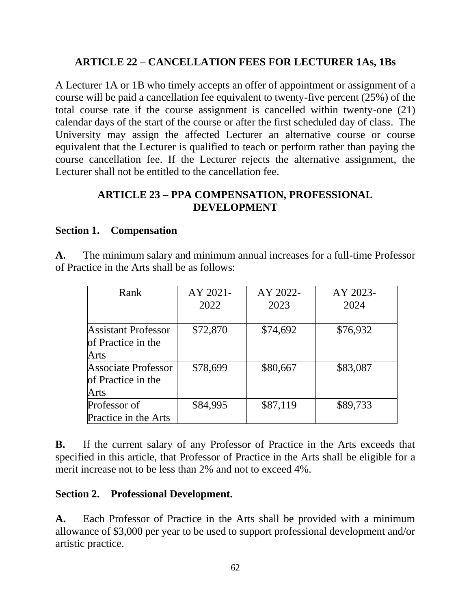### **ARTICLE 22 – CANCELLATION FEES FOR LECTURER 1As, 1Bs**

A Lecturer 1A or 1B who timely accepts an offer of appointment or assignment of a course will be paid a cancellation fee equivalent to twenty-five percent (25%) of the total course rate if the course assignment is cancelled within twenty-one (21) calendar days of the start of the course or after the first scheduled day of class. The University may assign the affected Lecturer an alternative course or course equivalent that the Lecturer is qualified to teach or perform rather than paying the course cancellation fee. If the Lecturer rejects the alternative assignment, the Lecturer shall not be entitled to the cancellation fee.

#### **ARTICLE 23 – PPA COMPENSATION, PROFESSIONAL DEVELOPMENT**

#### **Section 1. Compensation**

**A.** The minimum salary and minimum annual increases for a full-time Professor of Practice in the Arts shall be as follows:

| Rank                       | AY 2021- | AY 2022- | AY 2023- |
|----------------------------|----------|----------|----------|
|                            | 2022     | 2023     | 2024     |
|                            |          |          |          |
| <b>Assistant Professor</b> | \$72,870 | \$74,692 | \$76,932 |
| of Practice in the         |          |          |          |
| <b>Arts</b>                |          |          |          |
| Associate Professor        | \$78,699 | \$80,667 | \$83,087 |
| of Practice in the         |          |          |          |
| Arts                       |          |          |          |
| Professor of               | \$84,995 | \$87,119 | \$89,733 |
| Practice in the Arts       |          |          |          |

**B.** If the current salary of any Professor of Practice in the Arts exceeds that specified in this article, that Professor of Practice in the Arts shall be eligible for a merit increase not to be less than 2% and not to exceed 4%.

#### **Section 2. Professional Development.**

**A.** Each Professor of Practice in the Arts shall be provided with a minimum allowance of \$3,000 per year to be used to support professional development and/or artistic practice.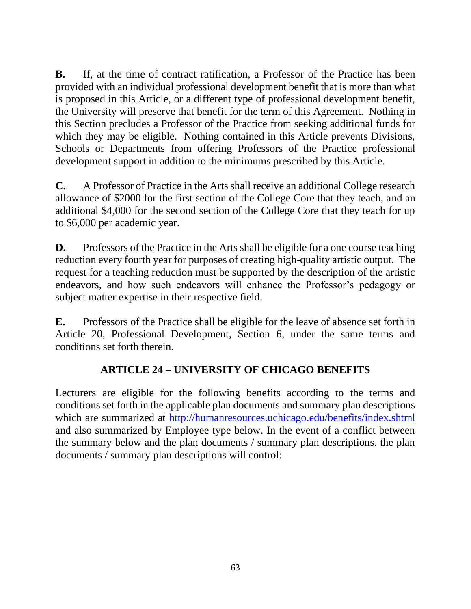**B.** If, at the time of contract ratification, a Professor of the Practice has been provided with an individual professional development benefit that is more than what is proposed in this Article, or a different type of professional development benefit, the University will preserve that benefit for the term of this Agreement. Nothing in this Section precludes a Professor of the Practice from seeking additional funds for which they may be eligible. Nothing contained in this Article prevents Divisions, Schools or Departments from offering Professors of the Practice professional development support in addition to the minimums prescribed by this Article.

**C.** A Professor of Practice in the Arts shall receive an additional College research allowance of \$2000 for the first section of the College Core that they teach, and an additional \$4,000 for the second section of the College Core that they teach for up to \$6,000 per academic year.

**D.** Professors of the Practice in the Arts shall be eligible for a one course teaching reduction every fourth year for purposes of creating high-quality artistic output. The request for a teaching reduction must be supported by the description of the artistic endeavors, and how such endeavors will enhance the Professor's pedagogy or subject matter expertise in their respective field.

**E.** Professors of the Practice shall be eligible for the leave of absence set forth in Article 20, Professional Development, Section 6, under the same terms and conditions set forth therein.

## **ARTICLE 24 – UNIVERSITY OF CHICAGO BENEFITS**

Lecturers are eligible for the following benefits according to the terms and conditions set forth in the applicable plan documents and summary plan descriptions which are summarized at<http://humanresources.uchicago.edu/benefits/index.shtml> and also summarized by Employee type below. In the event of a conflict between the summary below and the plan documents / summary plan descriptions, the plan documents / summary plan descriptions will control: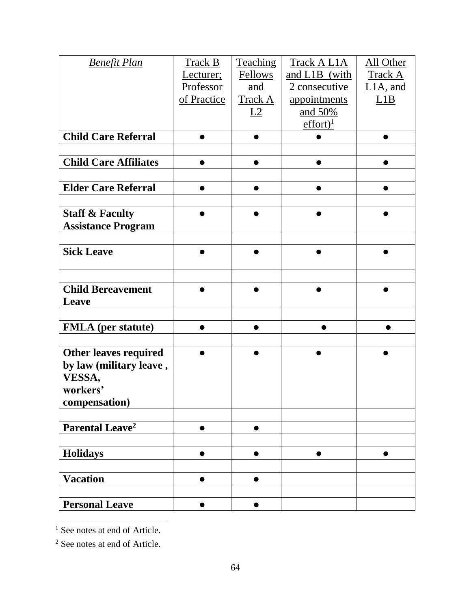| <b>Benefit Plan</b>          | Track B     | Teaching  | Track A L1A                  | All Other      |
|------------------------------|-------------|-----------|------------------------------|----------------|
|                              | Lecturer;   | Fellows   | and L1B (with                | <b>Track A</b> |
|                              | Professor   | and       | 2 consecutive                | $L1A$ , and    |
|                              | of Practice | Track A   | appointments                 | L1B            |
|                              |             | L2        | and 50%                      |                |
|                              |             |           | $\text{effort}$ <sup>1</sup> |                |
| <b>Child Care Referral</b>   |             |           |                              |                |
|                              |             |           |                              |                |
| <b>Child Care Affiliates</b> |             |           |                              |                |
|                              |             |           |                              |                |
| <b>Elder Care Referral</b>   |             |           |                              |                |
|                              |             |           |                              |                |
| <b>Staff &amp; Faculty</b>   |             |           |                              |                |
| <b>Assistance Program</b>    |             |           |                              |                |
|                              |             |           |                              |                |
| <b>Sick Leave</b>            |             |           |                              |                |
|                              |             |           |                              |                |
|                              |             |           |                              |                |
| <b>Child Bereavement</b>     |             |           |                              |                |
| Leave                        |             |           |                              |                |
|                              |             |           |                              |                |
| <b>FMLA</b> (per statute)    |             |           |                              |                |
|                              |             |           |                              |                |
| <b>Other leaves required</b> |             |           |                              |                |
| by law (military leave,      |             |           |                              |                |
| VESSA,                       |             |           |                              |                |
| workers'                     |             |           |                              |                |
| compensation)                |             |           |                              |                |
|                              |             |           |                              |                |
| Parental Leave <sup>2</sup>  |             |           |                              |                |
|                              |             |           |                              |                |
| <b>Holidays</b>              |             |           |                              |                |
|                              |             |           |                              |                |
| <b>Vacation</b>              | $\bullet$   | $\bullet$ |                              |                |
|                              |             |           |                              |                |
| <b>Personal Leave</b>        | $\bullet$   | $\bullet$ |                              |                |

 $\frac{1}{1}$  See notes at end of Article.

<sup>2</sup> See notes at end of Article.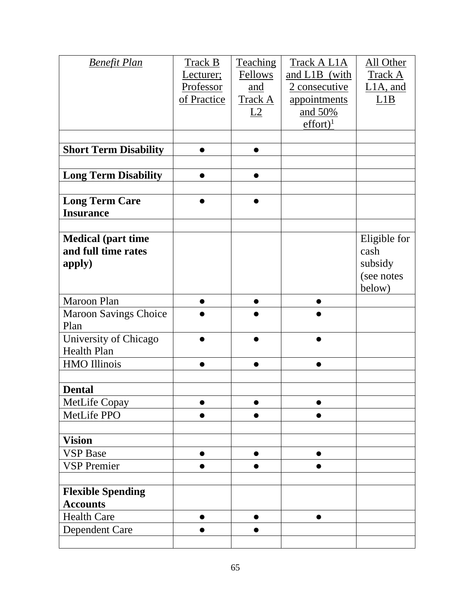| <b>Benefit Plan</b>                         | Track B     | Teaching | Track A L1A           | All Other    |
|---------------------------------------------|-------------|----------|-----------------------|--------------|
|                                             | Lecturer;   | Fellows  | and L1B (with         | Track A      |
|                                             | Professor   | and      | <u>2 consecutive</u>  | $L1A$ , and  |
|                                             | of Practice | Track A  | appointments          | L1B          |
|                                             |             | L2       | <u>and 50%</u>        |              |
|                                             |             |          | $effort$ <sup>1</sup> |              |
|                                             |             |          |                       |              |
| <b>Short Term Disability</b>                |             |          |                       |              |
|                                             |             |          |                       |              |
| <b>Long Term Disability</b>                 |             |          |                       |              |
|                                             |             |          |                       |              |
| <b>Long Term Care</b>                       |             |          |                       |              |
| <b>Insurance</b>                            |             |          |                       |              |
|                                             |             |          |                       |              |
| <b>Medical (part time</b>                   |             |          |                       | Eligible for |
| and full time rates                         |             |          |                       | cash         |
| apply)                                      |             |          |                       | subsidy      |
|                                             |             |          |                       | (see notes   |
| Maroon Plan                                 |             |          |                       | below)       |
|                                             |             |          |                       |              |
| <b>Maroon Savings Choice</b><br>Plan        |             |          |                       |              |
| University of Chicago                       |             |          |                       |              |
| <b>Health Plan</b>                          |             |          |                       |              |
| <b>HMO</b> Illinois                         |             |          |                       |              |
|                                             |             |          |                       |              |
| <b>Dental</b>                               |             |          |                       |              |
| <b>MetLife Copay</b>                        |             |          |                       |              |
| MetLife PPO                                 |             |          |                       |              |
|                                             |             |          |                       |              |
| <b>Vision</b>                               |             |          |                       |              |
| <b>VSP</b> Base                             | $\bullet$   |          |                       |              |
| <b>VSP Premier</b>                          |             |          |                       |              |
|                                             |             |          |                       |              |
| <b>Flexible Spending</b><br><b>Accounts</b> |             |          |                       |              |
| <b>Health Care</b>                          | $\bullet$   |          |                       |              |
| Dependent Care                              |             |          |                       |              |
|                                             |             |          |                       |              |
|                                             |             |          |                       |              |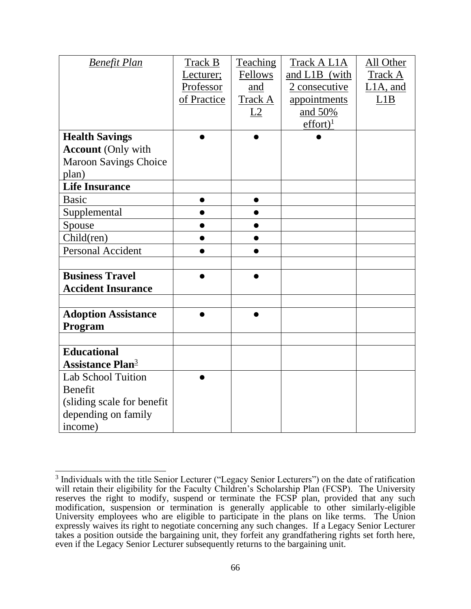| <b>Benefit Plan</b>                 | Track B     | <b>Teaching</b> | Track A L1A           | All Other   |
|-------------------------------------|-------------|-----------------|-----------------------|-------------|
|                                     | Lecturer;   | Fellows         | and L1B (with         | Track A     |
|                                     | Professor   | and             | 2 consecutive         | $L1A$ , and |
|                                     | of Practice | Track A         | appointments          | L1B         |
|                                     |             | L2              | and 50%               |             |
|                                     |             |                 | $effort$ <sup>1</sup> |             |
| <b>Health Savings</b>               |             | $\bullet$       |                       |             |
| <b>Account (Only with</b>           |             |                 |                       |             |
| <b>Maroon Savings Choice</b>        |             |                 |                       |             |
| plan)                               |             |                 |                       |             |
| <b>Life Insurance</b>               |             |                 |                       |             |
| <b>Basic</b>                        |             |                 |                       |             |
| Supplemental                        |             |                 |                       |             |
| Spouse                              |             |                 |                       |             |
| Child(ren)                          |             | $\bullet$       |                       |             |
| <b>Personal Accident</b>            |             |                 |                       |             |
|                                     |             |                 |                       |             |
| <b>Business Travel</b>              |             |                 |                       |             |
| <b>Accident Insurance</b>           |             |                 |                       |             |
|                                     |             |                 |                       |             |
| <b>Adoption Assistance</b>          |             |                 |                       |             |
| Program                             |             |                 |                       |             |
|                                     |             |                 |                       |             |
| <b>Educational</b>                  |             |                 |                       |             |
| <b>Assistance Plan</b> <sup>3</sup> |             |                 |                       |             |
| <b>Lab School Tuition</b>           |             |                 |                       |             |
| Benefit                             |             |                 |                       |             |
| (sliding scale for benefit)         |             |                 |                       |             |
| depending on family                 |             |                 |                       |             |
| income)                             |             |                 |                       |             |

<sup>&</sup>lt;sup>3</sup> Individuals with the title Senior Lecturer ("Legacy Senior Lecturers") on the date of ratification will retain their eligibility for the Faculty Children's Scholarship Plan (FCSP). The University reserves the right to modify, suspend or terminate the FCSP plan, provided that any such modification, suspension or termination is generally applicable to other similarly-eligible University employees who are eligible to participate in the plans on like terms. The Union expressly waives its right to negotiate concerning any such changes. If a Legacy Senior Lecturer takes a position outside the bargaining unit, they forfeit any grandfathering rights set forth here, even if the Legacy Senior Lecturer subsequently returns to the bargaining unit.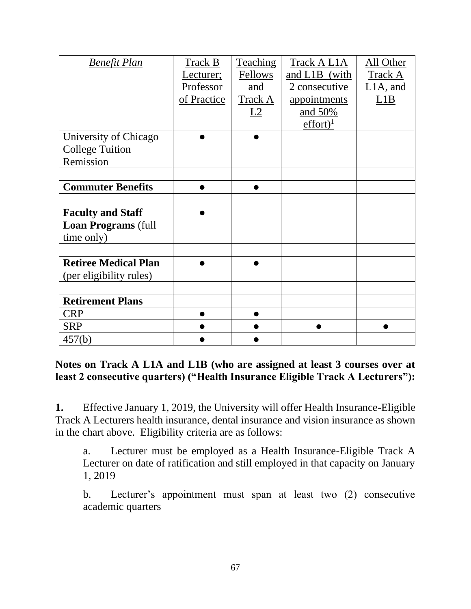| <b>Benefit Plan</b>                             | Track B<br>Lecturer;<br>Professor<br>of Practice | <b>Teaching</b><br>Fellows<br>and<br>Track A<br>L2 | Track A L1A<br>and L1B (with<br>2 consecutive<br>appointments<br>and 50%<br>$effort$ <sup>1</sup> | All Other<br><b>Track A</b><br>$L1A$ , and<br>L1B |
|-------------------------------------------------|--------------------------------------------------|----------------------------------------------------|---------------------------------------------------------------------------------------------------|---------------------------------------------------|
| University of Chicago<br><b>College Tuition</b> |                                                  |                                                    |                                                                                                   |                                                   |
| Remission                                       |                                                  |                                                    |                                                                                                   |                                                   |
|                                                 |                                                  |                                                    |                                                                                                   |                                                   |
| <b>Commuter Benefits</b>                        |                                                  |                                                    |                                                                                                   |                                                   |
|                                                 |                                                  |                                                    |                                                                                                   |                                                   |
| <b>Faculty and Staff</b>                        |                                                  |                                                    |                                                                                                   |                                                   |
| <b>Loan Programs (full</b>                      |                                                  |                                                    |                                                                                                   |                                                   |
| time only)                                      |                                                  |                                                    |                                                                                                   |                                                   |
|                                                 |                                                  |                                                    |                                                                                                   |                                                   |
| <b>Retiree Medical Plan</b>                     |                                                  |                                                    |                                                                                                   |                                                   |
| (per eligibility rules)                         |                                                  |                                                    |                                                                                                   |                                                   |
|                                                 |                                                  |                                                    |                                                                                                   |                                                   |
| <b>Retirement Plans</b>                         |                                                  |                                                    |                                                                                                   |                                                   |
| <b>CRP</b>                                      |                                                  |                                                    |                                                                                                   |                                                   |
| <b>SRP</b>                                      |                                                  |                                                    |                                                                                                   |                                                   |
| 457(b)                                          |                                                  |                                                    |                                                                                                   |                                                   |

**Notes on Track A L1A and L1B (who are assigned at least 3 courses over at least 2 consecutive quarters) ("Health Insurance Eligible Track A Lecturers"):**

**1.** Effective January 1, 2019, the University will offer Health Insurance-Eligible Track A Lecturers health insurance, dental insurance and vision insurance as shown in the chart above. Eligibility criteria are as follows:

a. Lecturer must be employed as a Health Insurance-Eligible Track A Lecturer on date of ratification and still employed in that capacity on January 1, 2019

b. Lecturer's appointment must span at least two (2) consecutive academic quarters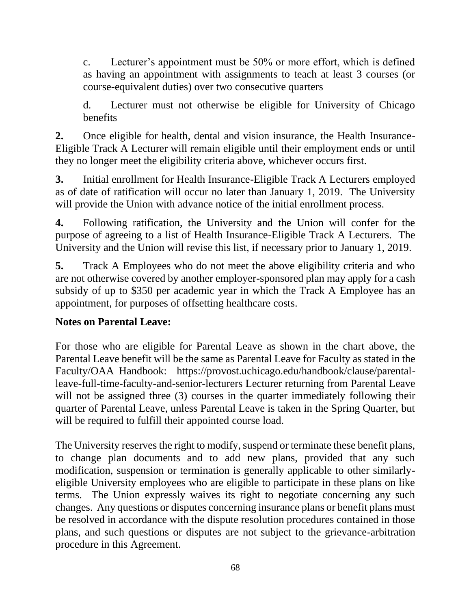c. Lecturer's appointment must be 50% or more effort, which is defined as having an appointment with assignments to teach at least 3 courses (or course-equivalent duties) over two consecutive quarters

d. Lecturer must not otherwise be eligible for University of Chicago benefits

**2.** Once eligible for health, dental and vision insurance, the Health Insurance-Eligible Track A Lecturer will remain eligible until their employment ends or until they no longer meet the eligibility criteria above, whichever occurs first.

**3.** Initial enrollment for Health Insurance-Eligible Track A Lecturers employed as of date of ratification will occur no later than January 1, 2019. The University will provide the Union with advance notice of the initial enrollment process.

**4.** Following ratification, the University and the Union will confer for the purpose of agreeing to a list of Health Insurance-Eligible Track A Lecturers. The University and the Union will revise this list, if necessary prior to January 1, 2019.

**5.** Track A Employees who do not meet the above eligibility criteria and who are not otherwise covered by another employer-sponsored plan may apply for a cash subsidy of up to \$350 per academic year in which the Track A Employee has an appointment, for purposes of offsetting healthcare costs.

## **Notes on Parental Leave:**

For those who are eligible for Parental Leave as shown in the chart above, the Parental Leave benefit will be the same as Parental Leave for Faculty as stated in the Faculty/OAA Handbook: https://provost.uchicago.edu/handbook/clause/parentalleave-full-time-faculty-and-senior-lecturers Lecturer returning from Parental Leave will not be assigned three (3) courses in the quarter immediately following their quarter of Parental Leave, unless Parental Leave is taken in the Spring Quarter, but will be required to fulfill their appointed course load.

The University reserves the right to modify, suspend or terminate these benefit plans, to change plan documents and to add new plans, provided that any such modification, suspension or termination is generally applicable to other similarlyeligible University employees who are eligible to participate in these plans on like terms. The Union expressly waives its right to negotiate concerning any such changes. Any questions or disputes concerning insurance plans or benefit plans must be resolved in accordance with the dispute resolution procedures contained in those plans, and such questions or disputes are not subject to the grievance-arbitration procedure in this Agreement.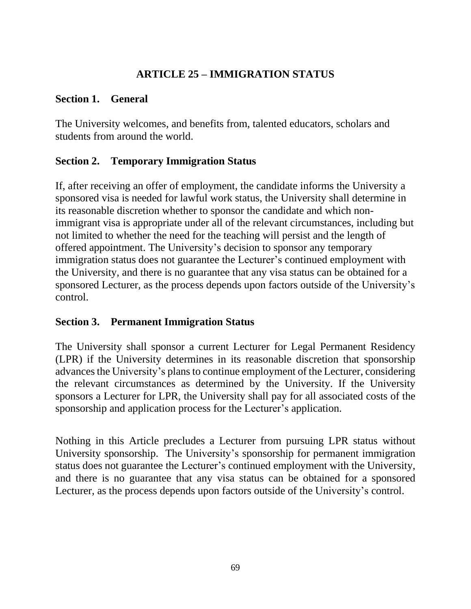## **ARTICLE 25 – IMMIGRATION STATUS**

### **Section 1. General**

The University welcomes, and benefits from, talented educators, scholars and students from around the world.

## **Section 2. Temporary Immigration Status**

If, after receiving an offer of employment, the candidate informs the University a sponsored visa is needed for lawful work status, the University shall determine in its reasonable discretion whether to sponsor the candidate and which nonimmigrant visa is appropriate under all of the relevant circumstances, including but not limited to whether the need for the teaching will persist and the length of offered appointment. The University's decision to sponsor any temporary immigration status does not guarantee the Lecturer's continued employment with the University, and there is no guarantee that any visa status can be obtained for a sponsored Lecturer, as the process depends upon factors outside of the University's control.

## **Section 3. Permanent Immigration Status**

The University shall sponsor a current Lecturer for Legal Permanent Residency (LPR) if the University determines in its reasonable discretion that sponsorship advances the University's plans to continue employment of the Lecturer, considering the relevant circumstances as determined by the University. If the University sponsors a Lecturer for LPR, the University shall pay for all associated costs of the sponsorship and application process for the Lecturer's application.

Nothing in this Article precludes a Lecturer from pursuing LPR status without University sponsorship. The University's sponsorship for permanent immigration status does not guarantee the Lecturer's continued employment with the University, and there is no guarantee that any visa status can be obtained for a sponsored Lecturer, as the process depends upon factors outside of the University's control.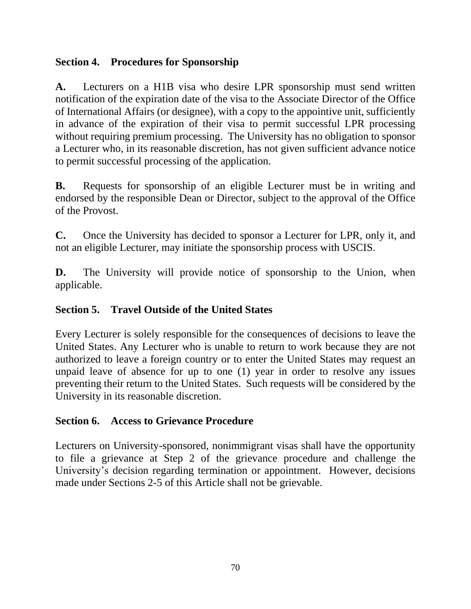## **Section 4. Procedures for Sponsorship**

**A.** Lecturers on a H1B visa who desire LPR sponsorship must send written notification of the expiration date of the visa to the Associate Director of the Office of International Affairs (or designee), with a copy to the appointive unit, sufficiently in advance of the expiration of their visa to permit successful LPR processing without requiring premium processing. The University has no obligation to sponsor a Lecturer who, in its reasonable discretion, has not given sufficient advance notice to permit successful processing of the application.

**B.** Requests for sponsorship of an eligible Lecturer must be in writing and endorsed by the responsible Dean or Director, subject to the approval of the Office of the Provost.

**C.** Once the University has decided to sponsor a Lecturer for LPR, only it, and not an eligible Lecturer, may initiate the sponsorship process with USCIS.

**D.** The University will provide notice of sponsorship to the Union, when applicable.

## **Section 5. Travel Outside of the United States**

Every Lecturer is solely responsible for the consequences of decisions to leave the United States. Any Lecturer who is unable to return to work because they are not authorized to leave a foreign country or to enter the United States may request an unpaid leave of absence for up to one (1) year in order to resolve any issues preventing their return to the United States. Such requests will be considered by the University in its reasonable discretion.

## **Section 6. Access to Grievance Procedure**

Lecturers on University-sponsored, nonimmigrant visas shall have the opportunity to file a grievance at Step 2 of the grievance procedure and challenge the University's decision regarding termination or appointment. However, decisions made under Sections 2-5 of this Article shall not be grievable.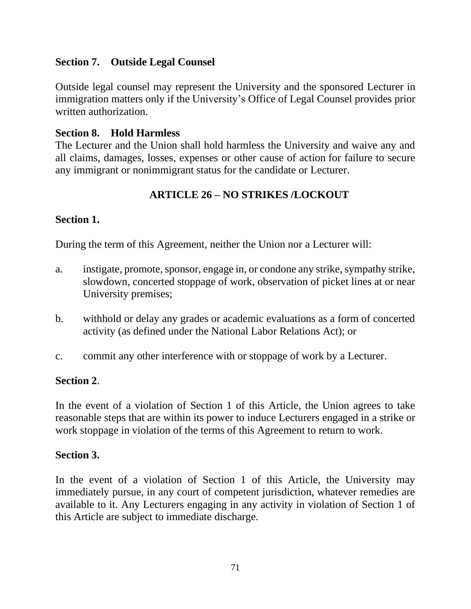## **Section 7. Outside Legal Counsel**

Outside legal counsel may represent the University and the sponsored Lecturer in immigration matters only if the University's Office of Legal Counsel provides prior written authorization.

## **Section 8. Hold Harmless**

The Lecturer and the Union shall hold harmless the University and waive any and all claims, damages, losses, expenses or other cause of action for failure to secure any immigrant or nonimmigrant status for the candidate or Lecturer.

## **ARTICLE 26 – NO STRIKES /LOCKOUT**

## **Section 1.**

During the term of this Agreement, neither the Union nor a Lecturer will:

- a. instigate, promote, sponsor, engage in, or condone any strike, sympathy strike, slowdown, concerted stoppage of work, observation of picket lines at or near University premises;
- b. withhold or delay any grades or academic evaluations as a form of concerted activity (as defined under the National Labor Relations Act); or
- c. commit any other interference with or stoppage of work by a Lecturer.

## **Section 2**.

In the event of a violation of Section 1 of this Article, the Union agrees to take reasonable steps that are within its power to induce Lecturers engaged in a strike or work stoppage in violation of the terms of this Agreement to return to work.

## **Section 3.**

In the event of a violation of Section 1 of this Article, the University may immediately pursue, in any court of competent jurisdiction, whatever remedies are available to it. Any Lecturers engaging in any activity in violation of Section 1 of this Article are subject to immediate discharge.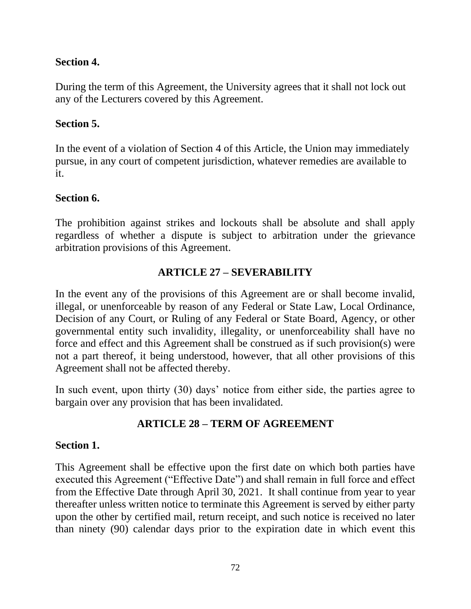## **Section 4.**

During the term of this Agreement, the University agrees that it shall not lock out any of the Lecturers covered by this Agreement.

## **Section 5.**

In the event of a violation of Section 4 of this Article, the Union may immediately pursue, in any court of competent jurisdiction, whatever remedies are available to it.

## **Section 6.**

The prohibition against strikes and lockouts shall be absolute and shall apply regardless of whether a dispute is subject to arbitration under the grievance arbitration provisions of this Agreement.

# **ARTICLE 27 – SEVERABILITY**

In the event any of the provisions of this Agreement are or shall become invalid, illegal, or unenforceable by reason of any Federal or State Law, Local Ordinance, Decision of any Court, or Ruling of any Federal or State Board, Agency, or other governmental entity such invalidity, illegality, or unenforceability shall have no force and effect and this Agreement shall be construed as if such provision(s) were not a part thereof, it being understood, however, that all other provisions of this Agreement shall not be affected thereby.

In such event, upon thirty (30) days' notice from either side, the parties agree to bargain over any provision that has been invalidated.

## **ARTICLE 28 – TERM OF AGREEMENT**

## **Section 1.**

This Agreement shall be effective upon the first date on which both parties have executed this Agreement ("Effective Date") and shall remain in full force and effect from the Effective Date through April 30, 2021. It shall continue from year to year thereafter unless written notice to terminate this Agreement is served by either party upon the other by certified mail, return receipt, and such notice is received no later than ninety (90) calendar days prior to the expiration date in which event this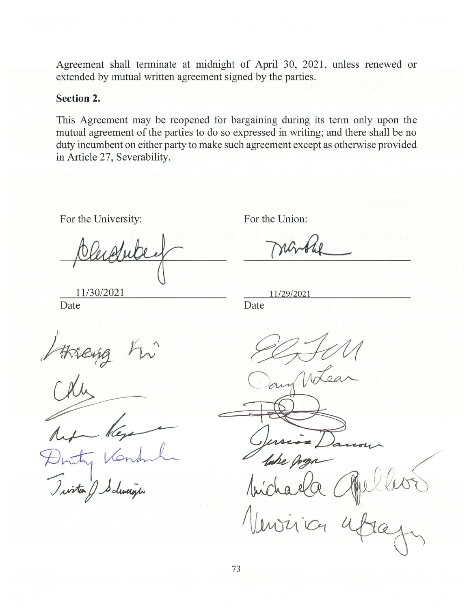Agreement shall terminate at midnight of April 30, 2021, unless renewed or extended by mutual written agreement signed by the parties.

#### **Section 2.**

This Agreement may be reopened for bargaining during its term only upon the mutual agreement of the parties to do so expressed in writing; and there shall be no duty incumbent on either party to make such agreement except as otherwise provided in Article 27, Severability.

For the University:

For the Union:

11/29/2021

Date

Date

11/30/2021

 $\sqrt{\mu}$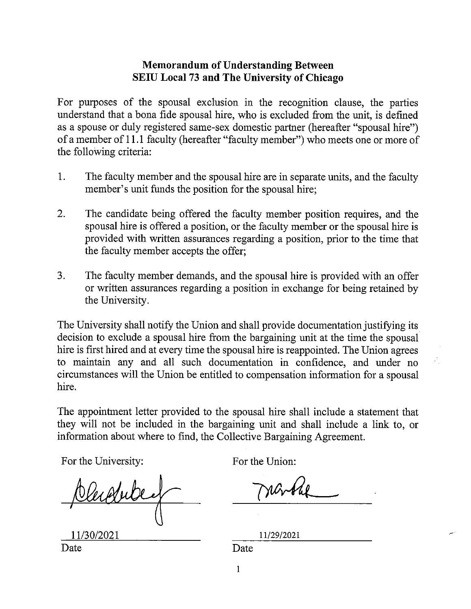#### **Memorandum of Understanding Between SEIU Local 73 and The University of Chicago**

For purposes of the spousal exclusion in the recognition clause, the parties understand that a bona fide spousal hire, who is excluded from the unit, is defined as a spouse or duly registered same-sex domestic partner (hereafter "spousal hire") of a member of 11.1 faculty (hereafter "faculty member") who meets one or more of the following criteria:

- 1. The faculty member and the spousal hire are in separate units, and the faculty member's unit funds the position for the spousal hire;
- 2. The candidate being offered the faculty member position requires, and the spousal hire is offered a position, or the faculty member or the spousal hire is provided with written assurances regarding a position, prior to the time that the faculty member accepts the offer;
- 3. The faculty member demands, and the spousal hire is provided with an offer or written assurances regarding a position in exchange for being retained by the University.

The University shall notify the Union and shall provide documentation justifying its decision to exclude a spousal hire from the bargaining unit at the time the spousal hire is first hired and at every time the spousal hire is reappointed. The Union agrees to maintain any and all such documentation in confidence, and under no circumstances will the Union be entitled to compensation information for a spousal hire.

The appointment letter provided to the spousal hire shall include a statement that they will not be included in the bargaining unit and shall include a link to, or information about where to find, the Collective Bargaining Agreement.

For the University:

11/30/2021

For the Union:

11/29/2021

Date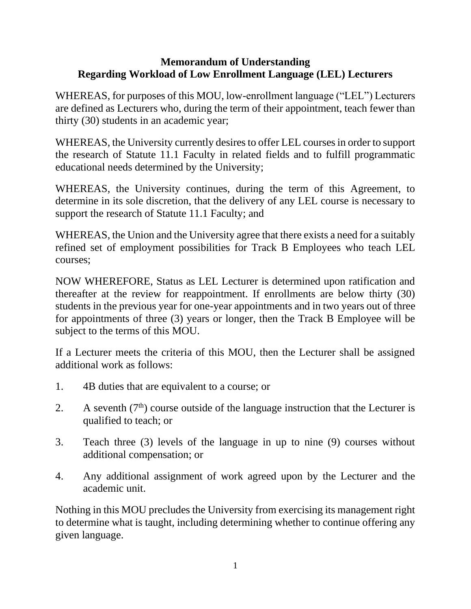## **Memorandum of Understanding Regarding Workload of Low Enrollment Language (LEL) Lecturers**

WHEREAS, for purposes of this MOU, low-enrollment language ("LEL") Lecturers are defined as Lecturers who, during the term of their appointment, teach fewer than thirty (30) students in an academic year;

WHEREAS, the University currently desires to offer LEL courses in order to support the research of Statute 11.1 Faculty in related fields and to fulfill programmatic educational needs determined by the University;

WHEREAS, the University continues, during the term of this Agreement, to determine in its sole discretion, that the delivery of any LEL course is necessary to support the research of Statute 11.1 Faculty; and

WHEREAS, the Union and the University agree that there exists a need for a suitably refined set of employment possibilities for Track B Employees who teach LEL courses;

NOW WHEREFORE, Status as LEL Lecturer is determined upon ratification and thereafter at the review for reappointment. If enrollments are below thirty (30) students in the previous year for one-year appointments and in two years out of three for appointments of three (3) years or longer, then the Track B Employee will be subject to the terms of this MOU.

If a Lecturer meets the criteria of this MOU, then the Lecturer shall be assigned additional work as follows:

- 1. 4B duties that are equivalent to a course; or
- 2. A seventh  $(7<sup>th</sup>)$  course outside of the language instruction that the Lecturer is qualified to teach; or
- 3. Teach three (3) levels of the language in up to nine (9) courses without additional compensation; or
- 4. Any additional assignment of work agreed upon by the Lecturer and the academic unit.

Nothing in this MOU precludes the University from exercising its management right to determine what is taught, including determining whether to continue offering any given language.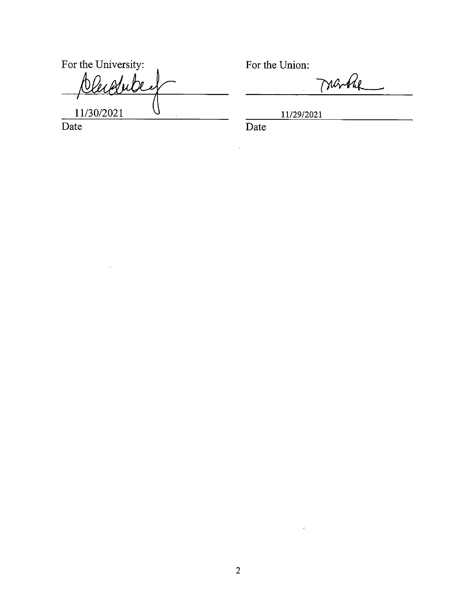For the University: Per Adu he  $\oint$ 11/30/2021 Date

 $\sim 10^7$ 

For the Union:

marke

11/29/2021

Date

 $\hat{\mathcal{A}}$ 

 $\mathcal{L}(\mathcal{A})$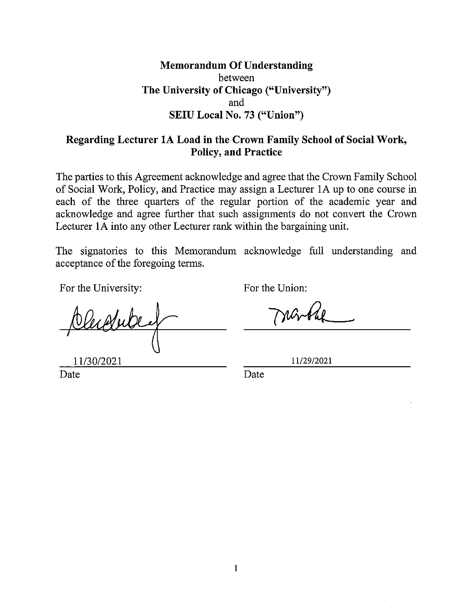### **Memorandum Of Understanding** between The University of Chicago ("University") and SEIU Local No. 73 ("Union")

### Regarding Lecturer 1A Load in the Crown Family School of Social Work, **Policy, and Practice**

The parties to this Agreement acknowledge and agree that the Crown Family School of Social Work, Policy, and Practice may assign a Lecturer 1A up to one course in each of the three quarters of the regular portion of the academic year and acknowledge and agree further that such assignments do not convert the Crown Lecturer 1A into any other Lecturer rank within the bargaining unit.

The signatories to this Memorandum acknowledge full understanding and acceptance of the foregoing terms.

For the University:

For the Union:

11/30/2021 Date

11/29/2021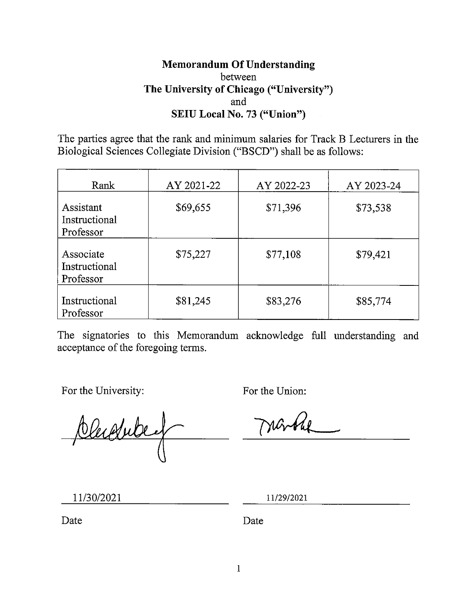### **Memorandum Of Understanding** between The University of Chicago ("University") and SEIU Local No. 73 ("Union")

The parties agree that the rank and minimum salaries for Track B Lecturers in the Biological Sciences Collegiate Division ("BSCD") shall be as follows:

| Rank                                    | AY 2021-22 | AY 2022-23 | AY 2023-24 |
|-----------------------------------------|------------|------------|------------|
| Assistant<br>Instructional<br>Professor | \$69,655   | \$71,396   | \$73,538   |
| Associate<br>Instructional<br>Professor | \$75,227   | \$77,108   | \$79,421   |
| Instructional<br>Professor              | \$81,245   | \$83,276   | \$85,774   |

The signatories to this Memorandum acknowledge full understanding and acceptance of the foregoing terms.

For the University:

For the Union:

Obudube,

11/29/2021

11/30/2021

Date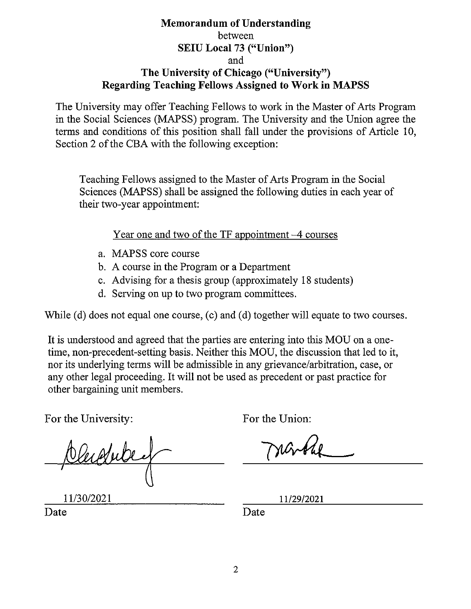#### **Memorandum of Understanding** between **SEIU Local 73 ("Union")** and The University of Chicago ("University") **Regarding Teaching Fellows Assigned to Work in MAPSS**

The University may offer Teaching Fellows to work in the Master of Arts Program in the Social Sciences (MAPSS) program. The University and the Union agree the terms and conditions of this position shall fall under the provisions of Article 10. Section 2 of the CBA with the following exception:

Teaching Fellows assigned to the Master of Arts Program in the Social Sciences (MAPSS) shall be assigned the following duties in each year of their two-year appointment:

Year one and two of the TF appointment -4 courses

- a. MAPSS core course
- b. A course in the Program or a Department
- c. Advising for a thesis group (approximately 18 students)
- d. Serving on up to two program committees.

While (d) does not equal one course, (c) and (d) together will equate to two courses.

It is understood and agreed that the parties are entering into this MOU on a onetime, non-precedent-setting basis. Neither this MOU, the discussion that led to it, nor its underlying terms will be admissible in any grievance/arbitration, case, or any other legal proceeding. It will not be used as precedent or past practice for other bargaining unit members.

For the University:

For the Union:

Cleagube

11/30/2021

11/29/2021

Date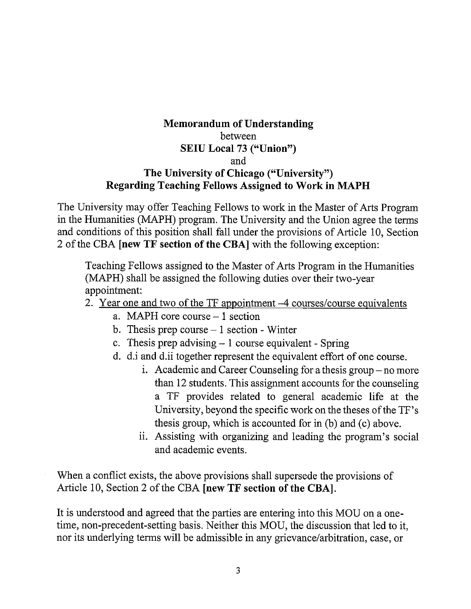### **Memorandum of Understanding** between **SEIU Local 73 ("Union")** and The University of Chicago ("University") **Regarding Teaching Fellows Assigned to Work in MAPH**

The University may offer Teaching Fellows to work in the Master of Arts Program in the Humanities (MAPH) program. The University and the Union agree the terms and conditions of this position shall fall under the provisions of Article 10, Section 2 of the CBA [new TF section of the CBA] with the following exception:

Teaching Fellows assigned to the Master of Arts Program in the Humanities (MAPH) shall be assigned the following duties over their two-year appointment:

- 2. Year one and two of the TF appointment -4 courses/course equivalents
	- a. MAPH core course 1 section
	- b. Thesis prep course  $-1$  section Winter
	- c. Thesis prep advising  $-1$  course equivalent Spring
	- d. d.i and d.ii together represent the equivalent effort of one course.
		- i. Academic and Career Counseling for a thesis group no more than 12 students. This assignment accounts for the counseling a TF provides related to general academic life at the University, beyond the specific work on the theses of the TF's thesis group, which is accounted for in (b) and (c) above.
		- ii. Assisting with organizing and leading the program's social and academic events.

When a conflict exists, the above provisions shall supersede the provisions of Article 10, Section 2 of the CBA [new TF section of the CBA].

It is understood and agreed that the parties are entering into this MOU on a onetime, non-precedent-setting basis. Neither this MOU, the discussion that led to it, nor its underlying terms will be admissible in any grievance/arbitration, case, or